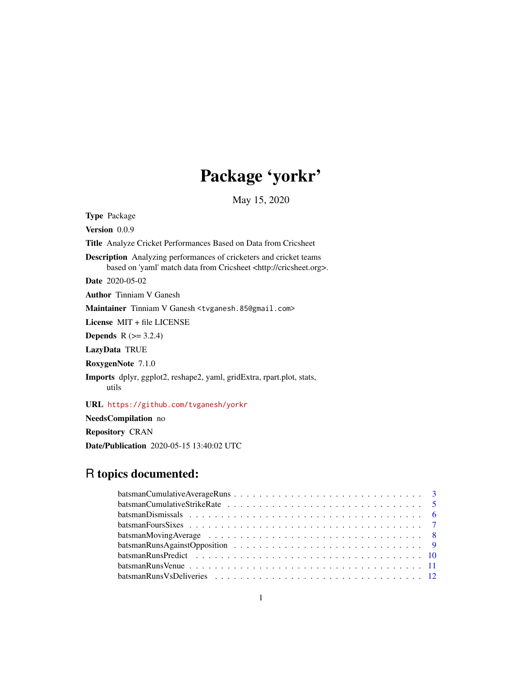# Package 'yorkr'

May 15, 2020

Type Package Version 0.0.9 Title Analyze Cricket Performances Based on Data from Cricsheet Description Analyzing performances of cricketers and cricket teams based on 'yaml' match data from Cricsheet <http://cricsheet.org>. Date 2020-05-02 Author Tinniam V Ganesh Maintainer Tinniam V Ganesh <tvganesh.85@gmail.com> License MIT + file LICENSE **Depends**  $R$  ( $>= 3.2.4$ ) LazyData TRUE RoxygenNote 7.1.0 Imports dplyr, ggplot2, reshape2, yaml, gridExtra, rpart.plot, stats, utils

URL <https://github.com/tvganesh/yorkr>

NeedsCompilation no

Repository CRAN

Date/Publication 2020-05-15 13:40:02 UTC

# R topics documented: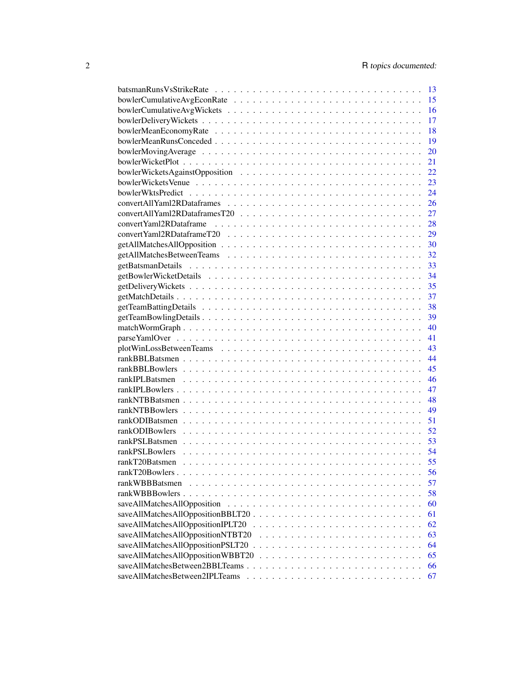|                                   | 13 |
|-----------------------------------|----|
|                                   | 15 |
|                                   | 16 |
|                                   | 17 |
|                                   | 18 |
|                                   | 19 |
|                                   | 20 |
|                                   | 21 |
|                                   | 22 |
|                                   | 23 |
|                                   | 24 |
|                                   | 26 |
|                                   | 27 |
|                                   | 28 |
|                                   | 29 |
|                                   | 30 |
|                                   | 32 |
|                                   | 33 |
|                                   | 34 |
|                                   | 35 |
|                                   | 37 |
|                                   | 38 |
|                                   | 39 |
|                                   | 40 |
|                                   | 41 |
|                                   | 43 |
|                                   | 44 |
|                                   | 45 |
|                                   | 46 |
|                                   | 47 |
|                                   | 48 |
|                                   | 49 |
|                                   | 51 |
|                                   | 52 |
|                                   | 53 |
| rankPSLBowlers                    | 54 |
| rankT20Batsmen                    | 55 |
|                                   | 56 |
| rankWBBBatsmen                    | 57 |
|                                   | 58 |
|                                   | 60 |
| saveAllMatchesAllOppositionBBLT20 | 61 |
|                                   | 62 |
| saveAllMatchesAllOppositionNTBT20 | 63 |
|                                   | 64 |
| saveAllMatchesAllOppositionWBBT20 | 65 |
| saveAllMatchesBetween2BBLTeams    | 66 |
| saveAllMatchesBetween2IPLTeams    | 67 |
|                                   |    |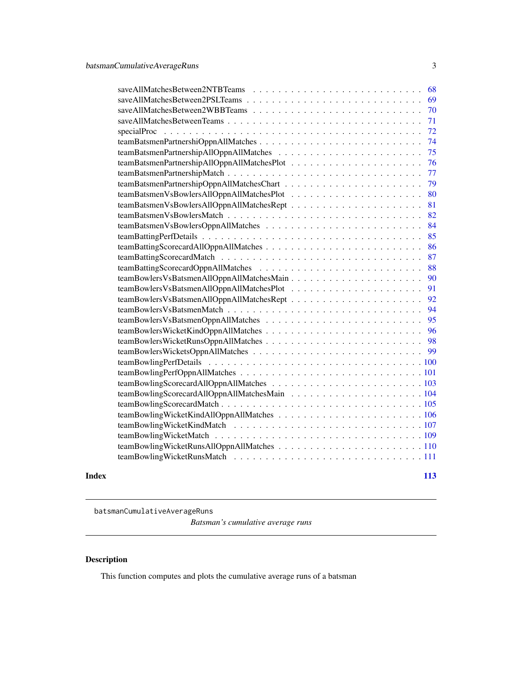<span id="page-2-0"></span>

|       | 71                                     |  |
|-------|----------------------------------------|--|
|       | 72                                     |  |
|       |                                        |  |
|       |                                        |  |
|       |                                        |  |
|       |                                        |  |
|       |                                        |  |
|       |                                        |  |
|       |                                        |  |
|       |                                        |  |
|       | teamBatsmenVsBowlersOppnAllMatches  84 |  |
|       |                                        |  |
|       |                                        |  |
|       |                                        |  |
|       |                                        |  |
|       |                                        |  |
|       |                                        |  |
|       |                                        |  |
|       |                                        |  |
|       |                                        |  |
|       |                                        |  |
|       |                                        |  |
|       |                                        |  |
|       |                                        |  |
|       |                                        |  |
|       |                                        |  |
|       |                                        |  |
|       |                                        |  |
|       |                                        |  |
|       |                                        |  |
|       |                                        |  |
|       |                                        |  |
|       |                                        |  |
|       |                                        |  |
| Index | 113                                    |  |

<span id="page-2-1"></span>batsmanCumulativeAverageRuns

*Batsman's cumulative average runs*

# Description

This function computes and plots the cumulative average runs of a batsman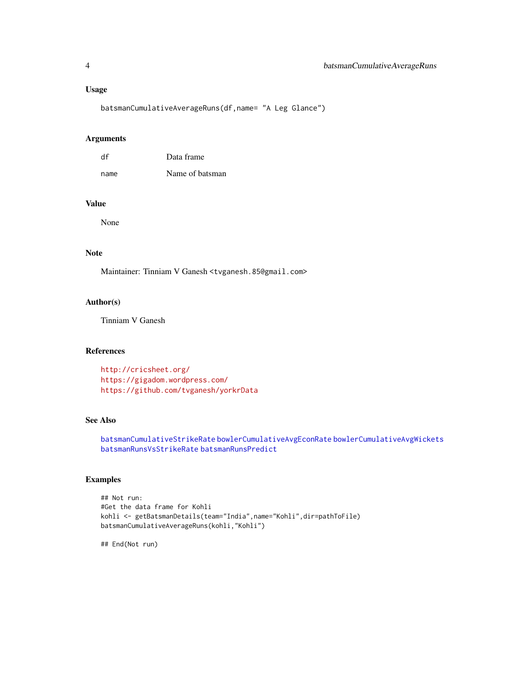# Usage

batsmanCumulativeAverageRuns(df,name= "A Leg Glance")

# Arguments

| df   | Data frame      |
|------|-----------------|
| name | Name of batsman |

#### Value

None

# Note

Maintainer: Tinniam V Ganesh <tvganesh.85@gmail.com>

#### Author(s)

Tinniam V Ganesh

# References

<http://cricsheet.org/> <https://gigadom.wordpress.com/> <https://github.com/tvganesh/yorkrData>

#### See Also

[batsmanCumulativeStrikeRate](#page-4-1) [bowlerCumulativeAvgEconRate](#page-14-1) [bowlerCumulativeAvgWickets](#page-15-1) [batsmanRunsVsStrikeRate](#page-12-1) [batsmanRunsPredict](#page-9-1)

# Examples

```
## Not run:
#Get the data frame for Kohli
kohli <- getBatsmanDetails(team="India",name="Kohli",dir=pathToFile)
batsmanCumulativeAverageRuns(kohli,"Kohli")
```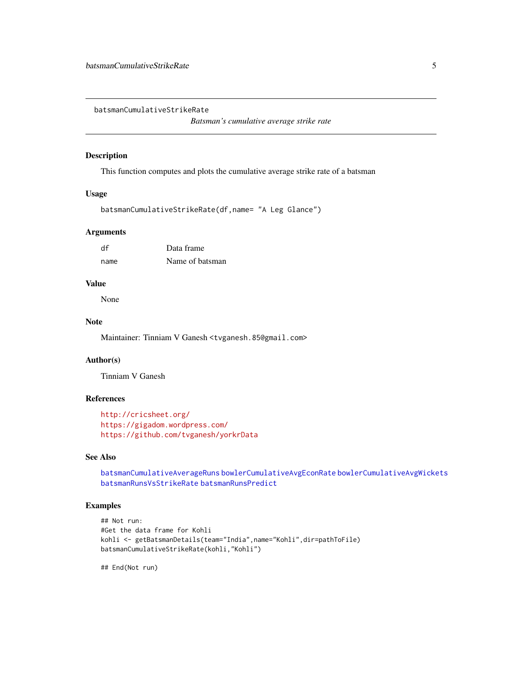<span id="page-4-1"></span><span id="page-4-0"></span>batsmanCumulativeStrikeRate

*Batsman's cumulative average strike rate*

#### Description

This function computes and plots the cumulative average strike rate of a batsman

#### Usage

batsmanCumulativeStrikeRate(df,name= "A Leg Glance")

#### Arguments

| df   | Data frame      |
|------|-----------------|
| name | Name of batsman |

# Value

None

# Note

Maintainer: Tinniam V Ganesh <tvganesh.85@gmail.com>

# Author(s)

Tinniam V Ganesh

# References

```
http://cricsheet.org/
https://gigadom.wordpress.com/
https://github.com/tvganesh/yorkrData
```
# See Also

[batsmanCumulativeAverageRuns](#page-2-1) [bowlerCumulativeAvgEconRate](#page-14-1) [bowlerCumulativeAvgWickets](#page-15-1) [batsmanRunsVsStrikeRate](#page-12-1) [batsmanRunsPredict](#page-9-1)

# Examples

```
## Not run:
#Get the data frame for Kohli
kohli <- getBatsmanDetails(team="India",name="Kohli",dir=pathToFile)
batsmanCumulativeStrikeRate(kohli,"Kohli")
```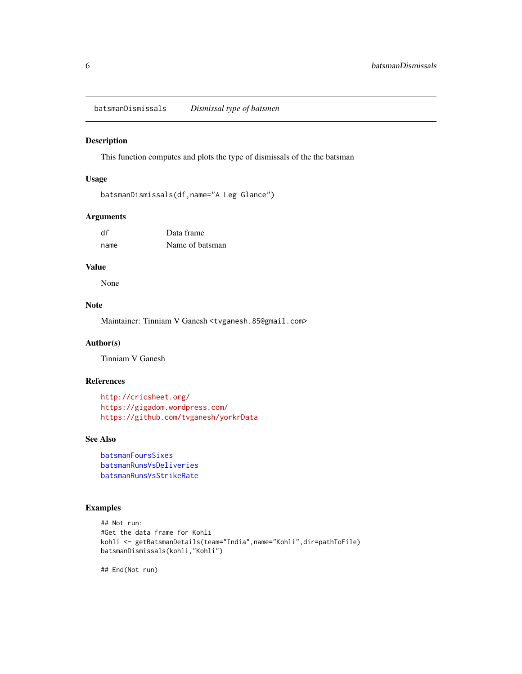<span id="page-5-1"></span><span id="page-5-0"></span>batsmanDismissals *Dismissal type of batsmen*

#### Description

This function computes and plots the type of dismissals of the the batsman

#### Usage

```
batsmanDismissals(df,name="A Leg Glance")
```
#### Arguments

| df   | Data frame      |
|------|-----------------|
| name | Name of batsman |

#### Value

None

# Note

Maintainer: Tinniam V Ganesh <tvganesh.85@gmail.com>

#### Author(s)

Tinniam V Ganesh

#### References

```
http://cricsheet.org/
https://gigadom.wordpress.com/
https://github.com/tvganesh/yorkrData
```
# See Also

```
batsmanFoursSixes
batsmanRunsVsDeliveries
batsmanRunsVsStrikeRate
```
# Examples

```
## Not run:
#Get the data frame for Kohli
kohli <- getBatsmanDetails(team="India",name="Kohli",dir=pathToFile)
batsmanDismissals(kohli,"Kohli")
```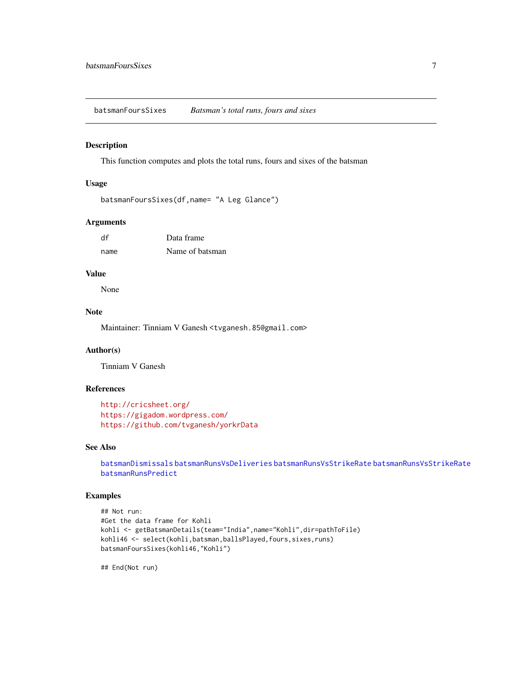<span id="page-6-1"></span><span id="page-6-0"></span>batsmanFoursSixes *Batsman's total runs, fours and sixes*

# Description

This function computes and plots the total runs, fours and sixes of the batsman

#### Usage

```
batsmanFoursSixes(df,name= "A Leg Glance")
```
#### Arguments

| df   | Data frame      |
|------|-----------------|
| name | Name of batsman |

#### Value

None

#### Note

Maintainer: Tinniam V Ganesh <tvganesh.85@gmail.com>

# Author(s)

Tinniam V Ganesh

# References

```
http://cricsheet.org/
https://gigadom.wordpress.com/
https://github.com/tvganesh/yorkrData
```
#### See Also

```
batsmanDismissals batsmanRunsVsDeliveries batsmanRunsVsStrikeRate batsmanRunsVsStrikeRate
batsmanRunsPredict
```
# Examples

```
## Not run:
#Get the data frame for Kohli
kohli <- getBatsmanDetails(team="India",name="Kohli",dir=pathToFile)
kohli46 <- select(kohli,batsman,ballsPlayed,fours,sixes,runs)
batsmanFoursSixes(kohli46,"Kohli")
```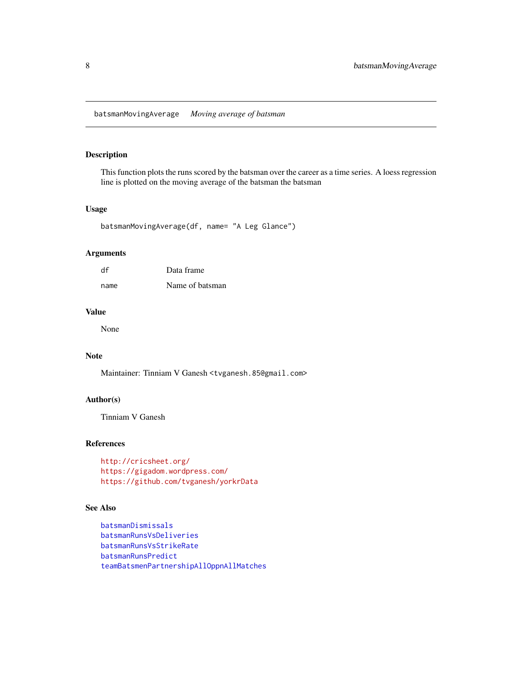#### <span id="page-7-1"></span><span id="page-7-0"></span>Description

This function plots the runs scored by the batsman over the career as a time series. A loess regression line is plotted on the moving average of the batsman the batsman

#### Usage

```
batsmanMovingAverage(df, name= "A Leg Glance")
```
#### Arguments

| df   | Data frame      |
|------|-----------------|
| name | Name of batsman |

# Value

None

# Note

Maintainer: Tinniam V Ganesh <tvganesh.85@gmail.com>

# Author(s)

Tinniam V Ganesh

#### References

<http://cricsheet.org/> <https://gigadom.wordpress.com/> <https://github.com/tvganesh/yorkrData>

#### See Also

```
batsmanDismissals
batsmanRunsVsDeliveries
batsmanRunsVsStrikeRate
batsmanRunsPredict
teamBatsmenPartnershipAllOppnAllMatches
```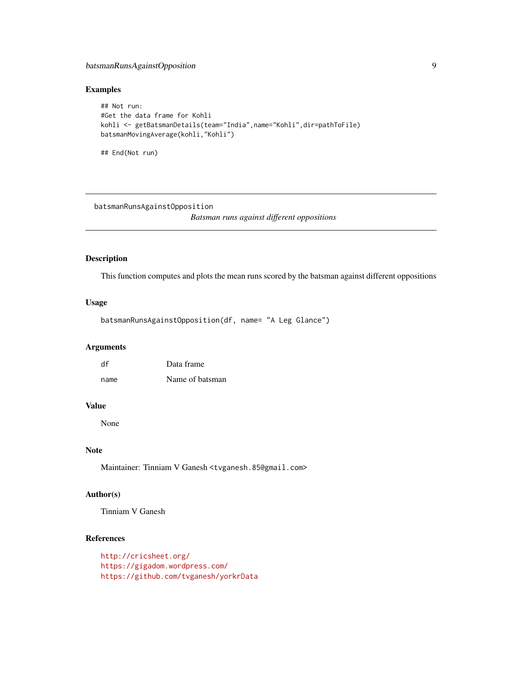# <span id="page-8-0"></span>batsmanRunsAgainstOpposition 9

#### Examples

```
## Not run:
#Get the data frame for Kohli
kohli <- getBatsmanDetails(team="India",name="Kohli",dir=pathToFile)
batsmanMovingAverage(kohli,"Kohli")
```
## End(Not run)

<span id="page-8-1"></span>batsmanRunsAgainstOpposition

*Batsman runs against different oppositions*

# Description

This function computes and plots the mean runs scored by the batsman against different oppositions

#### Usage

```
batsmanRunsAgainstOpposition(df, name= "A Leg Glance")
```
# Arguments

| df   | Data frame      |
|------|-----------------|
| name | Name of batsman |

#### Value

None

#### Note

Maintainer: Tinniam V Ganesh <tvganesh.85@gmail.com>

#### Author(s)

Tinniam V Ganesh

# References

```
http://cricsheet.org/
https://gigadom.wordpress.com/
https://github.com/tvganesh/yorkrData
```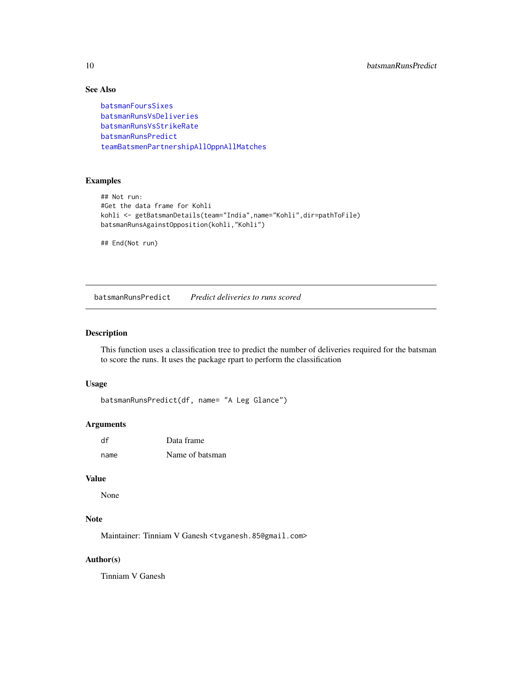# See Also

```
batsmanFoursSixes
batsmanRunsVsDeliveries
batsmanRunsVsStrikeRate
batsmanRunsPredict
teamBatsmenPartnershipAllOppnAllMatches
```
# Examples

```
## Not run:
#Get the data frame for Kohli
kohli <- getBatsmanDetails(team="India",name="Kohli",dir=pathToFile)
batsmanRunsAgainstOpposition(kohli,"Kohli")
## End(Not run)
```
<span id="page-9-1"></span>batsmanRunsPredict *Predict deliveries to runs scored*

#### Description

This function uses a classification tree to predict the number of deliveries required for the batsman to score the runs. It uses the package rpart to perform the classification

#### Usage

```
batsmanRunsPredict(df, name= "A Leg Glance")
```
#### Arguments

| df   | Data frame      |
|------|-----------------|
| name | Name of batsman |

#### Value

None

# Note

Maintainer: Tinniam V Ganesh <tvganesh.85@gmail.com>

#### Author(s)

Tinniam V Ganesh

<span id="page-9-0"></span>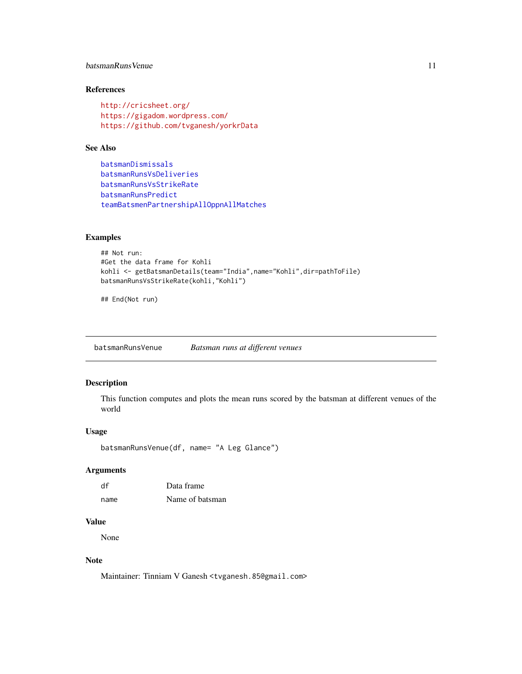# <span id="page-10-0"></span>batsmanRunsVenue 11

# References

```
http://cricsheet.org/
https://gigadom.wordpress.com/
https://github.com/tvganesh/yorkrData
```
#### See Also

```
batsmanDismissals
batsmanRunsVsDeliveries
batsmanRunsVsStrikeRate
batsmanRunsPredict
teamBatsmenPartnershipAllOppnAllMatches
```
#### Examples

```
## Not run:
#Get the data frame for Kohli
kohli <- getBatsmanDetails(team="India",name="Kohli",dir=pathToFile)
batsmanRunsVsStrikeRate(kohli,"Kohli")
```
## End(Not run)

batsmanRunsVenue *Batsman runs at different venues*

# Description

This function computes and plots the mean runs scored by the batsman at different venues of the world

# Usage

```
batsmanRunsVenue(df, name= "A Leg Glance")
```
# Arguments

| df   | Data frame      |
|------|-----------------|
| name | Name of batsman |

# Value

None

# Note

Maintainer: Tinniam V Ganesh <tvganesh.85@gmail.com>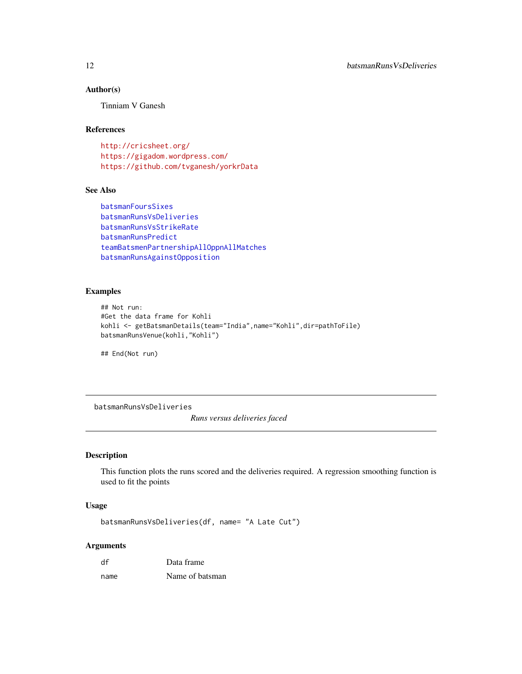# Author(s)

Tinniam V Ganesh

# References

<http://cricsheet.org/> <https://gigadom.wordpress.com/> <https://github.com/tvganesh/yorkrData>

# See Also

```
batsmanFoursSixes
batsmanRunsVsDeliveries
batsmanRunsVsStrikeRate
batsmanRunsPredict
teamBatsmenPartnershipAllOppnAllMatches
batsmanRunsAgainstOpposition
```
#### Examples

```
## Not run:
#Get the data frame for Kohli
kohli <- getBatsmanDetails(team="India",name="Kohli",dir=pathToFile)
batsmanRunsVenue(kohli,"Kohli")
```
## End(Not run)

<span id="page-11-1"></span>batsmanRunsVsDeliveries *Runs versus deliveries faced*

# Description

This function plots the runs scored and the deliveries required. A regression smoothing function is used to fit the points

# Usage

```
batsmanRunsVsDeliveries(df, name= "A Late Cut")
```
#### Arguments

| df   | Data frame      |
|------|-----------------|
| name | Name of batsman |

<span id="page-11-0"></span>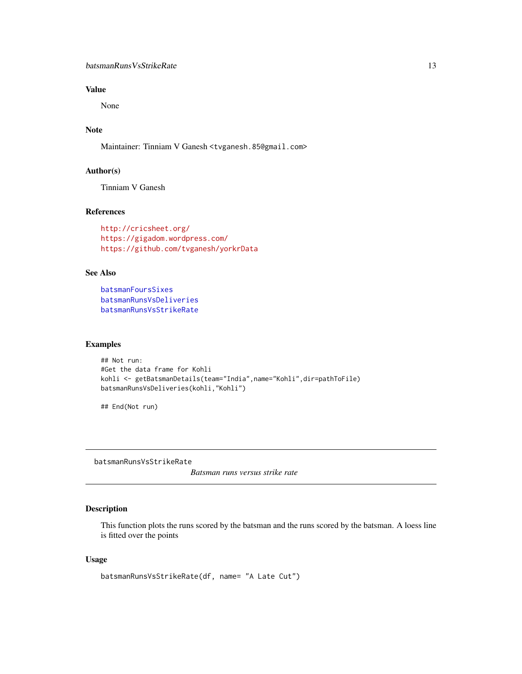# <span id="page-12-0"></span>Value

None

# Note

Maintainer: Tinniam V Ganesh <tvganesh.85@gmail.com>

#### Author(s)

Tinniam V Ganesh

# References

```
http://cricsheet.org/
https://gigadom.wordpress.com/
https://github.com/tvganesh/yorkrData
```
# See Also

```
batsmanFoursSixes
batsmanRunsVsDeliveries
batsmanRunsVsStrikeRate
```
#### Examples

```
## Not run:
#Get the data frame for Kohli
kohli <- getBatsmanDetails(team="India",name="Kohli",dir=pathToFile)
batsmanRunsVsDeliveries(kohli,"Kohli")
```
## End(Not run)

<span id="page-12-1"></span>batsmanRunsVsStrikeRate

*Batsman runs versus strike rate*

# Description

This function plots the runs scored by the batsman and the runs scored by the batsman. A loess line is fitted over the points

#### Usage

```
batsmanRunsVsStrikeRate(df, name= "A Late Cut")
```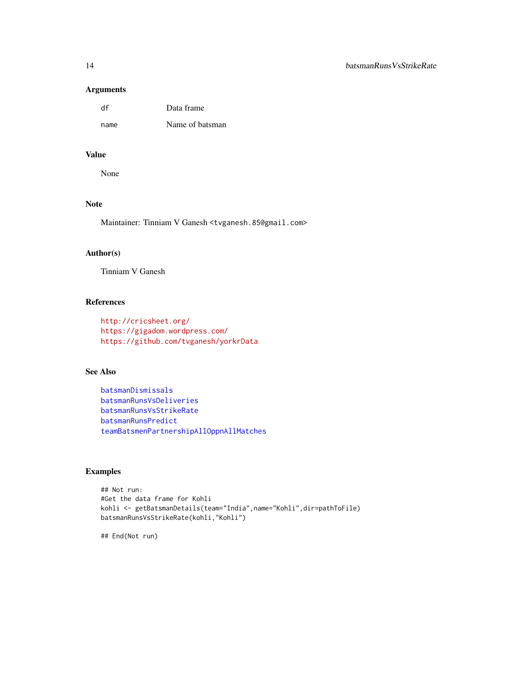#### Arguments

| df   | Data frame      |
|------|-----------------|
| name | Name of batsman |

#### Value

None

# Note

Maintainer: Tinniam V Ganesh <tvganesh.85@gmail.com>

# Author(s)

Tinniam V Ganesh

# References

```
http://cricsheet.org/
https://gigadom.wordpress.com/
https://github.com/tvganesh/yorkrData
```
# See Also

```
batsmanDismissals
batsmanRunsVsDeliveries
batsmanRunsVsStrikeRate
batsmanRunsPredict
teamBatsmenPartnershipAllOppnAllMatches
```
#### Examples

```
## Not run:
#Get the data frame for Kohli
kohli <- getBatsmanDetails(team="India",name="Kohli",dir=pathToFile)
batsmanRunsVsStrikeRate(kohli,"Kohli")
```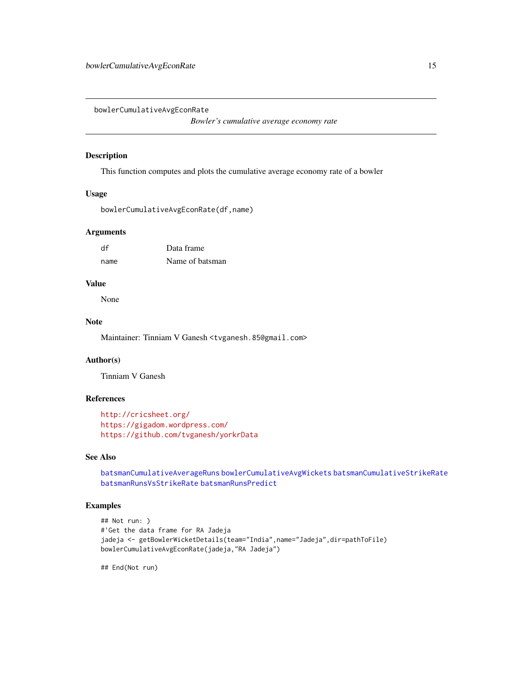<span id="page-14-1"></span><span id="page-14-0"></span>bowlerCumulativeAvgEconRate

*Bowler's cumulative average economy rate*

#### Description

This function computes and plots the cumulative average economy rate of a bowler

#### Usage

bowlerCumulativeAvgEconRate(df,name)

#### Arguments

| df   | Data frame      |
|------|-----------------|
| name | Name of batsman |

# Value

None

# Note

Maintainer: Tinniam V Ganesh <tvganesh.85@gmail.com>

# Author(s)

Tinniam V Ganesh

# References

```
http://cricsheet.org/
https://gigadom.wordpress.com/
https://github.com/tvganesh/yorkrData
```
# See Also

[batsmanCumulativeAverageRuns](#page-2-1) [bowlerCumulativeAvgWickets](#page-15-1) [batsmanCumulativeStrikeRate](#page-4-1) [batsmanRunsVsStrikeRate](#page-12-1) [batsmanRunsPredict](#page-9-1)

# Examples

```
## Not run: )
#'Get the data frame for RA Jadeja
jadeja <- getBowlerWicketDetails(team="India",name="Jadeja",dir=pathToFile)
bowlerCumulativeAvgEconRate(jadeja,"RA Jadeja")
```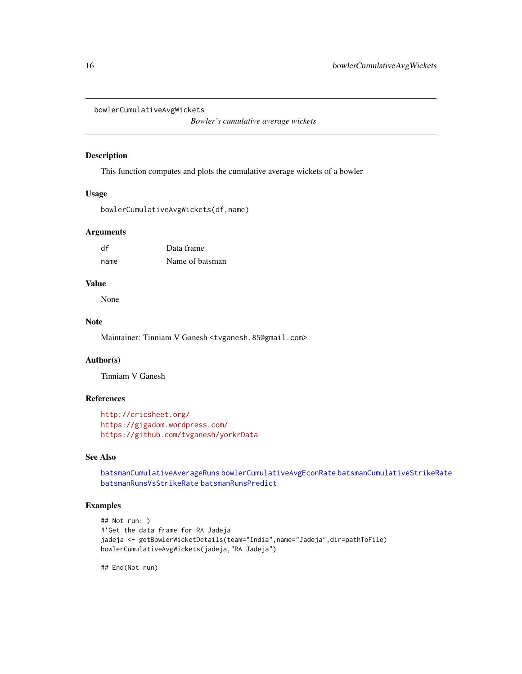```
bowlerCumulativeAvgWickets
```
*Bowler's cumulative average wickets*

#### Description

This function computes and plots the cumulative average wickets of a bowler

#### Usage

```
bowlerCumulativeAvgWickets(df,name)
```
#### Arguments

| df   | Data frame      |
|------|-----------------|
| name | Name of batsman |

# Value

None

# Note

Maintainer: Tinniam V Ganesh <tvganesh.85@gmail.com>

# Author(s)

Tinniam V Ganesh

# References

```
http://cricsheet.org/
https://gigadom.wordpress.com/
https://github.com/tvganesh/yorkrData
```
# See Also

[batsmanCumulativeAverageRuns](#page-2-1) [bowlerCumulativeAvgEconRate](#page-14-1) [batsmanCumulativeStrikeRate](#page-4-1) [batsmanRunsVsStrikeRate](#page-12-1) [batsmanRunsPredict](#page-9-1)

# Examples

```
## Not run: )
#'Get the data frame for RA Jadeja
jadeja <- getBowlerWicketDetails(team="India",name="Jadeja",dir=pathToFile)
bowlerCumulativeAvgWickets(jadeja,"RA Jadeja")
```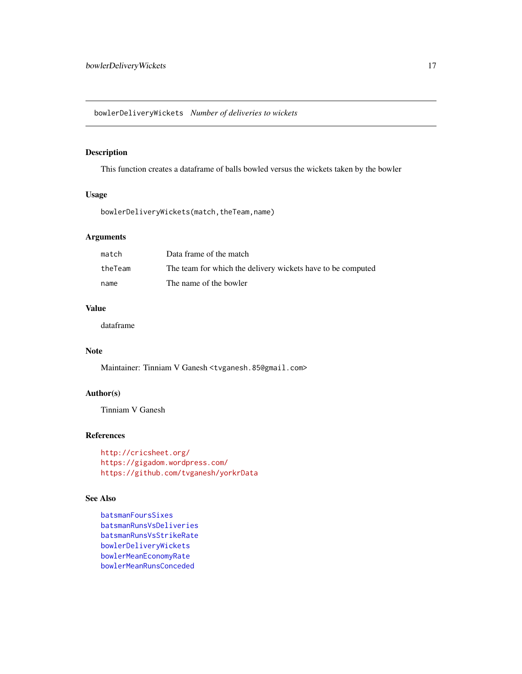<span id="page-16-1"></span><span id="page-16-0"></span>bowlerDeliveryWickets *Number of deliveries to wickets*

# Description

This function creates a dataframe of balls bowled versus the wickets taken by the bowler

# Usage

bowlerDeliveryWickets(match,theTeam,name)

# Arguments

| match   | Data frame of the match                                     |
|---------|-------------------------------------------------------------|
| theTeam | The team for which the delivery wickets have to be computed |
| name    | The name of the bowler                                      |

# Value

dataframe

# Note

Maintainer: Tinniam V Ganesh <tvganesh.85@gmail.com>

# Author(s)

Tinniam V Ganesh

# References

<http://cricsheet.org/> <https://gigadom.wordpress.com/> <https://github.com/tvganesh/yorkrData>

#### See Also

[batsmanFoursSixes](#page-6-1) [batsmanRunsVsDeliveries](#page-11-1) [batsmanRunsVsStrikeRate](#page-12-1) [bowlerDeliveryWickets](#page-16-1) [bowlerMeanEconomyRate](#page-17-1) [bowlerMeanRunsConceded](#page-18-1)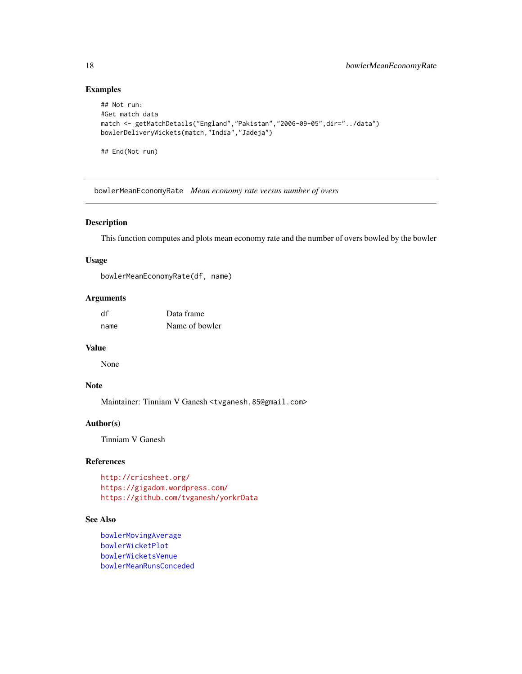# Examples

```
## Not run:
#Get match data
match <- getMatchDetails("England","Pakistan","2006-09-05",dir="../data")
bowlerDeliveryWickets(match,"India","Jadeja")
```
## End(Not run)

<span id="page-17-1"></span>bowlerMeanEconomyRate *Mean economy rate versus number of overs*

#### Description

This function computes and plots mean economy rate and the number of overs bowled by the bowler

#### Usage

bowlerMeanEconomyRate(df, name)

# Arguments

| df   | Data frame     |
|------|----------------|
| name | Name of bowler |

#### Value

None

# Note

Maintainer: Tinniam V Ganesh <tvganesh.85@gmail.com>

# Author(s)

Tinniam V Ganesh

# References

```
http://cricsheet.org/
https://gigadom.wordpress.com/
https://github.com/tvganesh/yorkrData
```
# See Also

```
bowlerMovingAverage
bowlerWicketPlot
bowlerWicketsVenue
bowlerMeanRunsConceded
```
<span id="page-17-0"></span>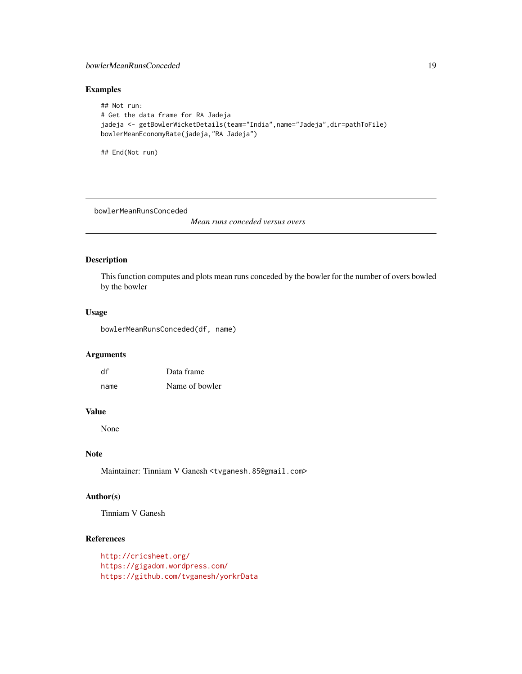#### <span id="page-18-0"></span>bowlerMeanRunsConceded 19

# Examples

```
## Not run:
# Get the data frame for RA Jadeja
jadeja <- getBowlerWicketDetails(team="India",name="Jadeja",dir=pathToFile)
bowlerMeanEconomyRate(jadeja,"RA Jadeja")
```
## End(Not run)

<span id="page-18-1"></span>bowlerMeanRunsConceded

*Mean runs conceded versus overs*

# Description

This function computes and plots mean runs conceded by the bowler for the number of overs bowled by the bowler

# Usage

bowlerMeanRunsConceded(df, name)

#### Arguments

| df   | Data frame     |
|------|----------------|
| name | Name of bowler |

# Value

None

# Note

Maintainer: Tinniam V Ganesh <tvganesh.85@gmail.com>

# Author(s)

Tinniam V Ganesh

# References

<http://cricsheet.org/> <https://gigadom.wordpress.com/> <https://github.com/tvganesh/yorkrData>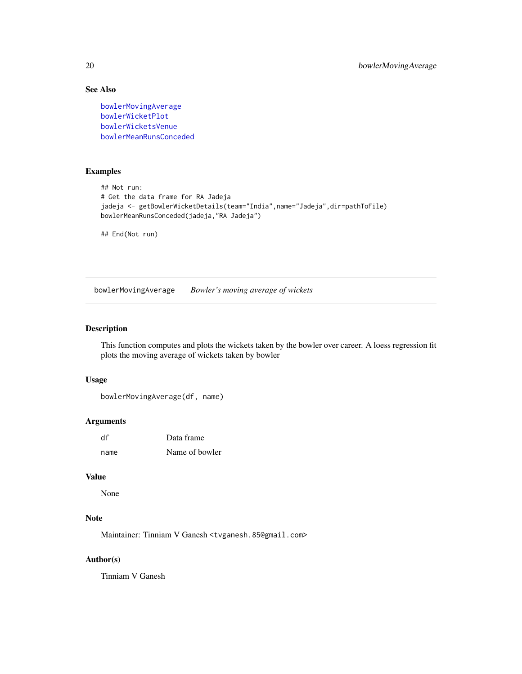# See Also

[bowlerMovingAverage](#page-19-1) [bowlerWicketPlot](#page-20-1) [bowlerWicketsVenue](#page-22-1) [bowlerMeanRunsConceded](#page-18-1)

# Examples

```
## Not run:
# Get the data frame for RA Jadeja
jadeja <- getBowlerWicketDetails(team="India",name="Jadeja",dir=pathToFile)
bowlerMeanRunsConceded(jadeja,"RA Jadeja")
```
## End(Not run)

<span id="page-19-1"></span>bowlerMovingAverage *Bowler's moving average of wickets*

# Description

This function computes and plots the wickets taken by the bowler over career. A loess regression fit plots the moving average of wickets taken by bowler

# Usage

```
bowlerMovingAverage(df, name)
```
# Arguments

| df   | Data frame     |
|------|----------------|
| name | Name of bowler |

# Value

None

# Note

Maintainer: Tinniam V Ganesh <tvganesh.85@gmail.com>

# Author(s)

Tinniam V Ganesh

<span id="page-19-0"></span>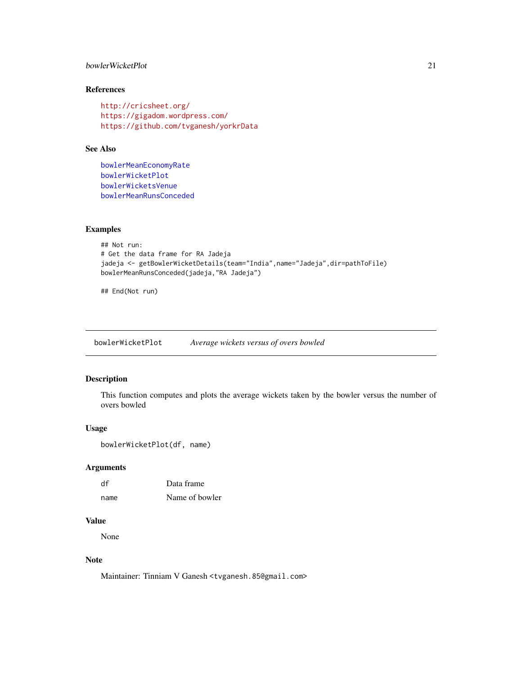# <span id="page-20-0"></span>bowlerWicketPlot 21

# References

```
http://cricsheet.org/
https://gigadom.wordpress.com/
https://github.com/tvganesh/yorkrData
```
# See Also

[bowlerMeanEconomyRate](#page-17-1) [bowlerWicketPlot](#page-20-1) [bowlerWicketsVenue](#page-22-1) [bowlerMeanRunsConceded](#page-18-1)

#### Examples

```
## Not run:
# Get the data frame for RA Jadeja
jadeja <- getBowlerWicketDetails(team="India",name="Jadeja",dir=pathToFile)
bowlerMeanRunsConceded(jadeja,"RA Jadeja")
```
## End(Not run)

<span id="page-20-1"></span>bowlerWicketPlot *Average wickets versus of overs bowled*

# Description

This function computes and plots the average wickets taken by the bowler versus the number of overs bowled

#### Usage

```
bowlerWicketPlot(df, name)
```
# Arguments

| df   | Data frame     |
|------|----------------|
| name | Name of bowler |

#### Value

None

# Note

Maintainer: Tinniam V Ganesh <tvganesh.85@gmail.com>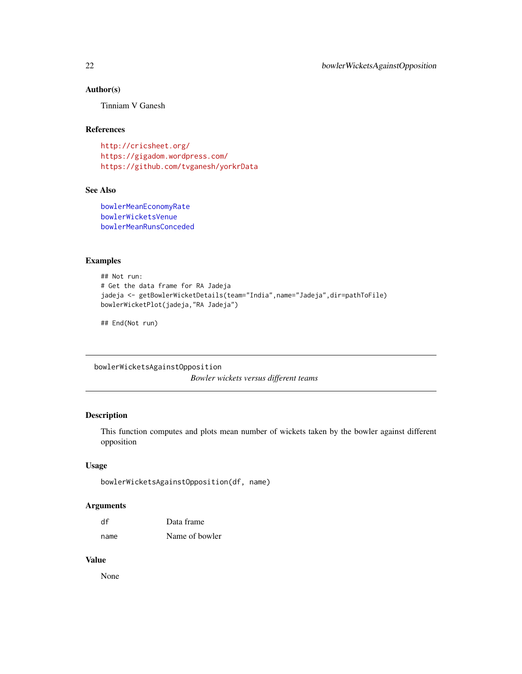# <span id="page-21-0"></span>Author(s)

Tinniam V Ganesh

#### References

<http://cricsheet.org/> <https://gigadom.wordpress.com/> <https://github.com/tvganesh/yorkrData>

# See Also

[bowlerMeanEconomyRate](#page-17-1) [bowlerWicketsVenue](#page-22-1) [bowlerMeanRunsConceded](#page-18-1)

#### Examples

```
## Not run:
# Get the data frame for RA Jadeja
jadeja <- getBowlerWicketDetails(team="India",name="Jadeja",dir=pathToFile)
bowlerWicketPlot(jadeja,"RA Jadeja")
```
## End(Not run)

bowlerWicketsAgainstOpposition *Bowler wickets versus different teams*

#### Description

This function computes and plots mean number of wickets taken by the bowler against different opposition

#### Usage

```
bowlerWicketsAgainstOpposition(df, name)
```
# Arguments

| df   | Data frame     |
|------|----------------|
| name | Name of bowler |

#### Value

None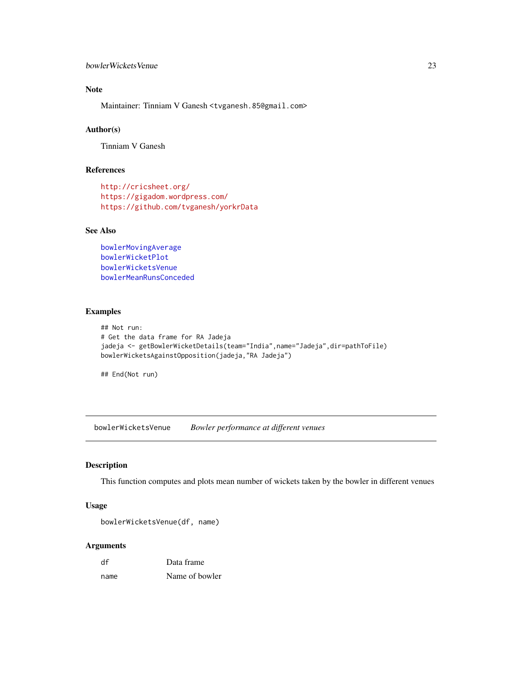#### <span id="page-22-0"></span>bowlerWicketsVenue 23

# Note

Maintainer: Tinniam V Ganesh <tvganesh.85@gmail.com>

#### Author(s)

Tinniam V Ganesh

# References

```
http://cricsheet.org/
https://gigadom.wordpress.com/
https://github.com/tvganesh/yorkrData
```
# See Also

```
bowlerMovingAverage
bowlerWicketPlot
bowlerWicketsVenue
bowlerMeanRunsConceded
```
#### Examples

```
## Not run:
# Get the data frame for RA Jadeja
jadeja <- getBowlerWicketDetails(team="India",name="Jadeja",dir=pathToFile)
bowlerWicketsAgainstOpposition(jadeja,"RA Jadeja")
```
## End(Not run)

<span id="page-22-1"></span>bowlerWicketsVenue *Bowler performance at different venues*

#### Description

This function computes and plots mean number of wickets taken by the bowler in different venues

# Usage

```
bowlerWicketsVenue(df, name)
```
#### Arguments

| df   | Data frame     |
|------|----------------|
| name | Name of bowler |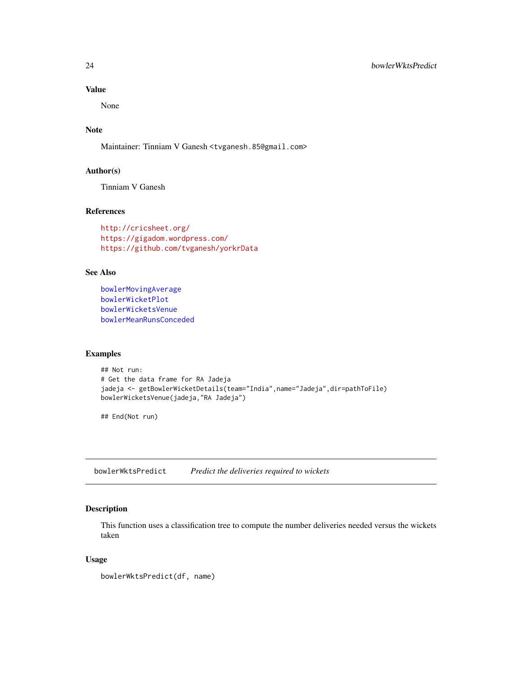# Value

None

# Note

Maintainer: Tinniam V Ganesh <tvganesh.85@gmail.com>

#### Author(s)

Tinniam V Ganesh

# References

```
http://cricsheet.org/
https://gigadom.wordpress.com/
https://github.com/tvganesh/yorkrData
```
# See Also

```
bowlerMovingAverage
bowlerWicketPlot
bowlerWicketsVenue
bowlerMeanRunsConceded
```
# Examples

```
## Not run:
# Get the data frame for RA Jadeja
jadeja <- getBowlerWicketDetails(team="India",name="Jadeja",dir=pathToFile)
bowlerWicketsVenue(jadeja,"RA Jadeja")
```
## End(Not run)

<span id="page-23-1"></span>bowlerWktsPredict *Predict the deliveries required to wickets*

# Description

This function uses a classification tree to compute the number deliveries needed versus the wickets taken

#### Usage

bowlerWktsPredict(df, name)

<span id="page-23-0"></span>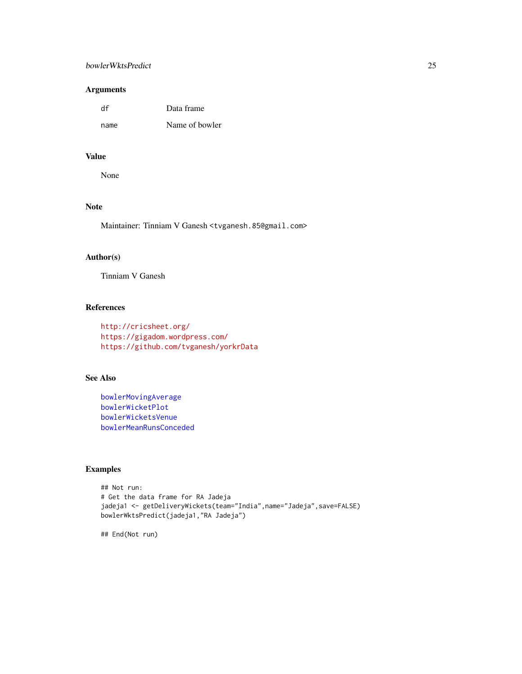#### bowlerWktsPredict 25

# Arguments

| df   | Data frame     |
|------|----------------|
| name | Name of bowler |

# Value

None

# Note

Maintainer: Tinniam V Ganesh <tvganesh.85@gmail.com>

# Author(s)

Tinniam V Ganesh

#### References

```
http://cricsheet.org/
https://gigadom.wordpress.com/
https://github.com/tvganesh/yorkrData
```
# See Also

```
bowlerMovingAverage
bowlerWicketPlot
bowlerWicketsVenue
bowlerMeanRunsConceded
```
# Examples

```
## Not run:
# Get the data frame for RA Jadeja
jadeja1 <- getDeliveryWickets(team="India",name="Jadeja",save=FALSE)
bowlerWktsPredict(jadeja1,"RA Jadeja")
```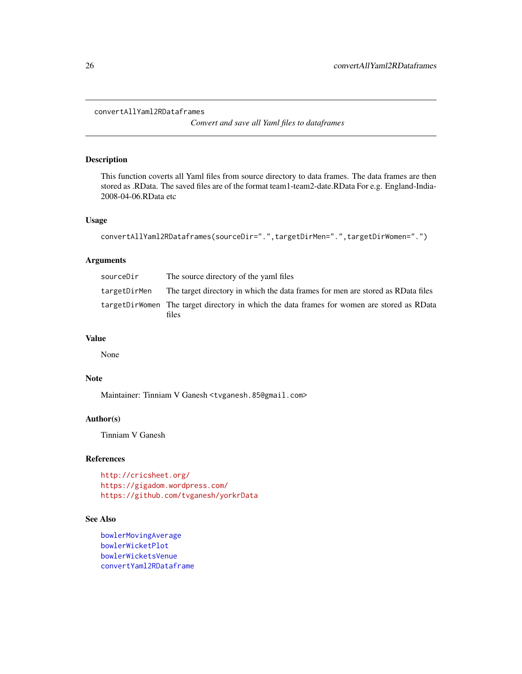```
convertAllYaml2RDataframes
```
*Convert and save all Yaml files to dataframes*

#### Description

This function coverts all Yaml files from source directory to data frames. The data frames are then stored as .RData. The saved files are of the format team1-team2-date.RData For e.g. England-India-2008-04-06.RData etc

# Usage

```
convertAllYaml2RDataframes(sourceDir=".",targetDirMen=".",targetDirWomen=".")
```
#### Arguments

| sourceDir    | The source directory of the yaml files                                                              |
|--------------|-----------------------------------------------------------------------------------------------------|
| targetDirMen | The target directory in which the data frames for men are stored as RData files                     |
|              | targetDirWomen The target directory in which the data frames for women are stored as RData<br>files |

#### Value

None

# Note

Maintainer: Tinniam V Ganesh <tvganesh.85@gmail.com>

# Author(s)

Tinniam V Ganesh

# References

```
http://cricsheet.org/
https://gigadom.wordpress.com/
https://github.com/tvganesh/yorkrData
```
# See Also

```
bowlerMovingAverage
bowlerWicketPlot
bowlerWicketsVenue
convertYaml2RDataframe
```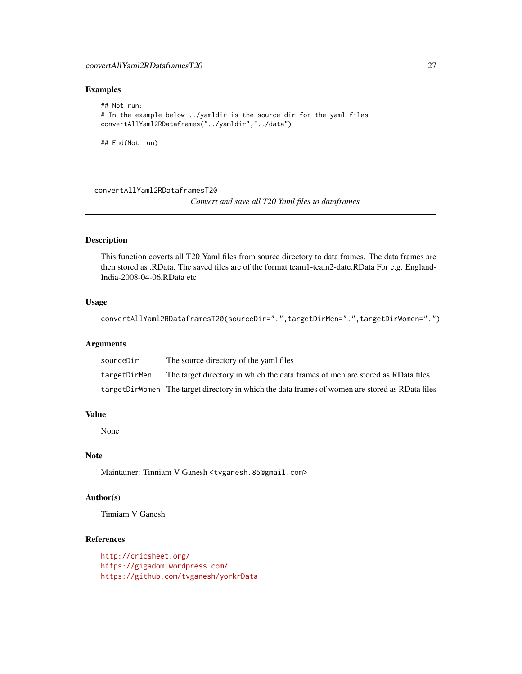# <span id="page-26-0"></span>convertAllYaml2RDataframesT20 27

# Examples

```
## Not run:
# In the example below ../yamldir is the source dir for the yaml files
convertAllYaml2RDataframes("../yamldir","../data")
```
## End(Not run)

<span id="page-26-1"></span>convertAllYaml2RDataframesT20

*Convert and save all T20 Yaml files to dataframes*

# Description

This function coverts all T20 Yaml files from source directory to data frames. The data frames are then stored as .RData. The saved files are of the format team1-team2-date.RData For e.g. England-India-2008-04-06.RData etc

#### Usage

```
convertAllYaml2RDataframesT20(sourceDir=".",targetDirMen=".",targetDirWomen=".")
```
#### Arguments

| sourceDir    | The source directory of the yaml files                                                          |
|--------------|-------------------------------------------------------------------------------------------------|
| targetDirMen | The target directory in which the data frames of men are stored as RData files                  |
|              | targetDirWomen The target directory in which the data frames of women are stored as RData files |

# Value

None

#### Note

Maintainer: Tinniam V Ganesh <tvganesh.85@gmail.com>

# Author(s)

Tinniam V Ganesh

# References

<http://cricsheet.org/> <https://gigadom.wordpress.com/> <https://github.com/tvganesh/yorkrData>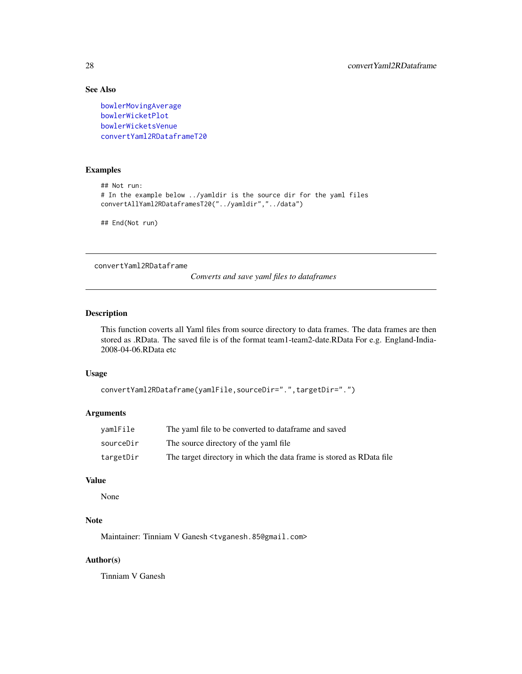# See Also

[bowlerMovingAverage](#page-19-1) [bowlerWicketPlot](#page-20-1) [bowlerWicketsVenue](#page-22-1) [convertYaml2RDataframeT20](#page-28-1)

# Examples

```
## Not run:
# In the example below ../yamldir is the source dir for the yaml files
convertAllYaml2RDataframesT20("../yamldir","../data")
```
## End(Not run)

<span id="page-27-1"></span>convertYaml2RDataframe

*Converts and save yaml files to dataframes*

# Description

This function coverts all Yaml files from source directory to data frames. The data frames are then stored as .RData. The saved file is of the format team1-team2-date.RData For e.g. England-India-2008-04-06.RData etc

#### Usage

```
convertYaml2RDataframe(yamlFile,sourceDir=".",targetDir=".")
```
# Arguments

| vamlFile  | The yaml file to be converted to dataframe and saved                 |
|-----------|----------------------------------------------------------------------|
| sourceDir | The source directory of the yaml file.                               |
| targetDir | The target directory in which the data frame is stored as RData file |

#### Value

None

# Note

Maintainer: Tinniam V Ganesh <tvganesh.85@gmail.com>

# Author(s)

Tinniam V Ganesh

<span id="page-27-0"></span>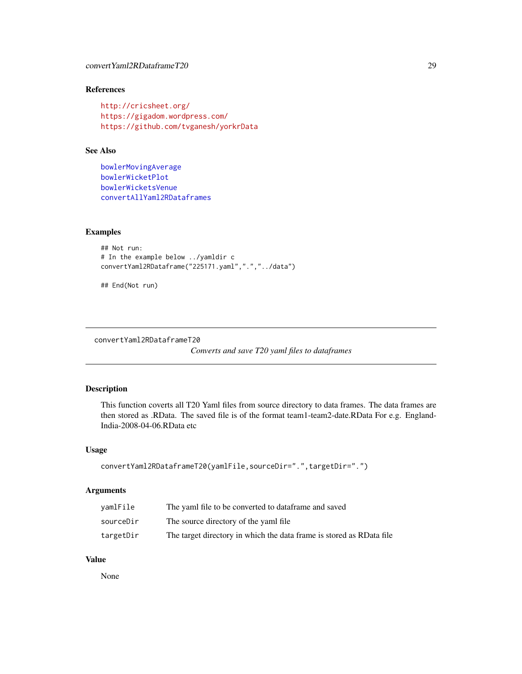# <span id="page-28-0"></span>References

```
http://cricsheet.org/
https://gigadom.wordpress.com/
https://github.com/tvganesh/yorkrData
```
# See Also

```
bowlerMovingAverage
bowlerWicketPlot
bowlerWicketsVenue
convertAllYaml2RDataframes
```
# Examples

```
## Not run:
# In the example below ../yamldir c
convertYaml2RDataframe("225171.yaml",".","../data")
```
## End(Not run)

<span id="page-28-1"></span>convertYaml2RDataframeT20

*Converts and save T20 yaml files to dataframes*

# Description

This function coverts all T20 Yaml files from source directory to data frames. The data frames are then stored as .RData. The saved file is of the format team1-team2-date.RData For e.g. England-India-2008-04-06.RData etc

#### Usage

```
convertYaml2RDataframeT20(yamlFile,sourceDir=".",targetDir=".")
```
# Arguments

| vamlFile  | The yaml file to be converted to dataframe and saved                  |
|-----------|-----------------------------------------------------------------------|
| sourceDir | The source directory of the yaml file.                                |
| targetDir | The target directory in which the data frame is stored as RD ata file |

#### Value

None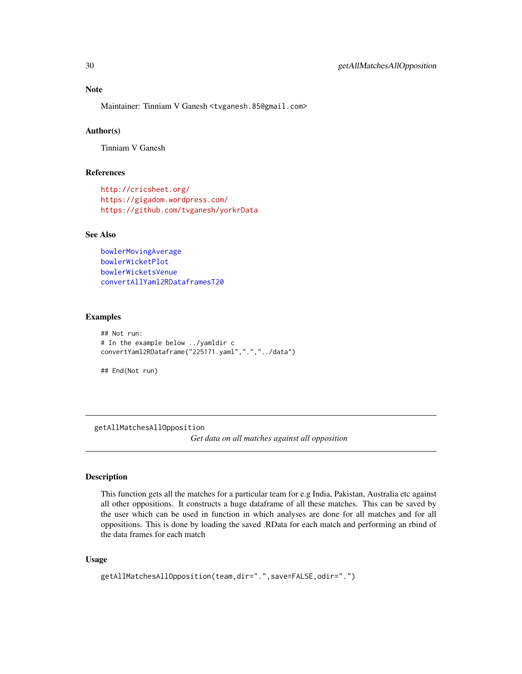<span id="page-29-0"></span>Maintainer: Tinniam V Ganesh <tvganesh.85@gmail.com>

# Author(s)

Tinniam V Ganesh

#### References

```
http://cricsheet.org/
https://gigadom.wordpress.com/
https://github.com/tvganesh/yorkrData
```
# See Also

```
bowlerMovingAverage
bowlerWicketPlot
bowlerWicketsVenue
convertAllYaml2RDataframesT20
```
#### Examples

```
## Not run:
# In the example below ../yamldir c
convertYaml2RDataframe("225171.yaml",".","../data")
```
## End(Not run)

<span id="page-29-1"></span>getAllMatchesAllOpposition

*Get data on all matches against all opposition*

# Description

This function gets all the matches for a particular team for e.g India, Pakistan, Australia etc against all other oppositions. It constructs a huge dataframe of all these matches. This can be saved by the user which can be used in function in which analyses are done for all matches and for all oppositions. This is done by loading the saved .RData for each match and performing an rbind of the data frames for each match

#### Usage

```
getAllMatchesAllOpposition(team,dir=".",save=FALSE,odir=".")
```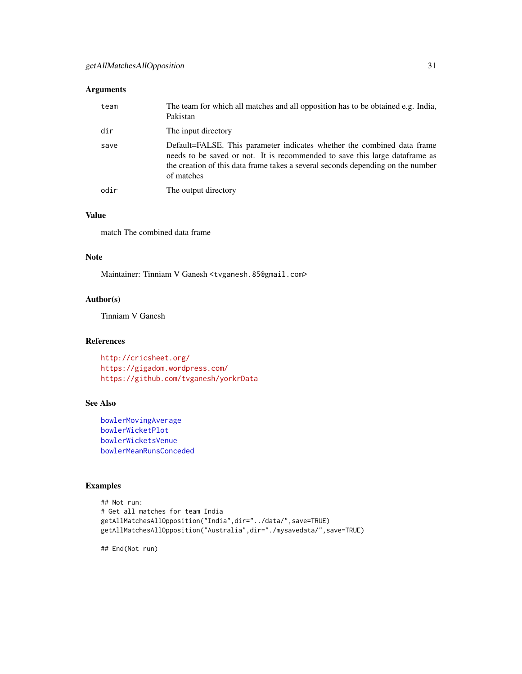# Arguments

| team | The team for which all matches and all opposition has to be obtained e.g. India,<br>Pakistan                                                                                                                                                             |
|------|----------------------------------------------------------------------------------------------------------------------------------------------------------------------------------------------------------------------------------------------------------|
| dir  | The input directory                                                                                                                                                                                                                                      |
| save | Default=FALSE. This parameter indicates whether the combined data frame<br>needs to be saved or not. It is recommended to save this large data frame as<br>the creation of this data frame takes a several seconds depending on the number<br>of matches |
| odir | The output directory                                                                                                                                                                                                                                     |
|      |                                                                                                                                                                                                                                                          |

# Value

match The combined data frame

# Note

Maintainer: Tinniam V Ganesh <tvganesh.85@gmail.com>

# Author(s)

Tinniam V Ganesh

#### References

<http://cricsheet.org/> <https://gigadom.wordpress.com/> <https://github.com/tvganesh/yorkrData>

# See Also

```
bowlerMovingAverage
bowlerWicketPlot
bowlerWicketsVenue
bowlerMeanRunsConceded
```
# Examples

```
## Not run:
# Get all matches for team India
getAllMatchesAllOpposition("India",dir="../data/",save=TRUE)
getAllMatchesAllOpposition("Australia",dir="./mysavedata/",save=TRUE)
```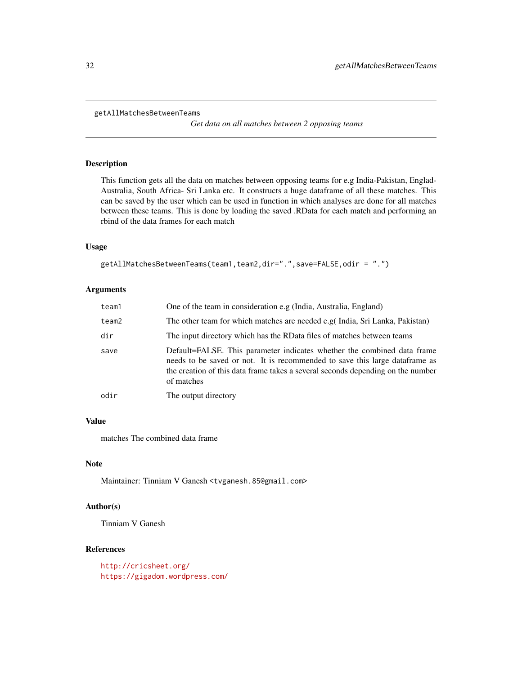```
getAllMatchesBetweenTeams
```
*Get data on all matches between 2 opposing teams*

#### Description

This function gets all the data on matches between opposing teams for e.g India-Pakistan, Englad-Australia, South Africa- Sri Lanka etc. It constructs a huge dataframe of all these matches. This can be saved by the user which can be used in function in which analyses are done for all matches between these teams. This is done by loading the saved .RData for each match and performing an rbind of the data frames for each match

#### Usage

```
getAllMatchesBetweenTeams(team1,team2,dir=".",save=FALSE,odir = ".")
```
#### Arguments

| team1 | One of the team in consideration e.g (India, Australia, England)                                                                                                                                                                                        |
|-------|---------------------------------------------------------------------------------------------------------------------------------------------------------------------------------------------------------------------------------------------------------|
| team2 | The other team for which matches are needed e.g( India, Sri Lanka, Pakistan)                                                                                                                                                                            |
| dir   | The input directory which has the RData files of matches between teams                                                                                                                                                                                  |
| save  | Default=FALSE. This parameter indicates whether the combined data frame<br>needs to be saved or not. It is recommended to save this large dataframe as<br>the creation of this data frame takes a several seconds depending on the number<br>of matches |
| odir  | The output directory                                                                                                                                                                                                                                    |

# Value

matches The combined data frame

# Note

Maintainer: Tinniam V Ganesh <tvganesh.85@gmail.com>

# Author(s)

Tinniam V Ganesh

#### References

<http://cricsheet.org/> <https://gigadom.wordpress.com/>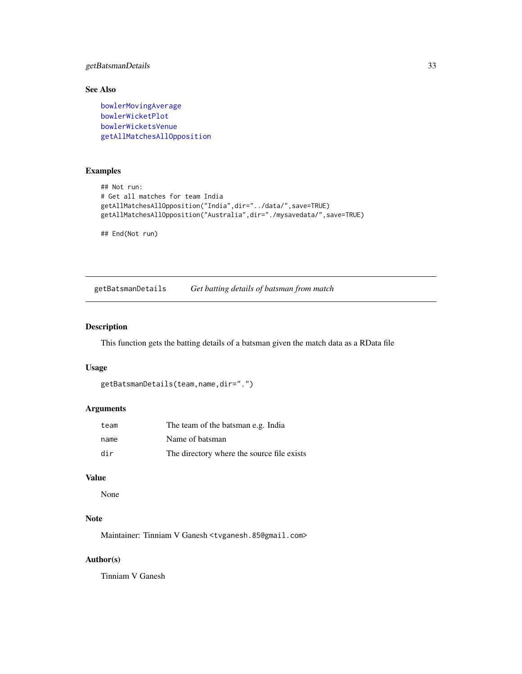# <span id="page-32-0"></span>getBatsmanDetails 33

# See Also

[bowlerMovingAverage](#page-19-1) [bowlerWicketPlot](#page-20-1) [bowlerWicketsVenue](#page-22-1) [getAllMatchesAllOpposition](#page-29-1)

# Examples

```
## Not run:
# Get all matches for team India
getAllMatchesAllOpposition("India",dir="../data/",save=TRUE)
getAllMatchesAllOpposition("Australia",dir="./mysavedata/",save=TRUE)
```
## End(Not run)

getBatsmanDetails *Get batting details of batsman from match*

# Description

This function gets the batting details of a batsman given the match data as a RData file

#### Usage

```
getBatsmanDetails(team,name,dir=".")
```
#### Arguments

| team | The team of the batsman e.g. India         |
|------|--------------------------------------------|
| name | Name of batsman                            |
| dir  | The directory where the source file exists |

#### Value

None

# Note

Maintainer: Tinniam V Ganesh <tvganesh.85@gmail.com>

# Author(s)

Tinniam V Ganesh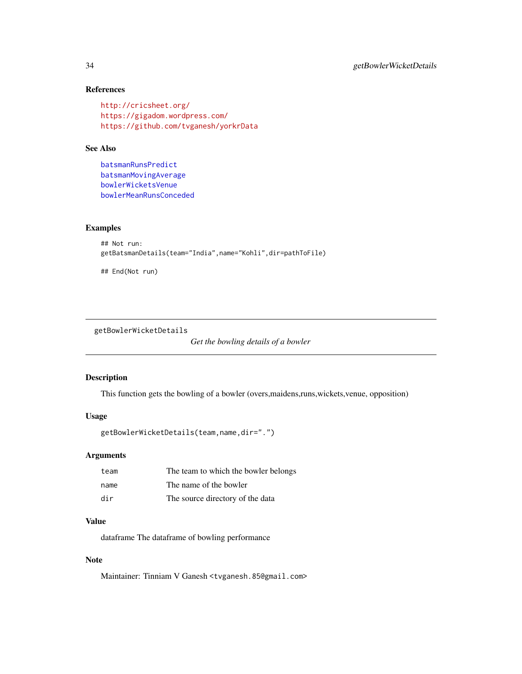# References

```
http://cricsheet.org/
https://gigadom.wordpress.com/
https://github.com/tvganesh/yorkrData
```
#### See Also

[batsmanRunsPredict](#page-9-1) [batsmanMovingAverage](#page-7-1) [bowlerWicketsVenue](#page-22-1) [bowlerMeanRunsConceded](#page-18-1)

#### Examples

```
## Not run:
getBatsmanDetails(team="India",name="Kohli",dir=pathToFile)
```
## End(Not run)

getBowlerWicketDetails

*Get the bowling details of a bowler*

#### Description

This function gets the bowling of a bowler (overs,maidens,runs,wickets,venue, opposition)

# Usage

```
getBowlerWicketDetails(team,name,dir=".")
```
#### Arguments

| team | The team to which the bowler belongs |
|------|--------------------------------------|
| name | The name of the bowler               |
| dir  | The source directory of the data     |

#### Value

dataframe The dataframe of bowling performance

# Note

Maintainer: Tinniam V Ganesh <tvganesh.85@gmail.com>

<span id="page-33-0"></span>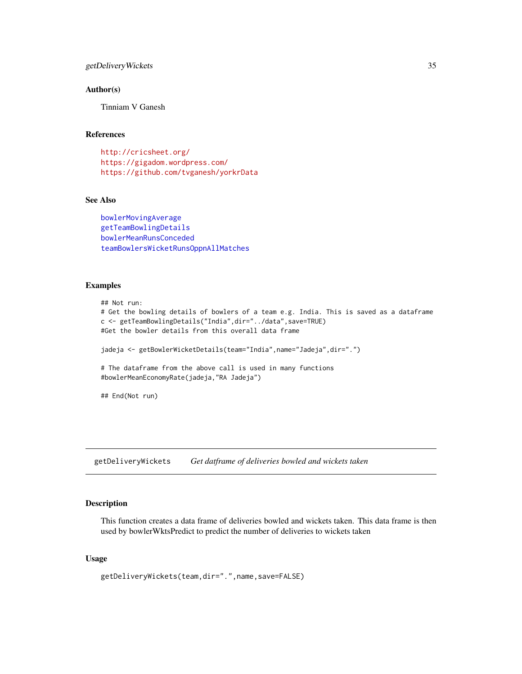# <span id="page-34-0"></span>getDeliveryWickets 35

#### Author(s)

Tinniam V Ganesh

#### References

<http://cricsheet.org/> <https://gigadom.wordpress.com/> <https://github.com/tvganesh/yorkrData>

#### See Also

[bowlerMovingAverage](#page-19-1) [getTeamBowlingDetails](#page-38-1) [bowlerMeanRunsConceded](#page-18-1) [teamBowlersWicketRunsOppnAllMatches](#page-97-1)

#### Examples

```
## Not run:
# Get the bowling details of bowlers of a team e.g. India. This is saved as a dataframe
c <- getTeamBowlingDetails("India",dir="../data",save=TRUE)
#Get the bowler details from this overall data frame
jadeja <- getBowlerWicketDetails(team="India",name="Jadeja",dir=".")
# The dataframe from the above call is used in many functions
#bowlerMeanEconomyRate(jadeja,"RA Jadeja")
## End(Not run)
```
getDeliveryWickets *Get datframe of deliveries bowled and wickets taken*

#### Description

This function creates a data frame of deliveries bowled and wickets taken. This data frame is then used by bowlerWktsPredict to predict the number of deliveries to wickets taken

#### Usage

```
getDeliveryWickets(team,dir=".",name,save=FALSE)
```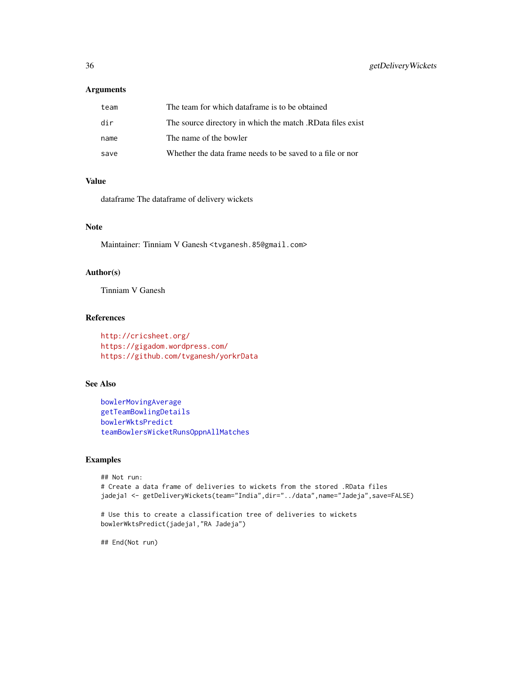# Arguments

| team | The team for which dataframe is to be obtained             |
|------|------------------------------------------------------------|
| dir  | The source directory in which the match .RData files exist |
| name | The name of the bowler                                     |
| save | Whether the data frame needs to be saved to a file or nor  |

# Value

dataframe The dataframe of delivery wickets

#### Note

Maintainer: Tinniam V Ganesh <tvganesh.85@gmail.com>

# Author(s)

Tinniam V Ganesh

#### References

<http://cricsheet.org/> <https://gigadom.wordpress.com/> <https://github.com/tvganesh/yorkrData>

# See Also

```
bowlerMovingAverage
getTeamBowlingDetails
bowlerWktsPredict
teamBowlersWicketRunsOppnAllMatches
```
#### Examples

```
## Not run:
# Create a data frame of deliveries to wickets from the stored .RData files
jadeja1 <- getDeliveryWickets(team="India",dir="../data",name="Jadeja",save=FALSE)
# Use this to create a classification tree of deliveries to wickets
```

```
bowlerWktsPredict(jadeja1,"RA Jadeja")
```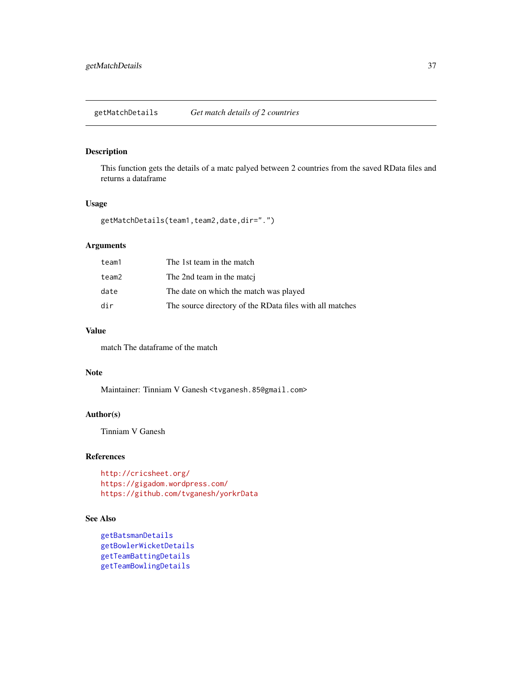getMatchDetails *Get match details of 2 countries*

#### Description

This function gets the details of a matc palyed between 2 countries from the saved RData files and returns a dataframe

#### Usage

```
getMatchDetails(team1,team2,date,dir=".")
```
# Arguments

| team1 | The 1st team in the match                                |
|-------|----------------------------------------------------------|
| team2 | The 2nd team in the matcj                                |
| date  | The date on which the match was played                   |
| dir   | The source directory of the RData files with all matches |

#### Value

match The dataframe of the match

#### Note

Maintainer: Tinniam V Ganesh <tvganesh.85@gmail.com>

### Author(s)

Tinniam V Ganesh

# References

<http://cricsheet.org/> <https://gigadom.wordpress.com/> <https://github.com/tvganesh/yorkrData>

# See Also

```
getBatsmanDetails
getBowlerWicketDetails
getTeamBattingDetails
getTeamBowlingDetails
```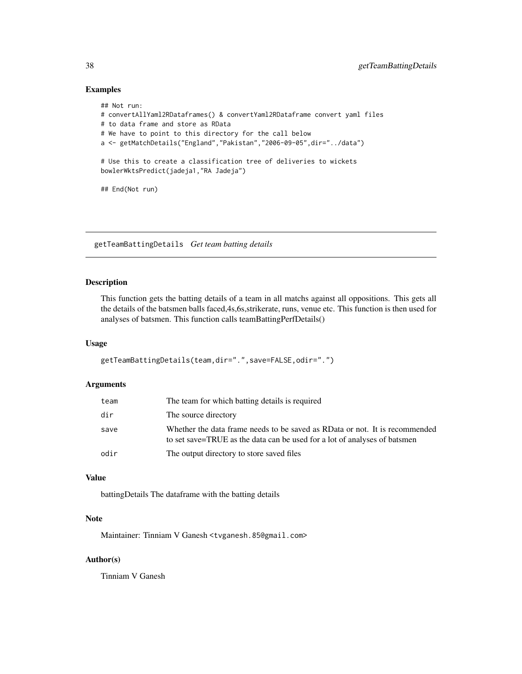#### Examples

```
## Not run:
# convertAllYaml2RDataframes() & convertYaml2RDataframe convert yaml files
# to data frame and store as RData
# We have to point to this directory for the call below
a <- getMatchDetails("England","Pakistan","2006-09-05",dir="../data")
# Use this to create a classification tree of deliveries to wickets
bowlerWktsPredict(jadeja1,"RA Jadeja")
## End(Not run)
```
<span id="page-37-0"></span>getTeamBattingDetails *Get team batting details*

## Description

This function gets the batting details of a team in all matchs against all oppositions. This gets all the details of the batsmen balls faced,4s,6s,strikerate, runs, venue etc. This function is then used for analyses of batsmen. This function calls teamBattingPerfDetails()

#### Usage

```
getTeamBattingDetails(team,dir=".",save=FALSE,odir=".")
```
#### Arguments

| team | The team for which batting details is required                                                                                                           |
|------|----------------------------------------------------------------------------------------------------------------------------------------------------------|
| dir  | The source directory                                                                                                                                     |
| save | Whether the data frame needs to be saved as RData or not. It is recommended<br>to set save=TRUE as the data can be used for a lot of analyses of batsmen |
| odir | The output directory to store saved files                                                                                                                |

#### Value

battingDetails The dataframe with the batting details

# Note

Maintainer: Tinniam V Ganesh <tvganesh.85@gmail.com>

### Author(s)

Tinniam V Ganesh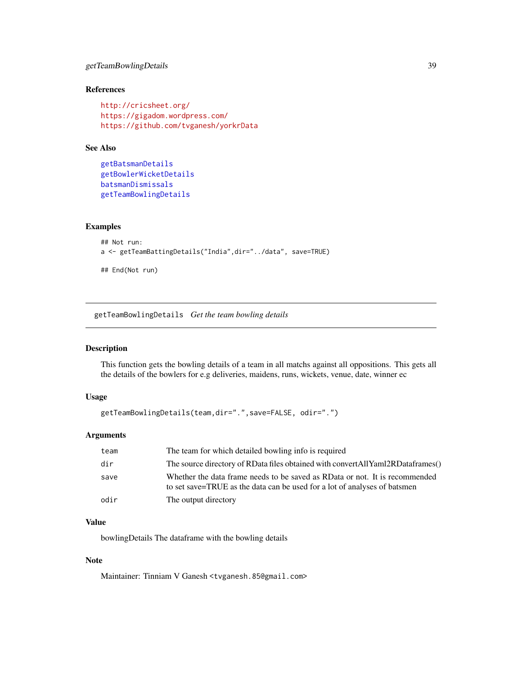## getTeamBowlingDetails 39

## References

```
http://cricsheet.org/
https://gigadom.wordpress.com/
https://github.com/tvganesh/yorkrData
```
#### See Also

```
getBatsmanDetails
getBowlerWicketDetails
batsmanDismissals
getTeamBowlingDetails
```
#### Examples

```
## Not run:
a <- getTeamBattingDetails("India",dir="../data", save=TRUE)
## End(Not run)
```
<span id="page-38-0"></span>getTeamBowlingDetails *Get the team bowling details*

### Description

This function gets the bowling details of a team in all matchs against all oppositions. This gets all the details of the bowlers for e.g deliveries, maidens, runs, wickets, venue, date, winner ec

#### Usage

```
getTeamBowlingDetails(team,dir=".",save=FALSE, odir=".")
```
### Arguments

| team | The team for which detailed bowling info is required                                                                                                     |
|------|----------------------------------------------------------------------------------------------------------------------------------------------------------|
| dir  | The source directory of RData files obtained with convertAllYaml2RDataframes()                                                                           |
| save | Whether the data frame needs to be saved as RData or not. It is recommended<br>to set save=TRUE as the data can be used for a lot of analyses of batsmen |
| odir | The output directory                                                                                                                                     |

# Value

bowlingDetails The dataframe with the bowling details

#### Note

Maintainer: Tinniam V Ganesh <tvganesh.85@gmail.com>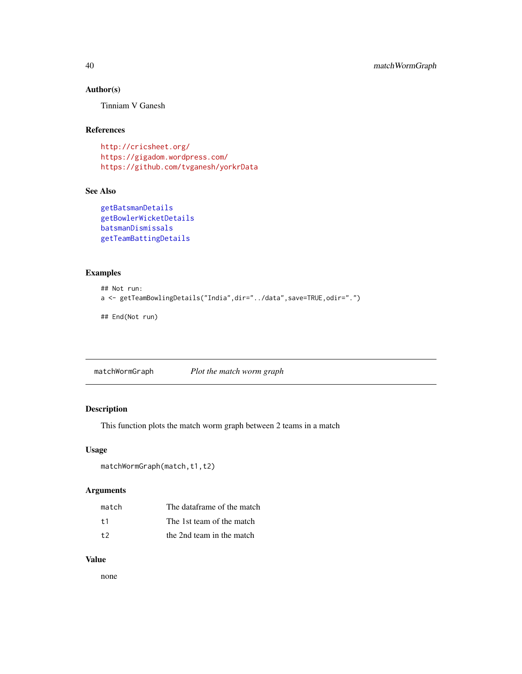## Author(s)

Tinniam V Ganesh

#### References

```
http://cricsheet.org/
https://gigadom.wordpress.com/
https://github.com/tvganesh/yorkrData
```
#### See Also

```
getBatsmanDetails
getBowlerWicketDetails
batsmanDismissals
getTeamBattingDetails
```
# Examples

```
## Not run:
a <- getTeamBowlingDetails("India",dir="../data",save=TRUE,odir=".")
## End(Not run)
```
matchWormGraph *Plot the match worm graph*

## Description

This function plots the match worm graph between 2 teams in a match

#### Usage

```
matchWormGraph(match,t1,t2)
```
## Arguments

| match | The dataframe of the match |
|-------|----------------------------|
| $+1$  | The 1st team of the match  |
| $+2$  | the 2nd team in the match  |

#### Value

none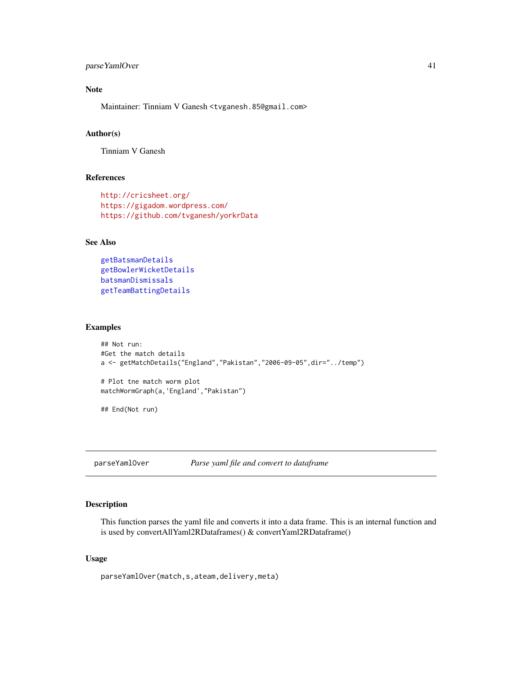## parse YamlOver 41

# Note

Maintainer: Tinniam V Ganesh <tvganesh.85@gmail.com>

#### Author(s)

Tinniam V Ganesh

## References

```
http://cricsheet.org/
https://gigadom.wordpress.com/
https://github.com/tvganesh/yorkrData
```
#### See Also

```
getBatsmanDetails
getBowlerWicketDetails
batsmanDismissals
getTeamBattingDetails
```
### Examples

```
## Not run:
#Get the match details
a <- getMatchDetails("England","Pakistan","2006-09-05",dir="../temp")
# Plot tne match worm plot
matchWormGraph(a,'England',"Pakistan")
## End(Not run)
```
parseYamlOver *Parse yaml file and convert to dataframe*

## Description

This function parses the yaml file and converts it into a data frame. This is an internal function and is used by convertAllYaml2RDataframes() & convertYaml2RDataframe()

#### Usage

parseYamlOver(match,s,ateam,delivery,meta)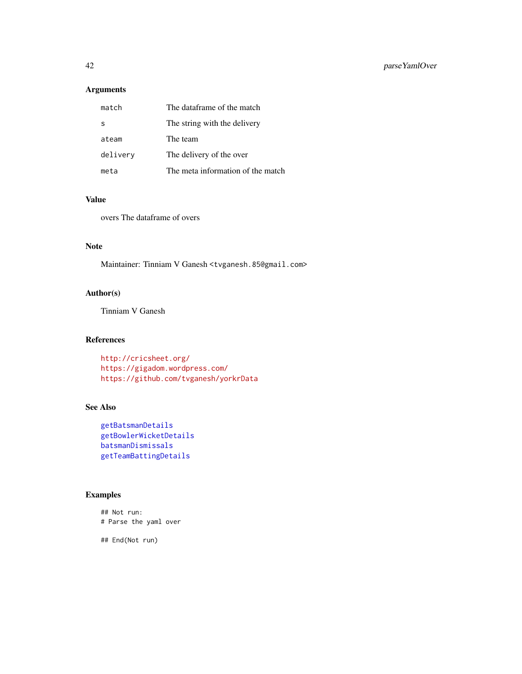# Arguments

| match    | The dataframe of the match        |
|----------|-----------------------------------|
| -S       | The string with the delivery      |
| ateam    | The team                          |
| delivery | The delivery of the over          |
| meta     | The meta information of the match |

#### Value

overs The dataframe of overs

# Note

Maintainer: Tinniam V Ganesh <tvganesh.85@gmail.com>

### Author(s)

Tinniam V Ganesh

#### References

```
http://cricsheet.org/
https://gigadom.wordpress.com/
https://github.com/tvganesh/yorkrData
```
## See Also

```
getBatsmanDetails
getBowlerWicketDetails
batsmanDismissals
getTeamBattingDetails
```
## Examples

## Not run: # Parse the yaml over

## End(Not run)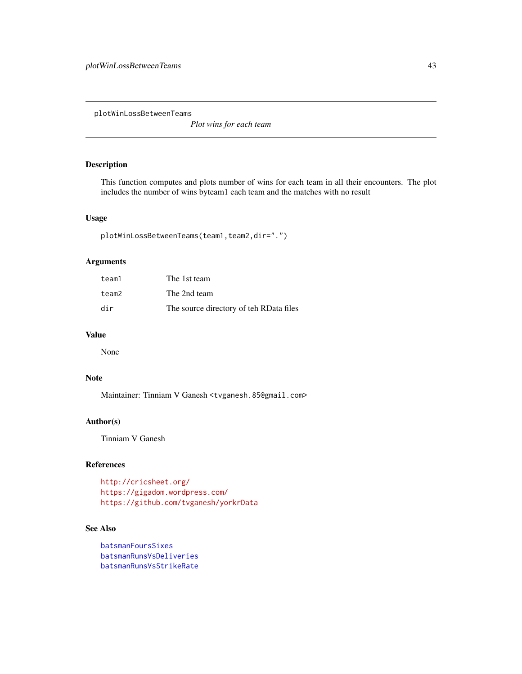plotWinLossBetweenTeams

*Plot wins for each team*

#### Description

This function computes and plots number of wins for each team in all their encounters. The plot includes the number of wins byteam1 each team and the matches with no result

#### Usage

```
plotWinLossBetweenTeams(team1,team2,dir=".")
```
## Arguments

| team1 | The 1st team                            |
|-------|-----------------------------------------|
| team2 | The 2nd team                            |
| dir   | The source directory of teh RData files |

#### Value

None

## Note

Maintainer: Tinniam V Ganesh <tvganesh.85@gmail.com>

### Author(s)

Tinniam V Ganesh

#### References

```
http://cricsheet.org/
https://gigadom.wordpress.com/
https://github.com/tvganesh/yorkrData
```
### See Also

```
batsmanFoursSixes
batsmanRunsVsDeliveries
batsmanRunsVsStrikeRate
```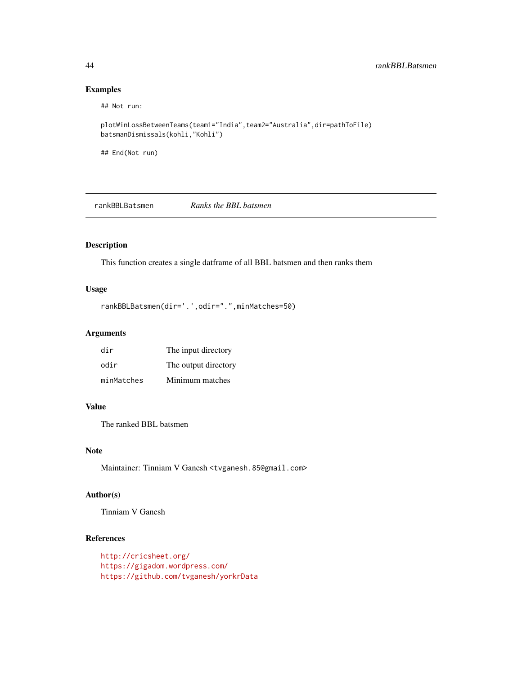### Examples

```
## Not run:
```

```
plotWinLossBetweenTeams(team1="India",team2="Australia",dir=pathToFile)
batsmanDismissals(kohli,"Kohli")
```
## End(Not run)

rankBBLBatsmen *Ranks the BBL batsmen*

# Description

This function creates a single datframe of all BBL batsmen and then ranks them

#### Usage

```
rankBBLBatsmen(dir='.',odir=".",minMatches=50)
```
#### Arguments

| dir        | The input directory  |
|------------|----------------------|
| odir       | The output directory |
| minMatches | Minimum matches      |

#### Value

The ranked BBL batsmen

#### Note

Maintainer: Tinniam V Ganesh <tvganesh.85@gmail.com>

#### Author(s)

Tinniam V Ganesh

# References

<http://cricsheet.org/> <https://gigadom.wordpress.com/> <https://github.com/tvganesh/yorkrData>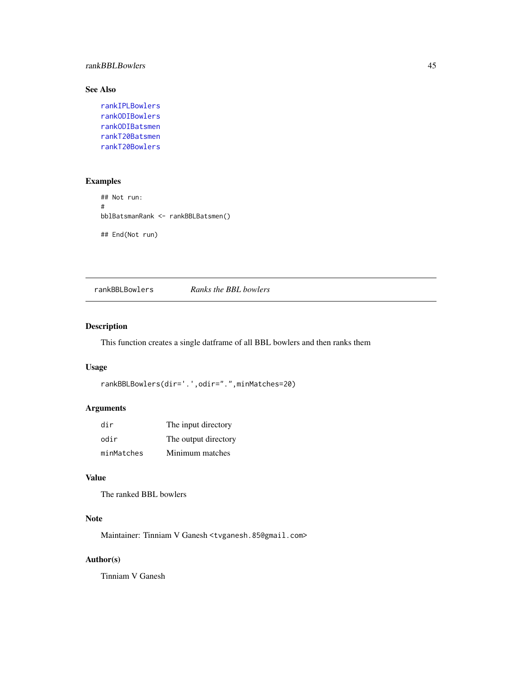#### rankBBLBowlers 45

# See Also

```
rankIPLBowlers
rankODIBowlers
rankODIBatsmen
rankT20Batsmen
rankT20Bowlers
```
## Examples

```
## Not run:
#
bblBatsmanRank <- rankBBLBatsmen()
## End(Not run)
```
rankBBLBowlers *Ranks the BBL bowlers*

## Description

This function creates a single datframe of all BBL bowlers and then ranks them

#### Usage

```
rankBBLBowlers(dir='.',odir=".",minMatches=20)
```
#### Arguments

| dir        | The input directory  |
|------------|----------------------|
| odir       | The output directory |
| minMatches | Minimum matches      |

# Value

The ranked BBL bowlers

# Note

Maintainer: Tinniam V Ganesh <tvganesh.85@gmail.com>

# Author(s)

Tinniam V Ganesh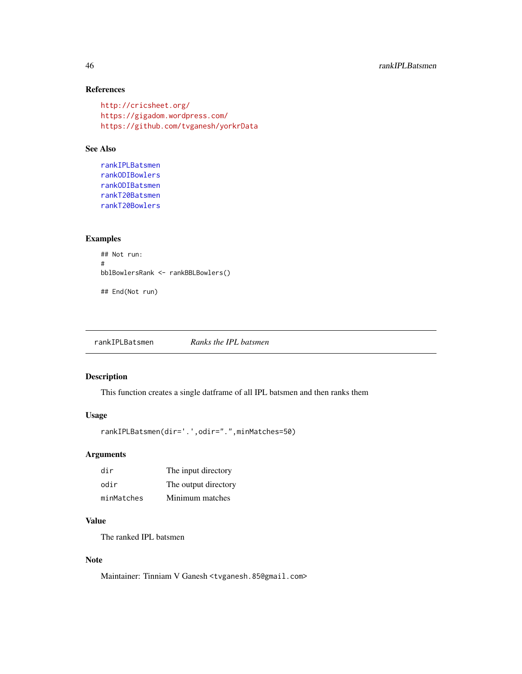## References

```
http://cricsheet.org/
https://gigadom.wordpress.com/
https://github.com/tvganesh/yorkrData
```
#### See Also

```
rankIPLBatsmen
rankODIBowlers
rankODIBatsmen
rankT20Batsmen
rankT20Bowlers
```
## Examples

```
## Not run:
#
bblBowlersRank <- rankBBLBowlers()
## End(Not run)
```
<span id="page-45-0"></span>rankIPLBatsmen *Ranks the IPL batsmen*

#### Description

This function creates a single datframe of all IPL batsmen and then ranks them

#### Usage

```
rankIPLBatsmen(dir='.',odir=".",minMatches=50)
```
#### Arguments

| dir        | The input directory  |
|------------|----------------------|
| odir       | The output directory |
| minMatches | Minimum matches      |

# Value

The ranked IPL batsmen

### Note

Maintainer: Tinniam V Ganesh <tvganesh.85@gmail.com>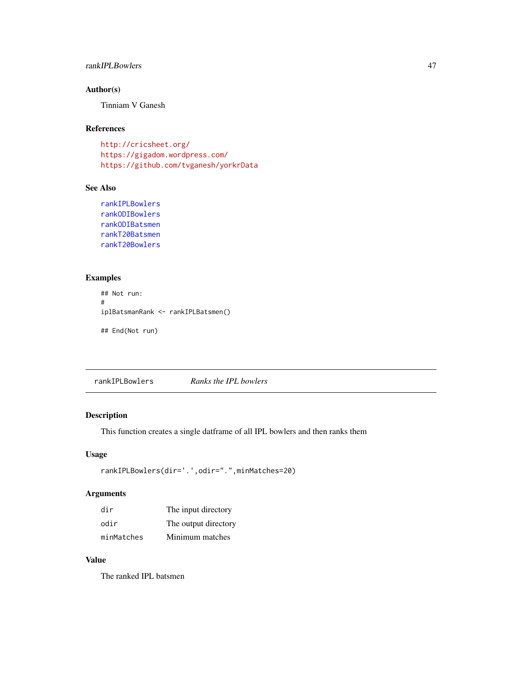#### rankIPLBowlers 47

# Author(s)

Tinniam V Ganesh

#### References

<http://cricsheet.org/> <https://gigadom.wordpress.com/> <https://github.com/tvganesh/yorkrData>

# See Also

```
rankIPLBowlers
rankODIBowlers
rankODIBatsmen
rankT20Batsmen
rankT20Bowlers
```
## Examples

```
## Not run:
#
iplBatsmanRank <- rankIPLBatsmen()
## End(Not run)
```
<span id="page-46-0"></span>rankIPLBowlers *Ranks the IPL bowlers*

#### Description

This function creates a single datframe of all IPL bowlers and then ranks them

### Usage

```
rankIPLBowlers(dir='.',odir=".",minMatches=20)
```
## Arguments

| dir        | The input directory  |
|------------|----------------------|
| odir       | The output directory |
| minMatches | Minimum matches      |

### Value

The ranked IPL batsmen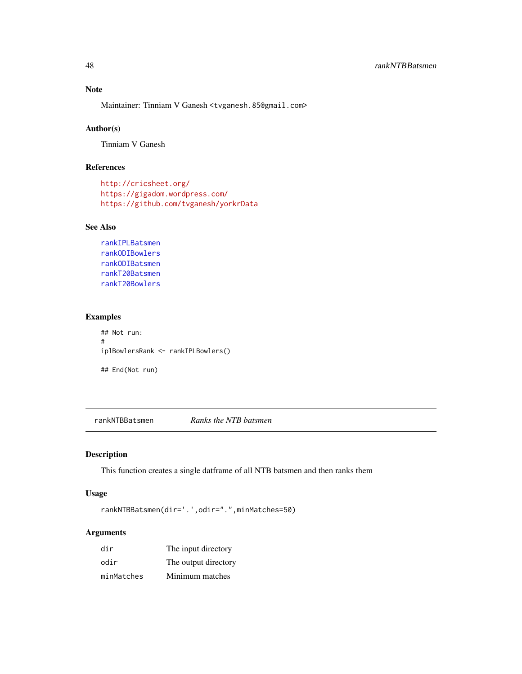# Note

Maintainer: Tinniam V Ganesh <tvganesh.85@gmail.com>

## Author(s)

Tinniam V Ganesh

## References

```
http://cricsheet.org/
https://gigadom.wordpress.com/
https://github.com/tvganesh/yorkrData
```
#### See Also

```
rankIPLBatsmen
rankODIBowlers
rankODIBatsmen
rankT20Batsmen
rankT20Bowlers
```
#### Examples

```
## Not run:
#
iplBowlersRank <- rankIPLBowlers()
## End(Not run)
```
rankNTBBatsmen *Ranks the NTB batsmen*

## Description

This function creates a single datframe of all NTB batsmen and then ranks them

#### Usage

rankNTBBatsmen(dir='.',odir=".",minMatches=50)

| dir        | The input directory  |
|------------|----------------------|
| odir       | The output directory |
| minMatches | Minimum matches      |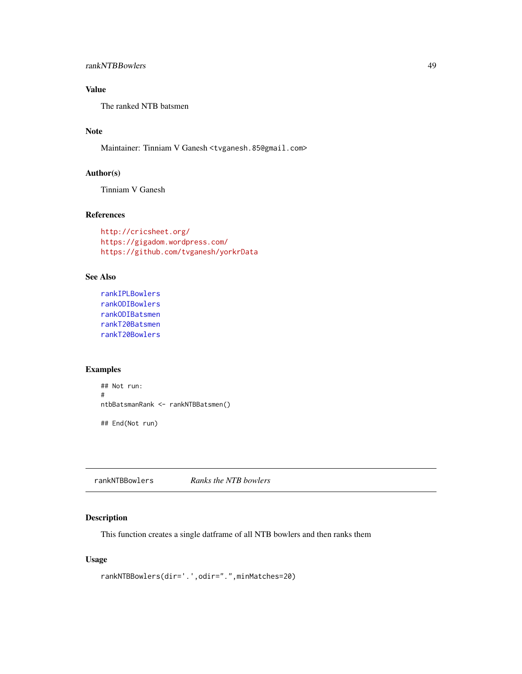The ranked NTB batsmen

# Note

Maintainer: Tinniam V Ganesh <tvganesh.85@gmail.com>

# Author(s)

Tinniam V Ganesh

# References

```
http://cricsheet.org/
https://gigadom.wordpress.com/
https://github.com/tvganesh/yorkrData
```
## See Also

```
rankIPLBowlers
rankODIBowlers
rankODIBatsmen
rankT20Batsmen
rankT20Bowlers
```
## Examples

```
## Not run:
#
ntbBatsmanRank <- rankNTBBatsmen()
## End(Not run)
```
rankNTBBowlers *Ranks the NTB bowlers*

## Description

This function creates a single datframe of all NTB bowlers and then ranks them

## Usage

```
rankNTBBowlers(dir='.',odir=".",minMatches=20)
```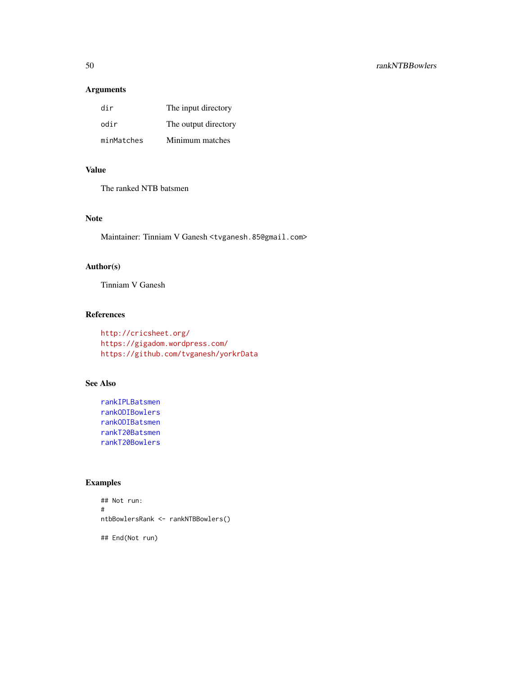# Arguments

| dir        | The input directory  |
|------------|----------------------|
| odir       | The output directory |
| minMatches | Minimum matches      |

# Value

The ranked NTB batsmen

### Note

Maintainer: Tinniam V Ganesh <tvganesh.85@gmail.com>

# Author(s)

Tinniam V Ganesh

#### References

```
http://cricsheet.org/
https://gigadom.wordpress.com/
https://github.com/tvganesh/yorkrData
```
# See Also

```
rankIPLBatsmen
rankODIBowlers
rankODIBatsmen
rankT20Batsmen
rankT20Bowlers
```
# Examples

```
## Not run:
#
ntbBowlersRank <- rankNTBBowlers()
## End(Not run)
```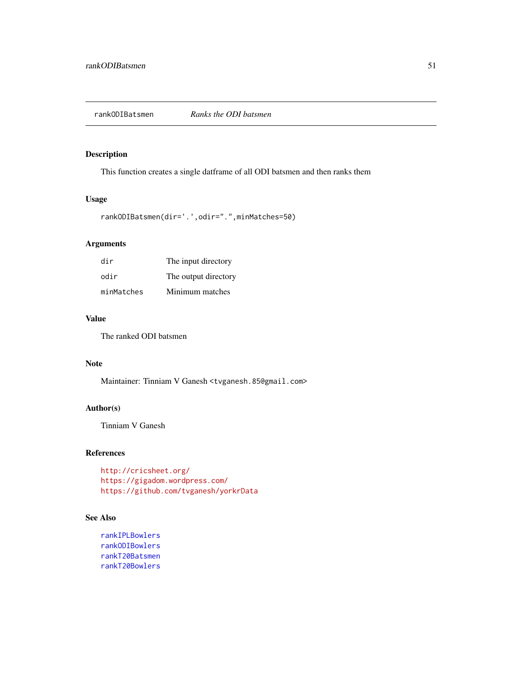<span id="page-50-0"></span>

# Description

This function creates a single datframe of all ODI batsmen and then ranks them

# Usage

```
rankODIBatsmen(dir='.',odir=".",minMatches=50)
```
# Arguments

| dir        | The input directory  |
|------------|----------------------|
| odir       | The output directory |
| minMatches | Minimum matches      |

#### Value

The ranked ODI batsmen

## Note

Maintainer: Tinniam V Ganesh <tvganesh.85@gmail.com>

#### Author(s)

Tinniam V Ganesh

### References

```
http://cricsheet.org/
https://gigadom.wordpress.com/
https://github.com/tvganesh/yorkrData
```
### See Also

```
rankIPLBowlers
rankODIBowlers
rankT20Batsmen
rankT20Bowlers
```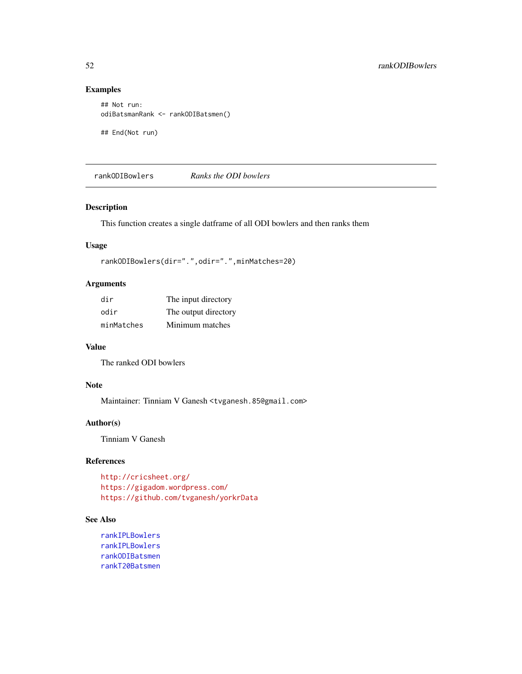## Examples

```
## Not run:
odiBatsmanRank <- rankODIBatsmen()
```
## End(Not run)

<span id="page-51-0"></span>rankODIBowlers *Ranks the ODI bowlers*

#### Description

This function creates a single datframe of all ODI bowlers and then ranks them

#### Usage

```
rankODIBowlers(dir=".",odir=".",minMatches=20)
```
## Arguments

| dir        | The input directory  |
|------------|----------------------|
| odir       | The output directory |
| minMatches | Minimum matches      |

# Value

The ranked ODI bowlers

# Note

Maintainer: Tinniam V Ganesh <tvganesh.85@gmail.com>

### Author(s)

Tinniam V Ganesh

# References

```
http://cricsheet.org/
https://gigadom.wordpress.com/
https://github.com/tvganesh/yorkrData
```
### See Also

```
rankIPLBowlers
rankIPLBowlers
rankODIBatsmen
rankT20Batsmen
```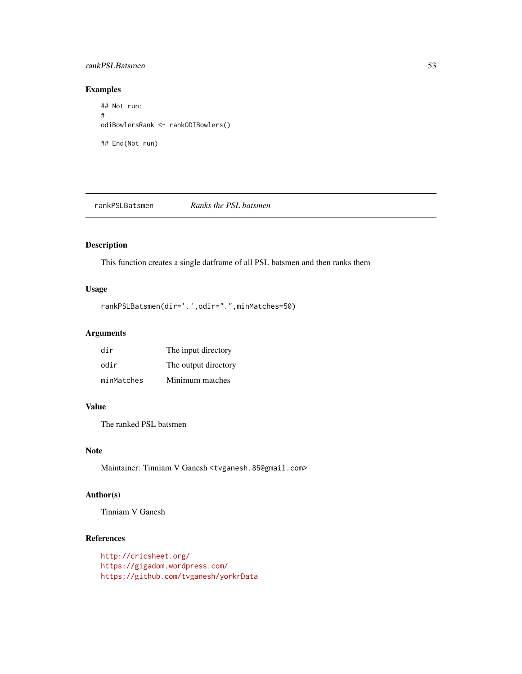#### rankPSLBatsmen 53

#### Examples

## Not run: # odiBowlersRank <- rankODIBowlers() ## End(Not run)

rankPSLBatsmen *Ranks the PSL batsmen*

# Description

This function creates a single datframe of all PSL batsmen and then ranks them

# Usage

```
rankPSLBatsmen(dir='.',odir=".",minMatches=50)
```
#### Arguments

| dir        | The input directory  |
|------------|----------------------|
| odir       | The output directory |
| minMatches | Minimum matches      |

#### Value

The ranked PSL batsmen

#### Note

Maintainer: Tinniam V Ganesh <tvganesh.85@gmail.com>

#### Author(s)

Tinniam V Ganesh

# References

<http://cricsheet.org/> <https://gigadom.wordpress.com/> <https://github.com/tvganesh/yorkrData>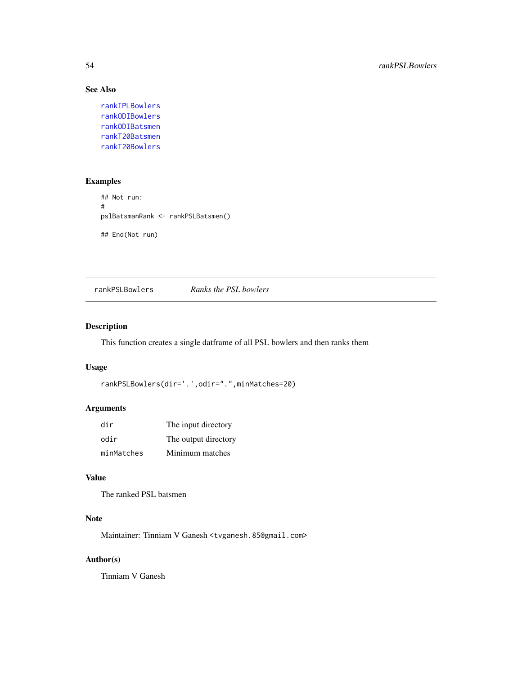# See Also

```
rankIPLBowlers
rankODIBowlers
rankODIBatsmen
rankT20Batsmen
rankT20Bowlers
```
## Examples

```
## Not run:
#
pslBatsmanRank <- rankPSLBatsmen()
## End(Not run)
```
rankPSLBowlers *Ranks the PSL bowlers*

## Description

This function creates a single datframe of all PSL bowlers and then ranks them

#### Usage

```
rankPSLBowlers(dir='.',odir=".",minMatches=20)
```
#### Arguments

| dir        | The input directory  |
|------------|----------------------|
| odir       | The output directory |
| minMatches | Minimum matches      |

# Value

The ranked PSL batsmen

### Note

Maintainer: Tinniam V Ganesh <tvganesh.85@gmail.com>

# Author(s)

Tinniam V Ganesh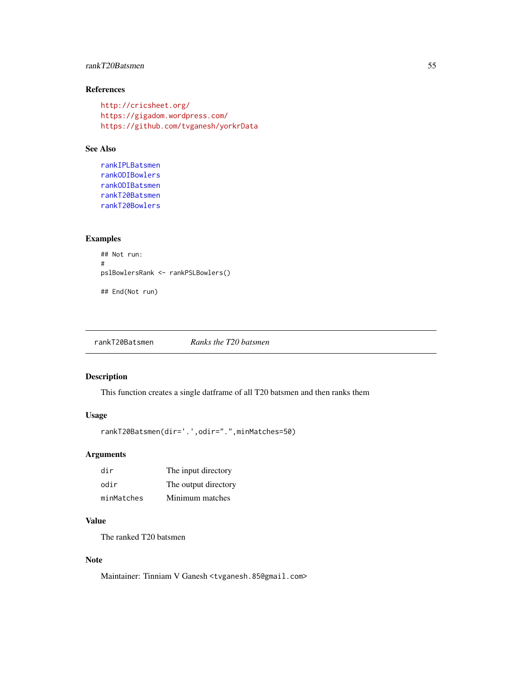## rankT20Batsmen 55

## References

```
http://cricsheet.org/
https://gigadom.wordpress.com/
https://github.com/tvganesh/yorkrData
```
#### See Also

```
rankIPLBatsmen
rankODIBowlers
rankODIBatsmen
rankT20Batsmen
rankT20Bowlers
```
## Examples

```
## Not run:
#
pslBowlersRank <- rankPSLBowlers()
## End(Not run)
```
<span id="page-54-0"></span>rankT20Batsmen *Ranks the T20 batsmen*

#### Description

This function creates a single datframe of all T20 batsmen and then ranks them

#### Usage

```
rankT20Batsmen(dir='.',odir=".",minMatches=50)
```
### Arguments

| dir        | The input directory  |
|------------|----------------------|
| odir       | The output directory |
| minMatches | Minimum matches      |

# Value

The ranked T20 batsmen

### Note

Maintainer: Tinniam V Ganesh <tvganesh.85@gmail.com>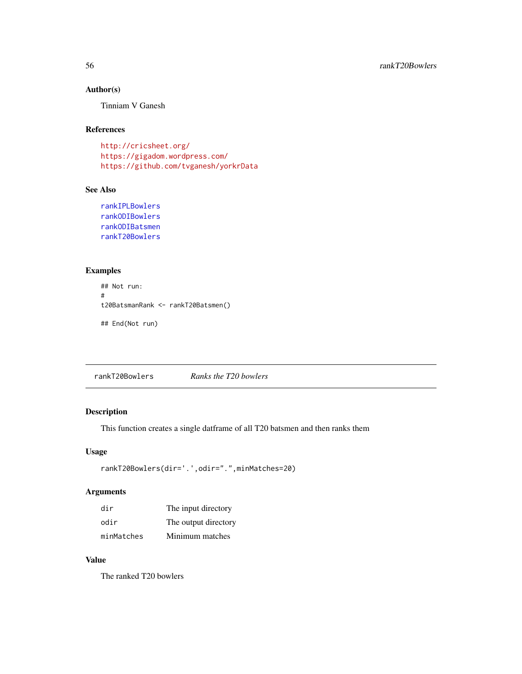## Author(s)

Tinniam V Ganesh

### References

<http://cricsheet.org/> <https://gigadom.wordpress.com/> <https://github.com/tvganesh/yorkrData>

### See Also

```
rankIPLBowlers
rankODIBowlers
rankODIBatsmen
rankT20Bowlers
```
## Examples

```
## Not run:
#
t20BatsmanRank <- rankT20Batsmen()
## End(Not run)
```
<span id="page-55-0"></span>rankT20Bowlers *Ranks the T20 bowlers*

## Description

This function creates a single datframe of all T20 batsmen and then ranks them

## Usage

```
rankT20Bowlers(dir='.',odir=".",minMatches=20)
```
## Arguments

| dir        | The input directory  |
|------------|----------------------|
| odir       | The output directory |
| minMatches | Minimum matches      |

## Value

The ranked T20 bowlers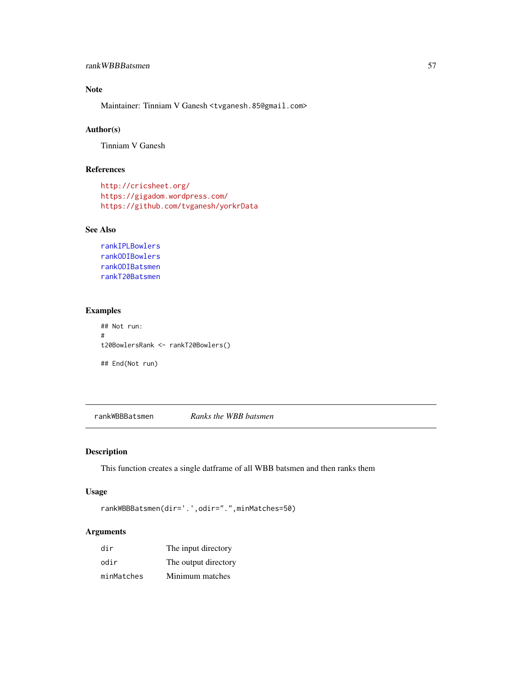# Note

Maintainer: Tinniam V Ganesh <tvganesh.85@gmail.com>

### Author(s)

Tinniam V Ganesh

# References

```
http://cricsheet.org/
https://gigadom.wordpress.com/
https://github.com/tvganesh/yorkrData
```
### See Also

```
rankIPLBowlers
rankODIBowlers
rankODIBatsmen
rankT20Batsmen
```
#### Examples

```
## Not run:
#
t20BowlersRank <- rankT20Bowlers()
## End(Not run)
```
rankWBBBatsmen *Ranks the WBB batsmen*

## Description

This function creates a single datframe of all WBB batsmen and then ranks them

# Usage

rankWBBBatsmen(dir='.',odir=".",minMatches=50)

| dir        | The input directory  |
|------------|----------------------|
| odir       | The output directory |
| minMatches | Minimum matches      |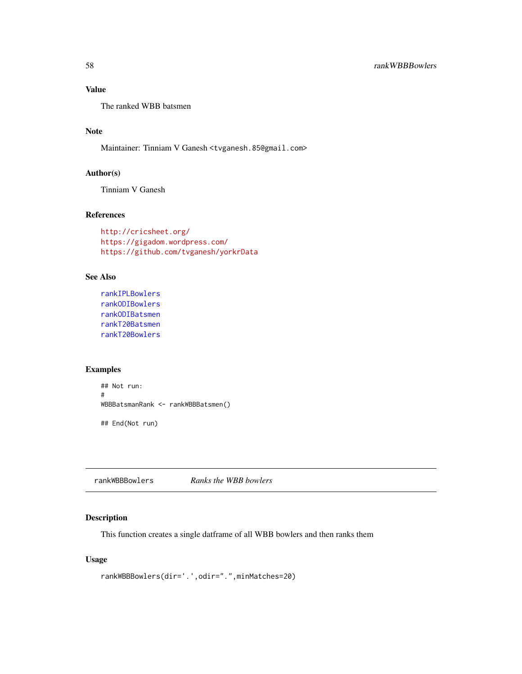The ranked WBB batsmen

# Note

Maintainer: Tinniam V Ganesh <tvganesh.85@gmail.com>

## Author(s)

Tinniam V Ganesh

# References

```
http://cricsheet.org/
https://gigadom.wordpress.com/
https://github.com/tvganesh/yorkrData
```
## See Also

```
rankIPLBowlers
rankODIBowlers
rankODIBatsmen
rankT20Batsmen
rankT20Bowlers
```
## Examples

```
## Not run:
#
WBBBatsmanRank <- rankWBBBatsmen()
## End(Not run)
```
rankWBBBowlers *Ranks the WBB bowlers*

## Description

This function creates a single datframe of all WBB bowlers and then ranks them

## Usage

```
rankWBBBowlers(dir='.',odir=".",minMatches=20)
```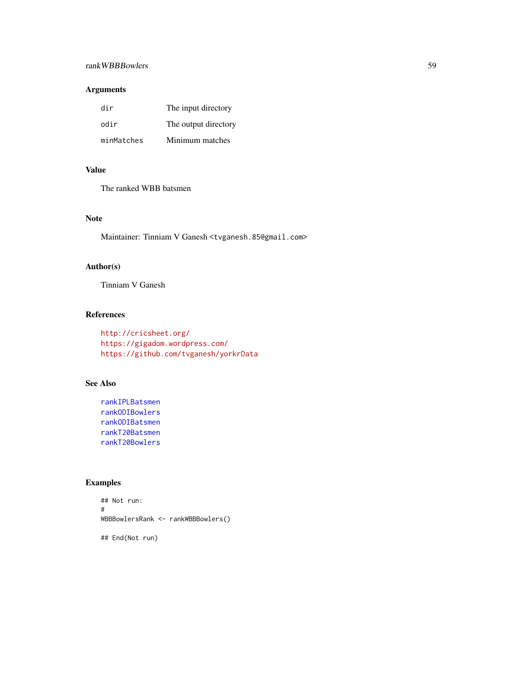# rankWBBBowlers 59

# Arguments

| dir        | The input directory  |
|------------|----------------------|
| odir       | The output directory |
| minMatches | Minimum matches      |

# Value

The ranked WBB batsmen

### Note

Maintainer: Tinniam V Ganesh <tvganesh.85@gmail.com>

# Author(s)

Tinniam V Ganesh

## References

```
http://cricsheet.org/
https://gigadom.wordpress.com/
https://github.com/tvganesh/yorkrData
```
# See Also

```
rankIPLBatsmen
rankODIBowlers
rankODIBatsmen
rankT20Batsmen
rankT20Bowlers
```
# Examples

```
## Not run:
#
WBBBowlersRank <- rankWBBBowlers()
## End(Not run)
```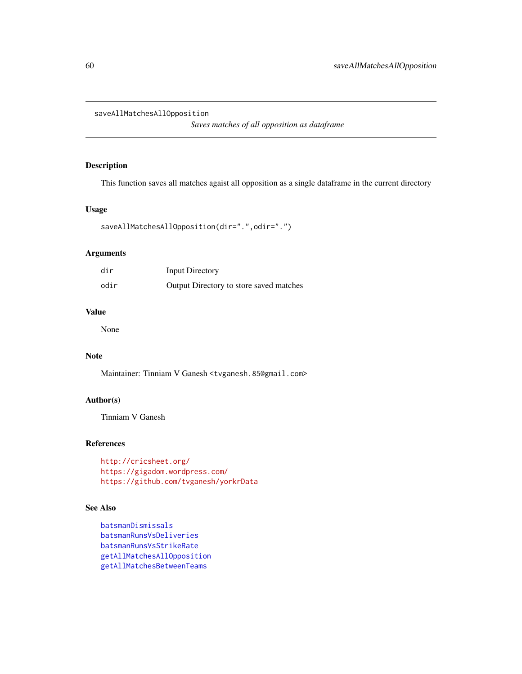#### saveAllMatchesAllOpposition

*Saves matches of all opposition as dataframe*

#### Description

This function saves all matches agaist all opposition as a single dataframe in the current directory

#### Usage

```
saveAllMatchesAllOpposition(dir=".",odir=".")
```
#### Arguments

| dir  | <b>Input Directory</b>                  |
|------|-----------------------------------------|
| odir | Output Directory to store saved matches |

## Value

None

# Note

Maintainer: Tinniam V Ganesh <tvganesh.85@gmail.com>

## Author(s)

Tinniam V Ganesh

#### References

<http://cricsheet.org/> <https://gigadom.wordpress.com/> <https://github.com/tvganesh/yorkrData>

#### See Also

```
batsmanDismissals
batsmanRunsVsDeliveries
batsmanRunsVsStrikeRate
getAllMatchesAllOpposition
getAllMatchesBetweenTeams
```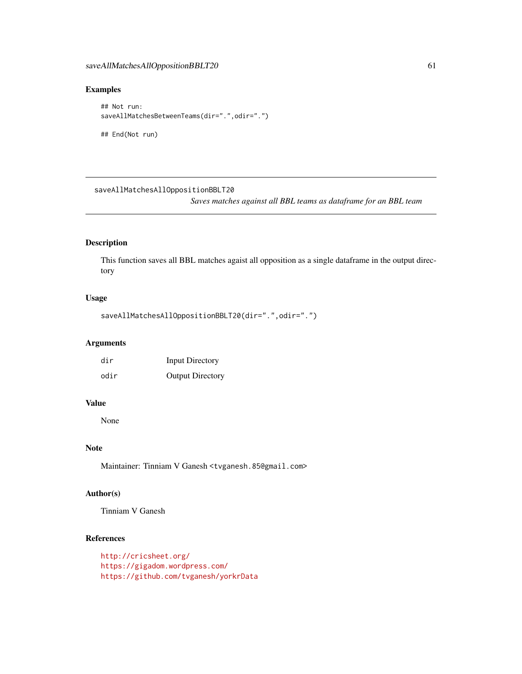#### Examples

```
## Not run:
saveAllMatchesBetweenTeams(dir=".",odir=".")
## End(Not run)
```
saveAllMatchesAllOppositionBBLT20

*Saves matches against all BBL teams as dataframe for an BBL team*

## Description

This function saves all BBL matches agaist all opposition as a single dataframe in the output directory

#### Usage

```
saveAllMatchesAllOppositionBBLT20(dir=".",odir=".")
```
## Arguments

| dir  | <b>Input Directory</b>  |
|------|-------------------------|
| odir | <b>Output Directory</b> |

# Value

None

# Note

Maintainer: Tinniam V Ganesh <tvganesh.85@gmail.com>

## Author(s)

Tinniam V Ganesh

# References

```
http://cricsheet.org/
https://gigadom.wordpress.com/
https://github.com/tvganesh/yorkrData
```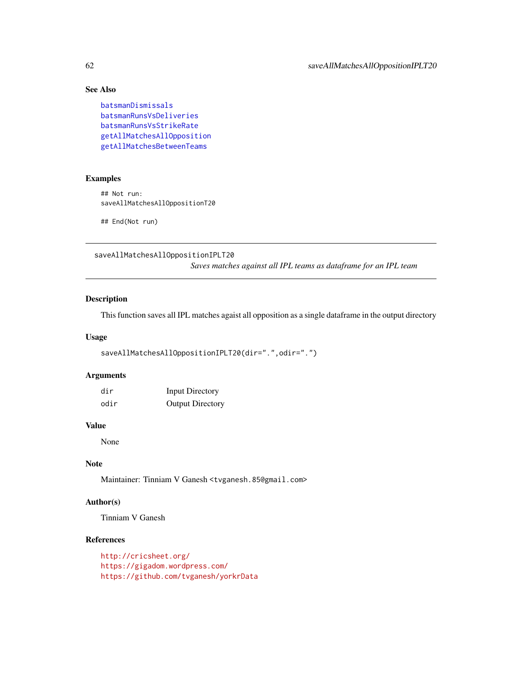# See Also

```
batsmanDismissals
batsmanRunsVsDeliveries
batsmanRunsVsStrikeRate
getAllMatchesAllOpposition
getAllMatchesBetweenTeams
```
## Examples

## Not run: saveAllMatchesAllOppositionT20

## End(Not run)

saveAllMatchesAllOppositionIPLT20

*Saves matches against all IPL teams as dataframe for an IPL team*

## Description

This function saves all IPL matches agaist all opposition as a single dataframe in the output directory

### Usage

```
saveAllMatchesAllOppositionIPLT20(dir=".",odir=".")
```
## Arguments

| dir  | <b>Input Directory</b>  |
|------|-------------------------|
| odir | <b>Output Directory</b> |

#### Value

None

# Note

Maintainer: Tinniam V Ganesh <tvganesh.85@gmail.com>

# Author(s)

Tinniam V Ganesh

### References

<http://cricsheet.org/> <https://gigadom.wordpress.com/> <https://github.com/tvganesh/yorkrData>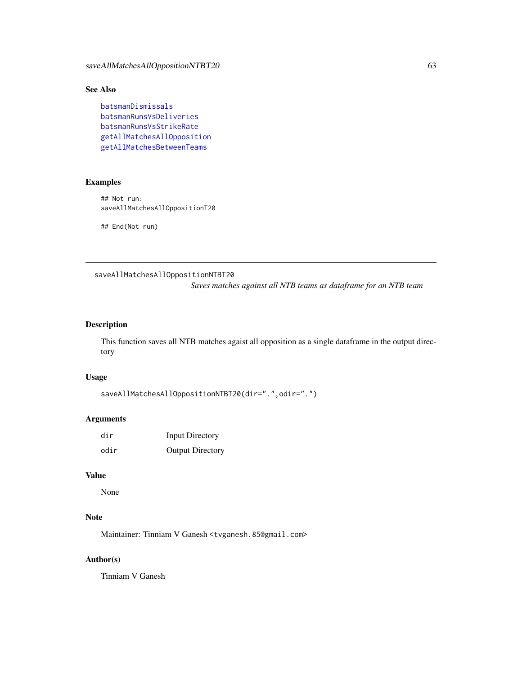# See Also

```
batsmanDismissals
batsmanRunsVsDeliveries
batsmanRunsVsStrikeRate
getAllMatchesAllOpposition
getAllMatchesBetweenTeams
```
## Examples

## Not run: saveAllMatchesAllOppositionT20

## End(Not run)

saveAllMatchesAllOppositionNTBT20

*Saves matches against all NTB teams as dataframe for an NTB team*

## Description

This function saves all NTB matches agaist all opposition as a single dataframe in the output directory

#### Usage

```
saveAllMatchesAllOppositionNTBT20(dir=".",odir=".")
```
#### Arguments

| dir  | <b>Input Directory</b>  |
|------|-------------------------|
| odir | <b>Output Directory</b> |

#### Value

None

## Note

Maintainer: Tinniam V Ganesh <tvganesh.85@gmail.com>

## Author(s)

Tinniam V Ganesh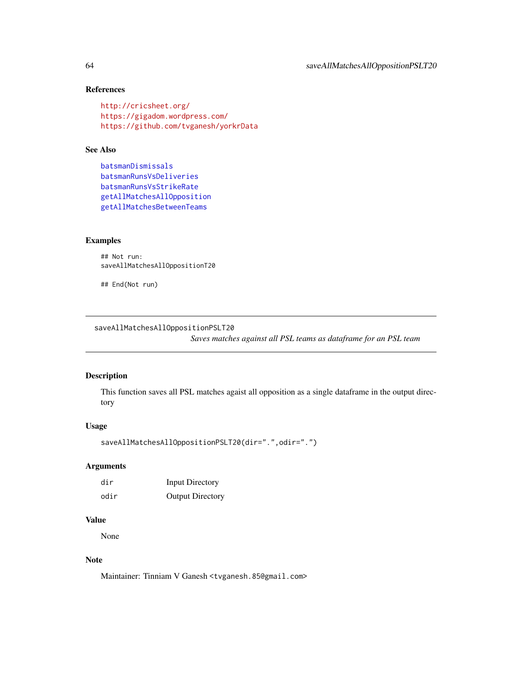## References

```
http://cricsheet.org/
https://gigadom.wordpress.com/
https://github.com/tvganesh/yorkrData
```
# See Also

```
batsmanDismissals
batsmanRunsVsDeliveries
batsmanRunsVsStrikeRate
getAllMatchesAllOpposition
getAllMatchesBetweenTeams
```
#### Examples

```
## Not run:
saveAllMatchesAllOppositionT20
```
## End(Not run)

saveAllMatchesAllOppositionPSLT20

*Saves matches against all PSL teams as dataframe for an PSL team*

#### Description

This function saves all PSL matches agaist all opposition as a single dataframe in the output directory

#### Usage

```
saveAllMatchesAllOppositionPSLT20(dir=".",odir=".")
```
#### Arguments

| dir  | <b>Input Directory</b>  |
|------|-------------------------|
| odir | <b>Output Directory</b> |

# Value

None

# Note

Maintainer: Tinniam V Ganesh <tvganesh.85@gmail.com>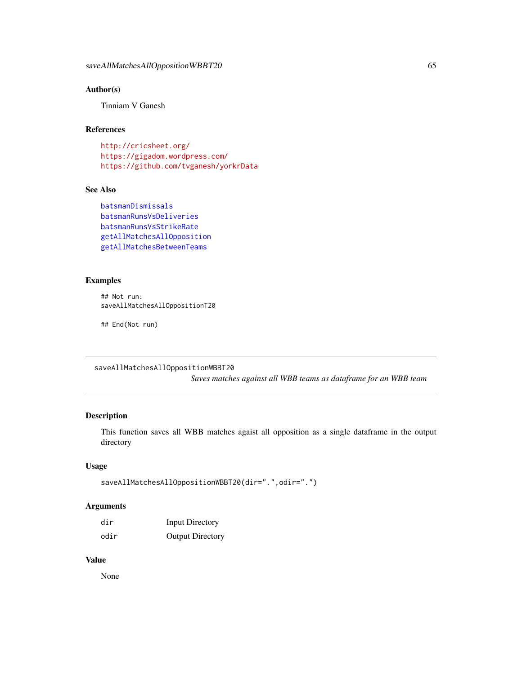# Author(s)

Tinniam V Ganesh

### References

<http://cricsheet.org/> <https://gigadom.wordpress.com/> <https://github.com/tvganesh/yorkrData>

### See Also

```
batsmanDismissals
batsmanRunsVsDeliveries
batsmanRunsVsStrikeRate
getAllMatchesAllOpposition
getAllMatchesBetweenTeams
```
#### Examples

```
## Not run:
saveAllMatchesAllOppositionT20
```
## End(Not run)

saveAllMatchesAllOppositionWBBT20

*Saves matches against all WBB teams as dataframe for an WBB team*

## Description

This function saves all WBB matches agaist all opposition as a single dataframe in the output directory

#### Usage

```
saveAllMatchesAllOppositionWBBT20(dir=".",odir=".")
```
### Arguments

| dir  | <b>Input Directory</b>  |
|------|-------------------------|
| odir | <b>Output Directory</b> |

#### Value

None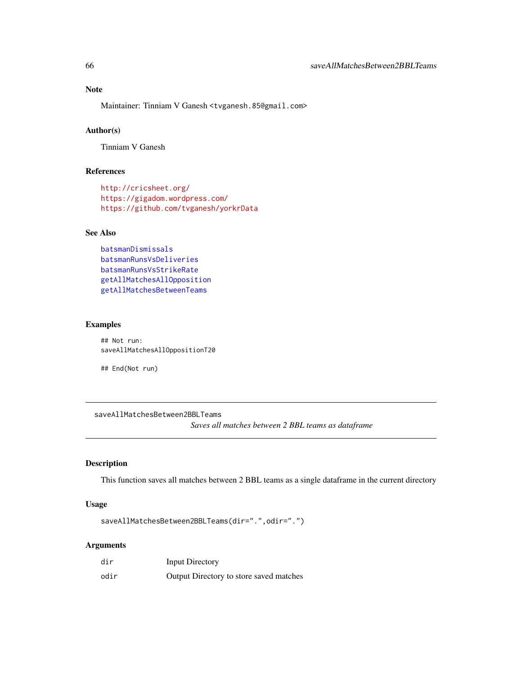Maintainer: Tinniam V Ganesh <tvganesh.85@gmail.com>

### Author(s)

Tinniam V Ganesh

### References

```
http://cricsheet.org/
https://gigadom.wordpress.com/
https://github.com/tvganesh/yorkrData
```
## See Also

```
batsmanDismissals
batsmanRunsVsDeliveries
batsmanRunsVsStrikeRate
getAllMatchesAllOpposition
getAllMatchesBetweenTeams
```
#### Examples

## Not run: saveAllMatchesAllOppositionT20

## End(Not run)

saveAllMatchesBetween2BBLTeams

*Saves all matches between 2 BBL teams as dataframe*

## Description

This function saves all matches between 2 BBL teams as a single dataframe in the current directory

#### Usage

saveAllMatchesBetween2BBLTeams(dir=".",odir=".")

| dir  | Input Directory                         |
|------|-----------------------------------------|
| odir | Output Directory to store saved matches |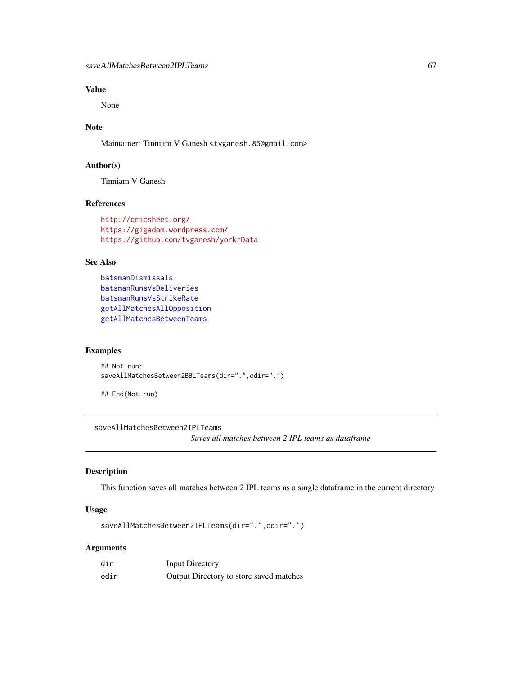None

# Note

Maintainer: Tinniam V Ganesh <tvganesh.85@gmail.com>

### Author(s)

Tinniam V Ganesh

# References

```
http://cricsheet.org/
https://gigadom.wordpress.com/
https://github.com/tvganesh/yorkrData
```
## See Also

```
batsmanDismissals
batsmanRunsVsDeliveries
batsmanRunsVsStrikeRate
getAllMatchesAllOpposition
getAllMatchesBetweenTeams
```
#### Examples

```
## Not run:
saveAllMatchesBetween2BBLTeams(dir=".",odir=".")
```
## End(Not run)

saveAllMatchesBetween2IPLTeams

*Saves all matches between 2 IPL teams as dataframe*

#### Description

This function saves all matches between 2 IPL teams as a single dataframe in the current directory

## Usage

saveAllMatchesBetween2IPLTeams(dir=".",odir=".")

| dir  | Input Directory                         |
|------|-----------------------------------------|
| odir | Output Directory to store saved matches |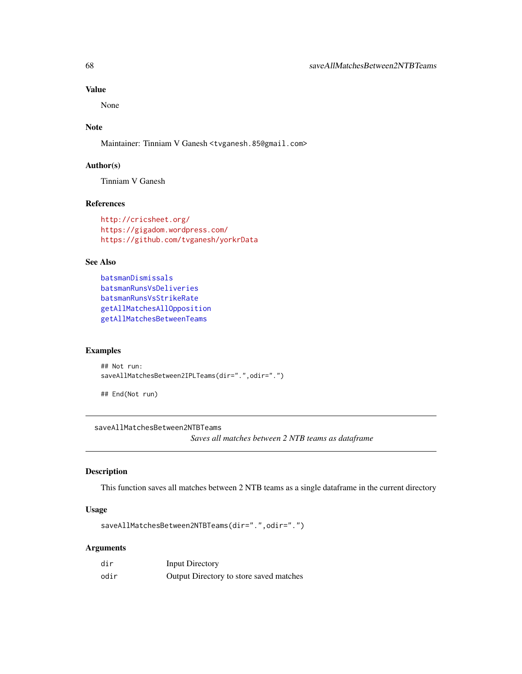None

# Note

Maintainer: Tinniam V Ganesh <tvganesh.85@gmail.com>

### Author(s)

Tinniam V Ganesh

# References

```
http://cricsheet.org/
https://gigadom.wordpress.com/
https://github.com/tvganesh/yorkrData
```
## See Also

```
batsmanDismissals
batsmanRunsVsDeliveries
batsmanRunsVsStrikeRate
getAllMatchesAllOpposition
getAllMatchesBetweenTeams
```
#### Examples

```
## Not run:
saveAllMatchesBetween2IPLTeams(dir=".",odir=".")
```
## End(Not run)

saveAllMatchesBetween2NTBTeams

*Saves all matches between 2 NTB teams as dataframe*

#### Description

This function saves all matches between 2 NTB teams as a single dataframe in the current directory

## Usage

```
saveAllMatchesBetween2NTBTeams(dir=".",odir=".")
```

| dir  | Input Directory                         |
|------|-----------------------------------------|
| odir | Output Directory to store saved matches |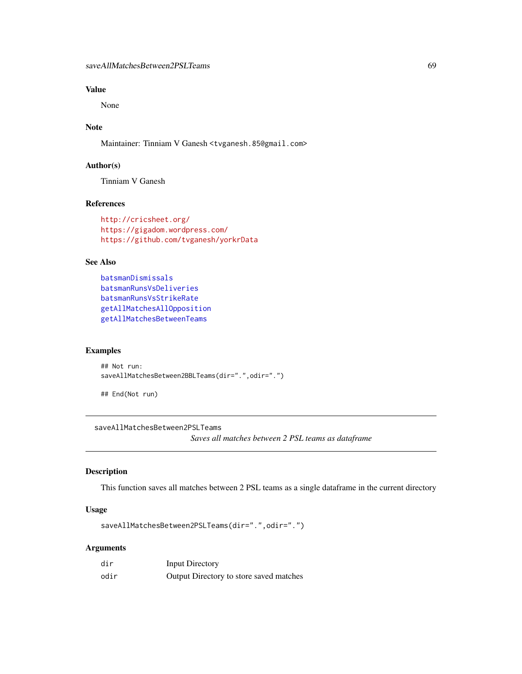None

# Note

Maintainer: Tinniam V Ganesh <tvganesh.85@gmail.com>

### Author(s)

Tinniam V Ganesh

# References

```
http://cricsheet.org/
https://gigadom.wordpress.com/
https://github.com/tvganesh/yorkrData
```
## See Also

```
batsmanDismissals
batsmanRunsVsDeliveries
batsmanRunsVsStrikeRate
getAllMatchesAllOpposition
getAllMatchesBetweenTeams
```
#### Examples

```
## Not run:
saveAllMatchesBetween2BBLTeams(dir=".",odir=".")
```
## End(Not run)

saveAllMatchesBetween2PSLTeams

*Saves all matches between 2 PSL teams as dataframe*

#### Description

This function saves all matches between 2 PSL teams as a single dataframe in the current directory

## Usage

saveAllMatchesBetween2PSLTeams(dir=".",odir=".")

| dir  | Input Directory                         |
|------|-----------------------------------------|
| odir | Output Directory to store saved matches |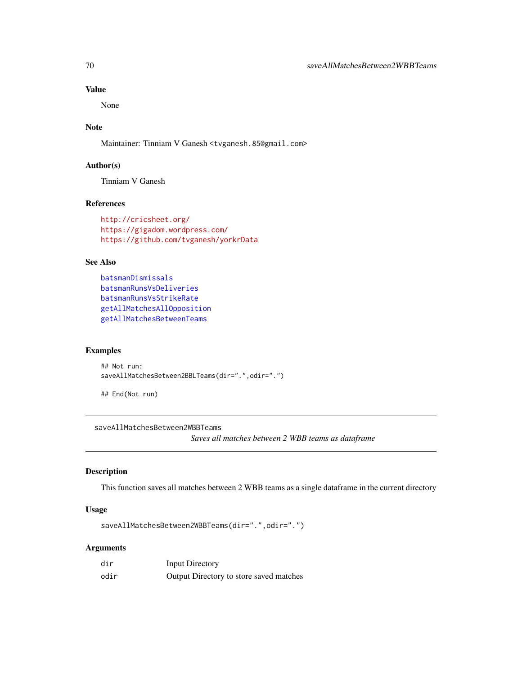None

# Note

Maintainer: Tinniam V Ganesh <tvganesh.85@gmail.com>

#### Author(s)

Tinniam V Ganesh

# References

```
http://cricsheet.org/
https://gigadom.wordpress.com/
https://github.com/tvganesh/yorkrData
```
## See Also

```
batsmanDismissals
batsmanRunsVsDeliveries
batsmanRunsVsStrikeRate
getAllMatchesAllOpposition
getAllMatchesBetweenTeams
```
#### Examples

```
## Not run:
saveAllMatchesBetween2BBLTeams(dir=".",odir=".")
```
## End(Not run)

saveAllMatchesBetween2WBBTeams

*Saves all matches between 2 WBB teams as dataframe*

#### Description

This function saves all matches between 2 WBB teams as a single dataframe in the current directory

## Usage

saveAllMatchesBetween2WBBTeams(dir=".",odir=".")

| dir  | Input Directory                         |
|------|-----------------------------------------|
| odir | Output Directory to store saved matches |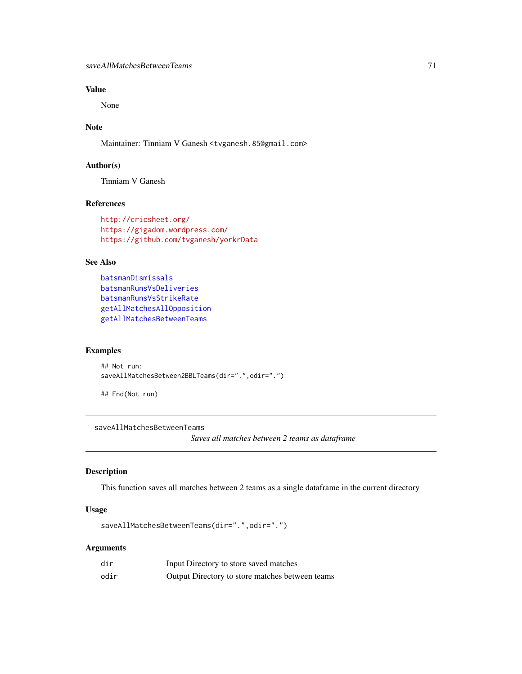None

# Note

Maintainer: Tinniam V Ganesh <tvganesh.85@gmail.com>

### Author(s)

Tinniam V Ganesh

# References

```
http://cricsheet.org/
https://gigadom.wordpress.com/
https://github.com/tvganesh/yorkrData
```
## See Also

```
batsmanDismissals
batsmanRunsVsDeliveries
batsmanRunsVsStrikeRate
getAllMatchesAllOpposition
getAllMatchesBetweenTeams
```
## Examples

```
## Not run:
saveAllMatchesBetween2BBLTeams(dir=".",odir=".")
```
## End(Not run)

#### saveAllMatchesBetweenTeams

*Saves all matches between 2 teams as dataframe*

#### Description

This function saves all matches between 2 teams as a single dataframe in the current directory

## Usage

```
saveAllMatchesBetweenTeams(dir=".",odir=".")
```

| dir  | Input Directory to store saved matches          |
|------|-------------------------------------------------|
| odir | Output Directory to store matches between teams |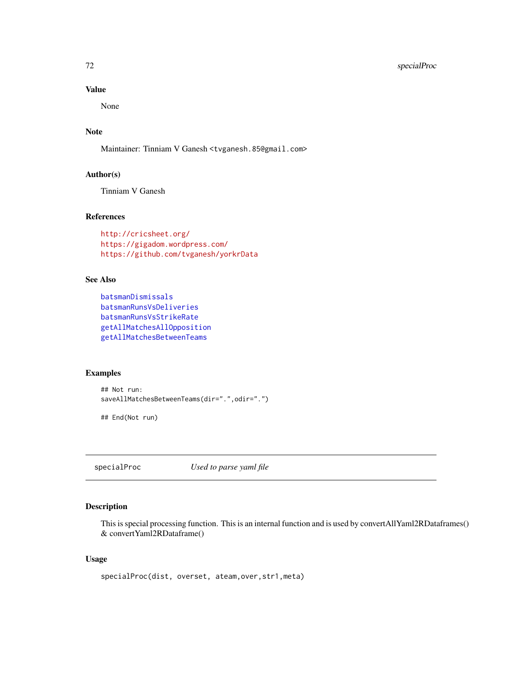## 72 specialProc

## Value

None

# Note

Maintainer: Tinniam V Ganesh <tvganesh.85@gmail.com>

### Author(s)

Tinniam V Ganesh

# References

```
http://cricsheet.org/
https://gigadom.wordpress.com/
https://github.com/tvganesh/yorkrData
```
### See Also

```
batsmanDismissals
batsmanRunsVsDeliveries
batsmanRunsVsStrikeRate
getAllMatchesAllOpposition
getAllMatchesBetweenTeams
```
#### Examples

```
## Not run:
saveAllMatchesBetweenTeams(dir=".",odir=".")
```
## End(Not run)

specialProc *Used to parse yaml file*

## Description

This is special processing function. This is an internal function and is used by convertAllYaml2RDataframes() & convertYaml2RDataframe()

#### Usage

```
specialProc(dist, overset, ateam,over,str1,meta)
```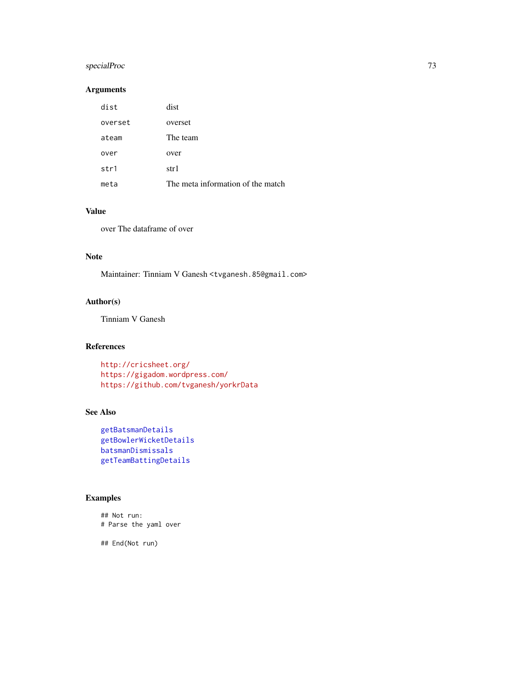# specialProc 73

# Arguments

| dist    | dist                              |
|---------|-----------------------------------|
| overset | overset                           |
| ateam   | The team                          |
| over    | over                              |
| str1    | str1                              |
| meta    | The meta information of the match |

# Value

over The dataframe of over

# Note

Maintainer: Tinniam V Ganesh <tvganesh.85@gmail.com>

# Author(s)

Tinniam V Ganesh

# References

<http://cricsheet.org/> <https://gigadom.wordpress.com/> <https://github.com/tvganesh/yorkrData>

# See Also

```
getBatsmanDetails
getBowlerWicketDetails
batsmanDismissals
getTeamBattingDetails
```
# Examples

## Not run: # Parse the yaml over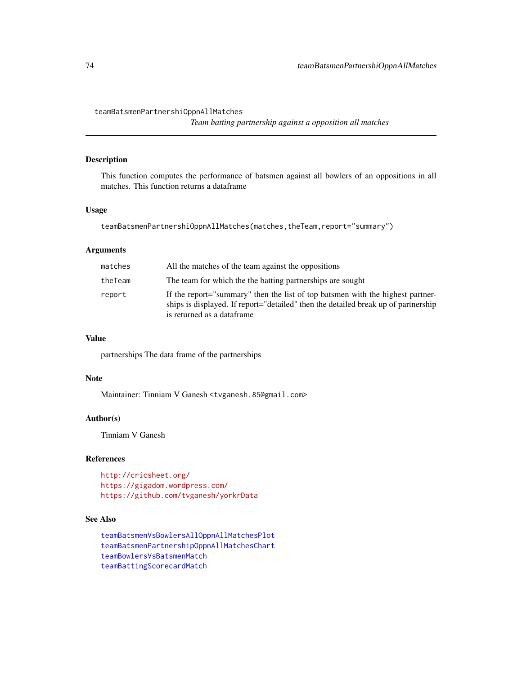teamBatsmenPartnershiOppnAllMatches

*Team batting partnership against a opposition all matches*

# Description

This function computes the performance of batsmen against all bowlers of an oppositions in all matches. This function returns a dataframe

# Usage

teamBatsmenPartnershiOppnAllMatches(matches,theTeam,report="summary")

# Arguments

| matches | All the matches of the team against the oppositions                                                                                                                                                 |
|---------|-----------------------------------------------------------------------------------------------------------------------------------------------------------------------------------------------------|
| theTeam | The team for which the the batting partnerships are sought                                                                                                                                          |
| report  | If the report="summary" then the list of top batsmen with the highest partner-<br>ships is displayed. If report="detailed" then the detailed break up of partnership<br>is returned as a dataframe. |

#### Value

partnerships The data frame of the partnerships

# Note

Maintainer: Tinniam V Ganesh <tvganesh.85@gmail.com>

# Author(s)

Tinniam V Ganesh

# References

<http://cricsheet.org/> <https://gigadom.wordpress.com/> <https://github.com/tvganesh/yorkrData>

# See Also

[teamBatsmenVsBowlersAllOppnAllMatchesPlot](#page-79-0) [teamBatsmenPartnershipOppnAllMatchesChart](#page-78-0) [teamBowlersVsBatsmenMatch](#page-93-0) [teamBattingScorecardMatch](#page-86-0)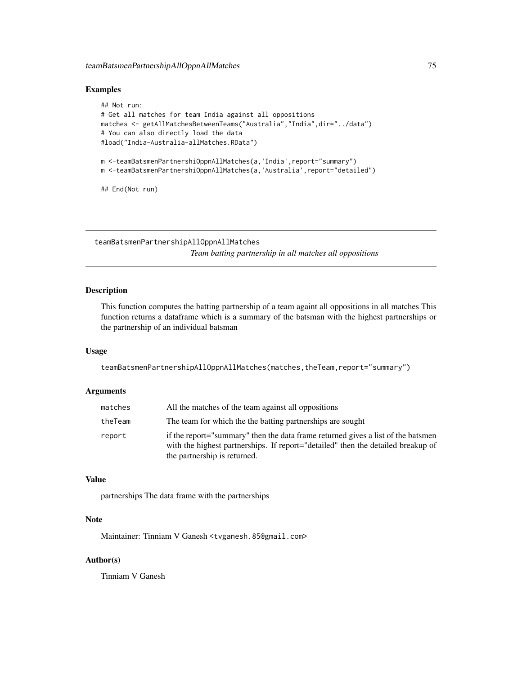### Examples

```
## Not run:
# Get all matches for team India against all oppositions
matches <- getAllMatchesBetweenTeams("Australia","India",dir="../data")
# You can also directly load the data
#load("India-Australia-allMatches.RData")
m <-teamBatsmenPartnershiOppnAllMatches(a,'India',report="summary")
m <-teamBatsmenPartnershiOppnAllMatches(a,'Australia',report="detailed")
## End(Not run)
```
<span id="page-74-0"></span>teamBatsmenPartnershipAllOppnAllMatches *Team batting partnership in all matches all oppositions*

# Description

This function computes the batting partnership of a team againt all oppositions in all matches This function returns a dataframe which is a summary of the batsman with the highest partnerships or the partnership of an individual batsman

# Usage

teamBatsmenPartnershipAllOppnAllMatches(matches,theTeam,report="summary")

#### Arguments

| matches | All the matches of the team against all oppositions                                                                                                                                                  |
|---------|------------------------------------------------------------------------------------------------------------------------------------------------------------------------------------------------------|
| theTeam | The team for which the the batting partnerships are sought                                                                                                                                           |
| report  | if the report="summary" then the data frame returned gives a list of the batsmen<br>with the highest partnerships. If report="detailed" then the detailed breakup of<br>the partnership is returned. |

### Value

partnerships The data frame with the partnerships

# Note

Maintainer: Tinniam V Ganesh <tvganesh.85@gmail.com>

# Author(s)

Tinniam V Ganesh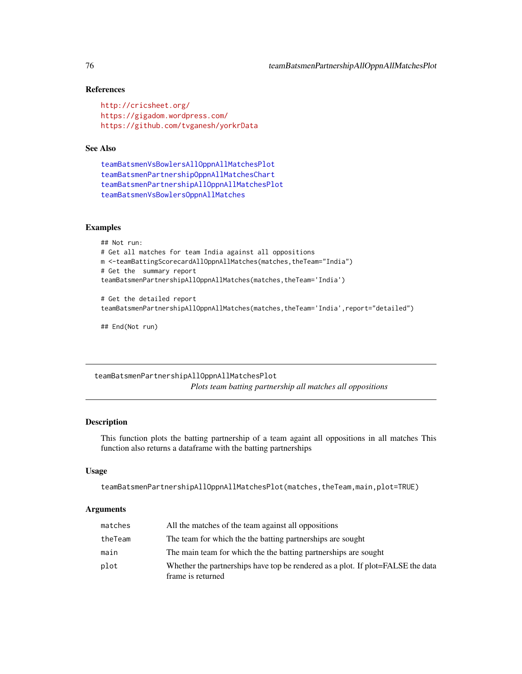# References

```
http://cricsheet.org/
https://gigadom.wordpress.com/
https://github.com/tvganesh/yorkrData
```
### See Also

```
teamBatsmenVsBowlersAllOppnAllMatchesPlot
teamBatsmenPartnershipOppnAllMatchesChart
teamBatsmenPartnershipAllOppnAllMatchesPlot
teamBatsmenVsBowlersOppnAllMatches
```
### Examples

```
## Not run:
# Get all matches for team India against all oppositions
m <-teamBattingScorecardAllOppnAllMatches(matches,theTeam="India")
# Get the summary report
teamBatsmenPartnershipAllOppnAllMatches(matches,theTeam='India')
# Get the detailed report
```
teamBatsmenPartnershipAllOppnAllMatches(matches,theTeam='India',report="detailed")

## End(Not run)

<span id="page-75-0"></span>teamBatsmenPartnershipAllOppnAllMatchesPlot *Plots team batting partnership all matches all oppositions*

# Description

This function plots the batting partnership of a team againt all oppositions in all matches This function also returns a dataframe with the batting partnerships

### Usage

```
teamBatsmenPartnershipAllOppnAllMatchesPlot(matches,theTeam,main,plot=TRUE)
```
### Arguments

| matches | All the matches of the team against all oppositions                                                  |
|---------|------------------------------------------------------------------------------------------------------|
| theTeam | The team for which the the batting partnerships are sought                                           |
| main    | The main team for which the the batting partnerships are sought                                      |
| plot    | Whether the partnerships have top be rendered as a plot. If plot=FALSE the data<br>frame is returned |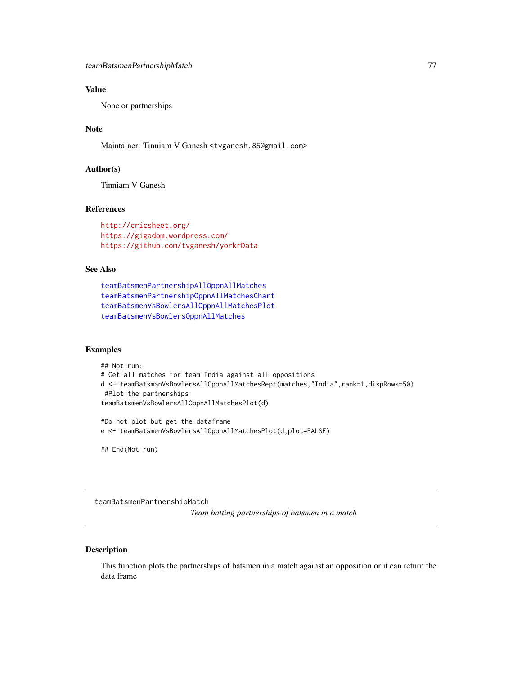# Value

None or partnerships

# Note

Maintainer: Tinniam V Ganesh <tvganesh.85@gmail.com>

# Author(s)

Tinniam V Ganesh

### References

<http://cricsheet.org/> <https://gigadom.wordpress.com/> <https://github.com/tvganesh/yorkrData>

### See Also

```
teamBatsmenPartnershipAllOppnAllMatches
teamBatsmenPartnershipOppnAllMatchesChart
teamBatsmenVsBowlersAllOppnAllMatchesPlot
teamBatsmenVsBowlersOppnAllMatches
```
### Examples

```
## Not run:
# Get all matches for team India against all oppositions
d <- teamBatsmanVsBowlersAllOppnAllMatchesRept(matches,"India",rank=1,dispRows=50)
#Plot the partnerships
teamBatsmenVsBowlersAllOppnAllMatchesPlot(d)
#Do not plot but get the dataframe
e <- teamBatsmenVsBowlersAllOppnAllMatchesPlot(d,plot=FALSE)
```
## End(Not run)

teamBatsmenPartnershipMatch

*Team batting partnerships of batsmen in a match*

### Description

This function plots the partnerships of batsmen in a match against an opposition or it can return the data frame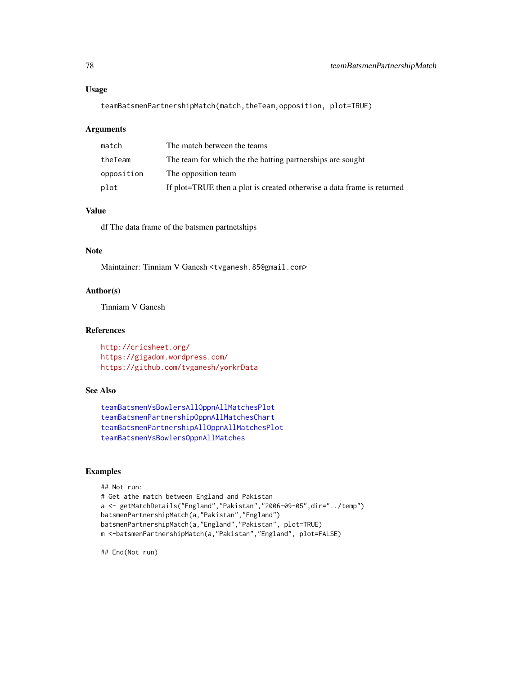#### Usage

teamBatsmenPartnershipMatch(match,theTeam,opposition, plot=TRUE)

### Arguments

| match      | The match between the teams                                            |
|------------|------------------------------------------------------------------------|
| theTeam    | The team for which the the batting partnerships are sought             |
| opposition | The opposition team                                                    |
| plot       | If plot=TRUE then a plot is created otherwise a data frame is returned |

# Value

df The data frame of the batsmen partnetships

# Note

Maintainer: Tinniam V Ganesh <tvganesh.85@gmail.com>

# Author(s)

Tinniam V Ganesh

### References

<http://cricsheet.org/> <https://gigadom.wordpress.com/> <https://github.com/tvganesh/yorkrData>

# See Also

```
teamBatsmenVsBowlersAllOppnAllMatchesPlot
teamBatsmenPartnershipOppnAllMatchesChart
teamBatsmenPartnershipAllOppnAllMatchesPlot
teamBatsmenVsBowlersOppnAllMatches
```
### Examples

```
## Not run:
# Get athe match between England and Pakistan
a <- getMatchDetails("England","Pakistan","2006-09-05",dir="../temp")
batsmenPartnershipMatch(a,"Pakistan","England")
batsmenPartnershipMatch(a,"England","Pakistan", plot=TRUE)
m <-batsmenPartnershipMatch(a,"Pakistan","England", plot=FALSE)
```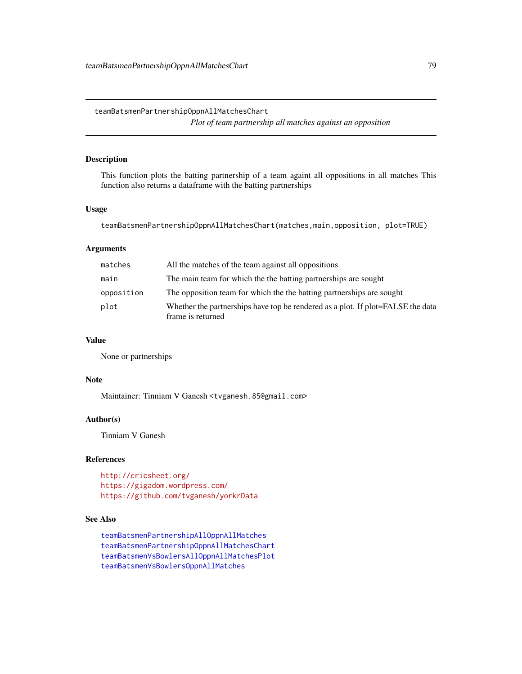<span id="page-78-0"></span>teamBatsmenPartnershipOppnAllMatchesChart *Plot of team partnership all matches against an opposition*

# Description

This function plots the batting partnership of a team againt all oppositions in all matches This function also returns a dataframe with the batting partnerships

### Usage

teamBatsmenPartnershipOppnAllMatchesChart(matches,main,opposition, plot=TRUE)

# Arguments

| matches    | All the matches of the team against all oppositions                                                  |
|------------|------------------------------------------------------------------------------------------------------|
| main       | The main team for which the the batting partnerships are sought                                      |
| opposition | The opposition team for which the the batting partnerships are sought                                |
| plot       | Whether the partnerships have top be rendered as a plot. If plot=FALSE the data<br>frame is returned |

# Value

None or partnerships

# Note

Maintainer: Tinniam V Ganesh <tvganesh.85@gmail.com>

### Author(s)

Tinniam V Ganesh

# References

<http://cricsheet.org/> <https://gigadom.wordpress.com/> <https://github.com/tvganesh/yorkrData>

# See Also

[teamBatsmenPartnershipAllOppnAllMatches](#page-74-0) [teamBatsmenPartnershipOppnAllMatchesChart](#page-78-0) [teamBatsmenVsBowlersAllOppnAllMatchesPlot](#page-79-0) [teamBatsmenVsBowlersOppnAllMatches](#page-83-0)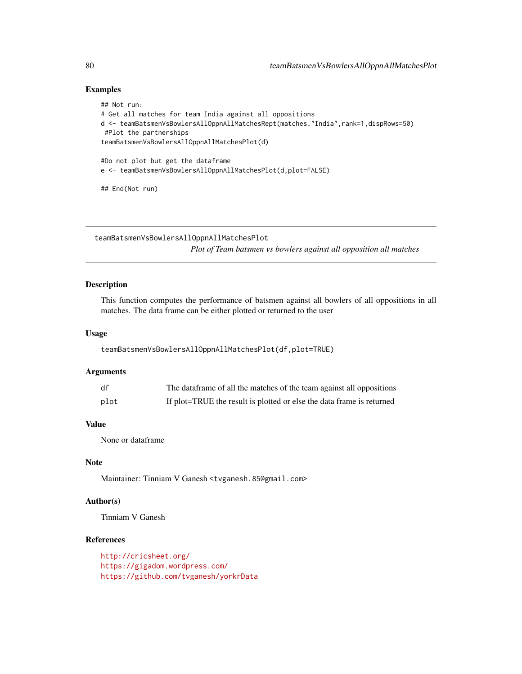## Examples

```
## Not run:
# Get all matches for team India against all oppositions
d <- teamBatsmenVsBowlersAllOppnAllMatchesRept(matches,"India",rank=1,dispRows=50)
#Plot the partnerships
teamBatsmenVsBowlersAllOppnAllMatchesPlot(d)
#Do not plot but get the dataframe
e <- teamBatsmenVsBowlersAllOppnAllMatchesPlot(d,plot=FALSE)
## End(Not run)
```
<span id="page-79-0"></span>teamBatsmenVsBowlersAllOppnAllMatchesPlot *Plot of Team batsmen vs bowlers against all opposition all matches*

#### Description

This function computes the performance of batsmen against all bowlers of all oppositions in all matches. The data frame can be either plotted or returned to the user

### Usage

teamBatsmenVsBowlersAllOppnAllMatchesPlot(df,plot=TRUE)

### Arguments

| df   | The dataframe of all the matches of the team against all oppositions  |
|------|-----------------------------------------------------------------------|
| plot | If plot=TRUE the result is plotted or else the data frame is returned |

### Value

None or dataframe

# Note

Maintainer: Tinniam V Ganesh <tvganesh.85@gmail.com>

# Author(s)

Tinniam V Ganesh

# References

<http://cricsheet.org/> <https://gigadom.wordpress.com/> <https://github.com/tvganesh/yorkrData>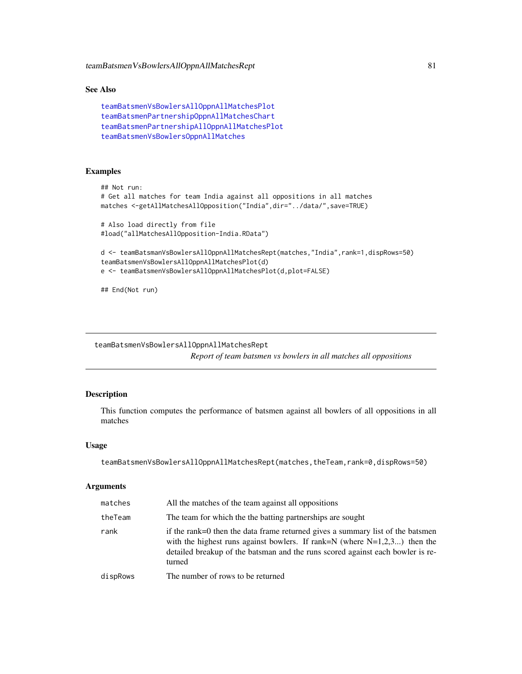teamBatsmenVsBowlersAllOppnAllMatchesRept 81

### See Also

```
teamBatsmenVsBowlersAllOppnAllMatchesPlot
teamBatsmenPartnershipOppnAllMatchesChart
teamBatsmenPartnershipAllOppnAllMatchesPlot
teamBatsmenVsBowlersOppnAllMatches
```
# Examples

```
## Not run:
# Get all matches for team India against all oppositions in all matches
matches <-getAllMatchesAllOpposition("India",dir="../data/",save=TRUE)
# Also load directly from file
#load("allMatchesAllOpposition-India.RData")
d <- teamBatsmanVsBowlersAllOppnAllMatchesRept(matches,"India",rank=1,dispRows=50)
teamBatsmenVsBowlersAllOppnAllMatchesPlot(d)
e <- teamBatsmenVsBowlersAllOppnAllMatchesPlot(d,plot=FALSE)
```
## End(Not run)

teamBatsmenVsBowlersAllOppnAllMatchesRept *Report of team batsmen vs bowlers in all matches all oppositions*

# Description

This function computes the performance of batsmen against all bowlers of all oppositions in all matches

### Usage

teamBatsmenVsBowlersAllOppnAllMatchesRept(matches,theTeam,rank=0,dispRows=50)

### Arguments

| matches  | All the matches of the team against all oppositions                                                                                                                                                                                                        |
|----------|------------------------------------------------------------------------------------------------------------------------------------------------------------------------------------------------------------------------------------------------------------|
| theTeam  | The team for which the the batting partnerships are sought                                                                                                                                                                                                 |
| rank     | if the rank=0 then the data frame returned gives a summary list of the batsmen<br>with the highest runs against bowlers. If rank=N (where $N=1,2,3$ ) then the<br>detailed breakup of the batsman and the runs scored against each bowler is re-<br>turned |
| dispRows | The number of rows to be returned                                                                                                                                                                                                                          |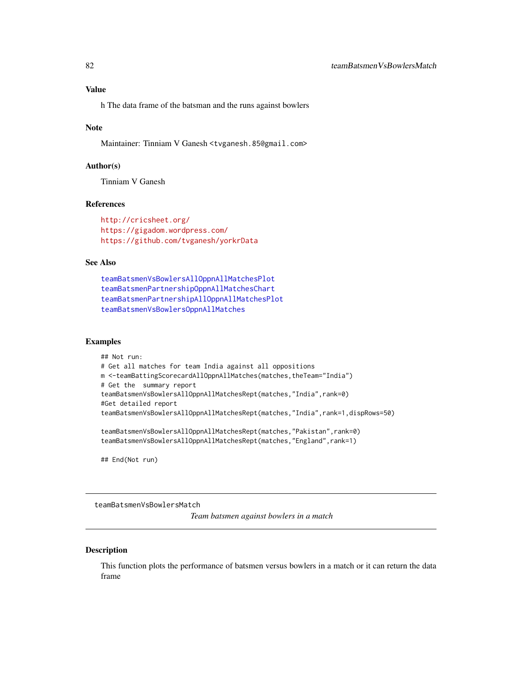# Value

h The data frame of the batsman and the runs against bowlers

### Note

Maintainer: Tinniam V Ganesh <tvganesh.85@gmail.com>

# Author(s)

Tinniam V Ganesh

### References

<http://cricsheet.org/> <https://gigadom.wordpress.com/> <https://github.com/tvganesh/yorkrData>

### See Also

```
teamBatsmenVsBowlersAllOppnAllMatchesPlot
teamBatsmenPartnershipOppnAllMatchesChart
teamBatsmenPartnershipAllOppnAllMatchesPlot
teamBatsmenVsBowlersOppnAllMatches
```
# Examples

```
## Not run:
# Get all matches for team India against all oppositions
m <-teamBattingScorecardAllOppnAllMatches(matches,theTeam="India")
# Get the summary report
teamBatsmenVsBowlersAllOppnAllMatchesRept(matches,"India",rank=0)
#Get detailed report
teamBatsmenVsBowlersAllOppnAllMatchesRept(matches,"India",rank=1,dispRows=50)
```
teamBatsmenVsBowlersAllOppnAllMatchesRept(matches,"Pakistan",rank=0) teamBatsmenVsBowlersAllOppnAllMatchesRept(matches,"England",rank=1)

## End(Not run)

teamBatsmenVsBowlersMatch

*Team batsmen against bowlers in a match*

#### Description

This function plots the performance of batsmen versus bowlers in a match or it can return the data frame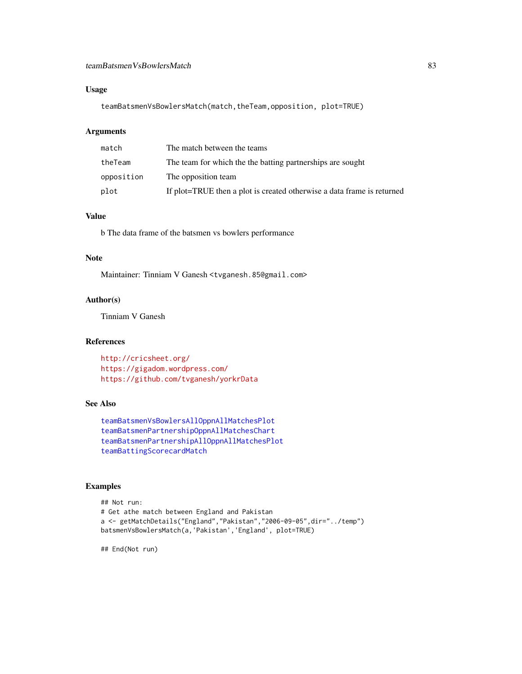# teamBatsmenVsBowlersMatch 83

# Usage

teamBatsmenVsBowlersMatch(match,theTeam,opposition, plot=TRUE)

# Arguments

| match      | The match between the teams                                            |
|------------|------------------------------------------------------------------------|
| theTeam    | The team for which the the batting partnerships are sought             |
| opposition | The opposition team                                                    |
| plot       | If plot=TRUE then a plot is created otherwise a data frame is returned |

# Value

b The data frame of the batsmen vs bowlers performance

# Note

Maintainer: Tinniam V Ganesh <tvganesh.85@gmail.com>

# Author(s)

Tinniam V Ganesh

# References

<http://cricsheet.org/> <https://gigadom.wordpress.com/> <https://github.com/tvganesh/yorkrData>

# See Also

```
teamBatsmenVsBowlersAllOppnAllMatchesPlot
teamBatsmenPartnershipOppnAllMatchesChart
teamBatsmenPartnershipAllOppnAllMatchesPlot
teamBattingScorecardMatch
```
# Examples

```
## Not run:
# Get athe match between England and Pakistan
a <- getMatchDetails("England","Pakistan","2006-09-05",dir="../temp")
batsmenVsBowlersMatch(a,'Pakistan','England', plot=TRUE)
```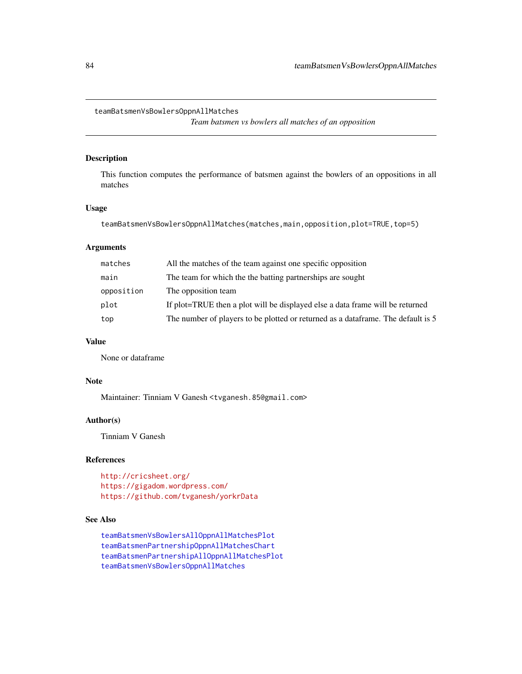<span id="page-83-0"></span>teamBatsmenVsBowlersOppnAllMatches

*Team batsmen vs bowlers all matches of an opposition*

# Description

This function computes the performance of batsmen against the bowlers of an oppositions in all matches

### Usage

teamBatsmenVsBowlersOppnAllMatches(matches,main,opposition,plot=TRUE,top=5)

# Arguments

| matches    | All the matches of the team against one specific opposition                      |
|------------|----------------------------------------------------------------------------------|
| main       | The team for which the the batting partnerships are sought                       |
| opposition | The opposition team                                                              |
| plot       | If plot=TRUE then a plot will be displayed else a data frame will be returned    |
| top        | The number of players to be plotted or returned as a dataframe. The default is 5 |

# Value

None or dataframe

# Note

Maintainer: Tinniam V Ganesh <tvganesh.85@gmail.com>

# Author(s)

Tinniam V Ganesh

# References

```
http://cricsheet.org/
https://gigadom.wordpress.com/
https://github.com/tvganesh/yorkrData
```
# See Also

```
teamBatsmenVsBowlersAllOppnAllMatchesPlot
teamBatsmenPartnershipOppnAllMatchesChart
teamBatsmenPartnershipAllOppnAllMatchesPlot
teamBatsmenVsBowlersOppnAllMatches
```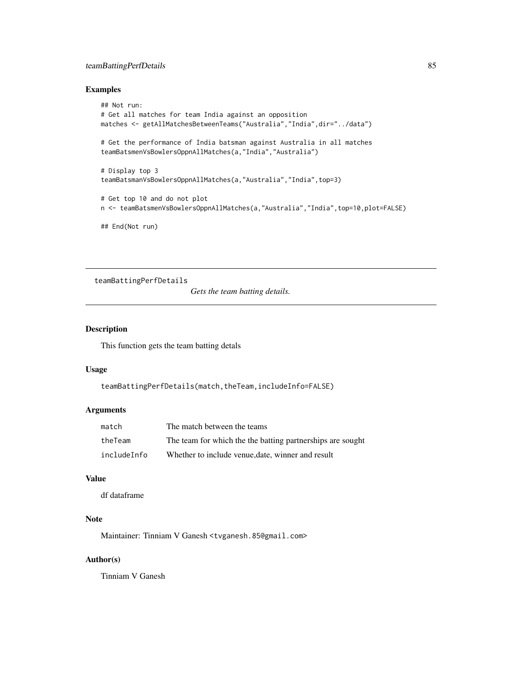# teamBattingPerfDetails 85

# Examples

```
## Not run:
# Get all matches for team India against an opposition
matches <- getAllMatchesBetweenTeams("Australia","India",dir="../data")
# Get the performance of India batsman against Australia in all matches
teamBatsmenVsBowlersOppnAllMatches(a,"India","Australia")
# Display top 3
teamBatsmanVsBowlersOppnAllMatches(a,"Australia","India",top=3)
# Get top 10 and do not plot
n <- teamBatsmenVsBowlersOppnAllMatches(a,"Australia","India",top=10,plot=FALSE)
## End(Not run)
```
teamBattingPerfDetails

*Gets the team batting details.*

# Description

This function gets the team batting detals

# Usage

```
teamBattingPerfDetails(match,theTeam,includeInfo=FALSE)
```
### Arguments

| match       | The match between the teams                                |
|-------------|------------------------------------------------------------|
| theTeam     | The team for which the the batting partnerships are sought |
| includeInfo | Whether to include venue, date, winner and result          |

# Value

df dataframe

# Note

Maintainer: Tinniam V Ganesh <tvganesh.85@gmail.com>

# Author(s)

Tinniam V Ganesh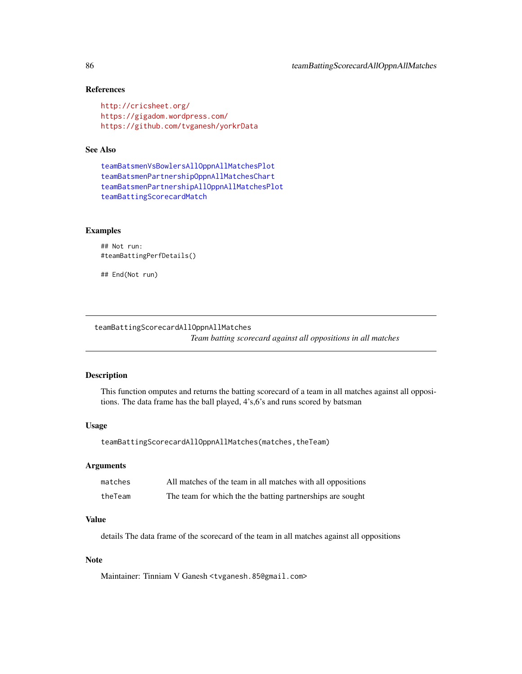# References

```
http://cricsheet.org/
https://gigadom.wordpress.com/
https://github.com/tvganesh/yorkrData
```
# See Also

```
teamBatsmenVsBowlersAllOppnAllMatchesPlot
teamBatsmenPartnershipOppnAllMatchesChart
teamBatsmenPartnershipAllOppnAllMatchesPlot
teamBattingScorecardMatch
```
# Examples

```
## Not run:
#teamBattingPerfDetails()
```
## End(Not run)

teamBattingScorecardAllOppnAllMatches

*Team batting scorecard against all oppositions in all matches*

### Description

This function omputes and returns the batting scorecard of a team in all matches against all oppositions. The data frame has the ball played, 4's,6's and runs scored by batsman

# Usage

```
teamBattingScorecardAllOppnAllMatches(matches,theTeam)
```
#### Arguments

| matches | All matches of the team in all matches with all oppositions |
|---------|-------------------------------------------------------------|
| theTeam | The team for which the the batting partnerships are sought  |

# Value

details The data frame of the scorecard of the team in all matches against all oppositions

### Note

Maintainer: Tinniam V Ganesh <tvganesh.85@gmail.com>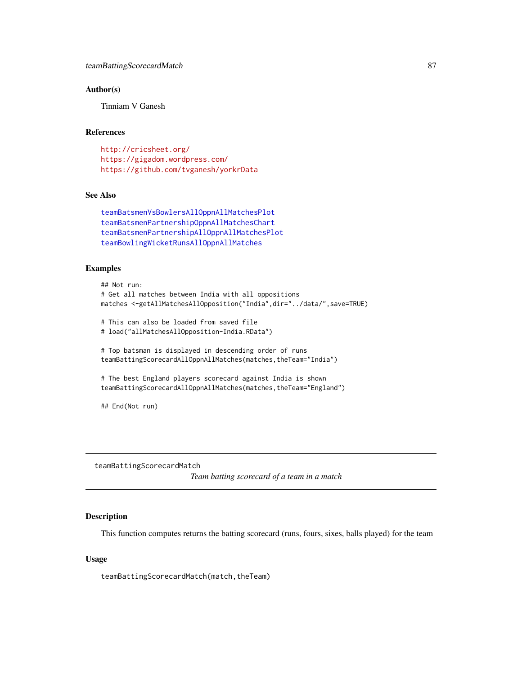### Author(s)

Tinniam V Ganesh

# References

<http://cricsheet.org/> <https://gigadom.wordpress.com/> <https://github.com/tvganesh/yorkrData>

# See Also

```
teamBatsmenVsBowlersAllOppnAllMatchesPlot
teamBatsmenPartnershipOppnAllMatchesChart
teamBatsmenPartnershipAllOppnAllMatchesPlot
teamBowlingWicketRunsAllOppnAllMatches
```
#### Examples

```
## Not run:
# Get all matches between India with all oppositions
matches <-getAllMatchesAllOpposition("India",dir="../data/",save=TRUE)
# This can also be loaded from saved file
# load("allMatchesAllOpposition-India.RData")
# Top batsman is displayed in descending order of runs
teamBattingScorecardAllOppnAllMatches(matches,theTeam="India")
# The best England players scorecard against India is shown
teamBattingScorecardAllOppnAllMatches(matches,theTeam="England")
## End(Not run)
```
<span id="page-86-0"></span>teamBattingScorecardMatch *Team batting scorecard of a team in a match*

#### Description

This function computes returns the batting scorecard (runs, fours, sixes, balls played) for the team

### Usage

teamBattingScorecardMatch(match,theTeam)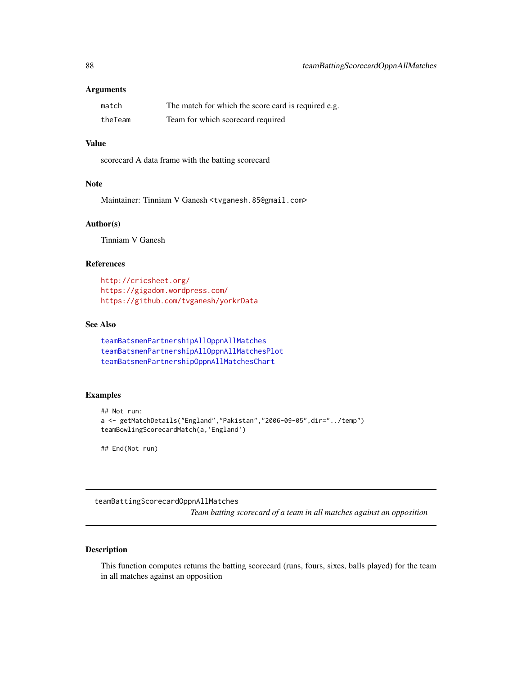### **Arguments**

| match   | The match for which the score card is required e.g. |
|---------|-----------------------------------------------------|
| theTeam | Team for which scorecard required                   |

# Value

scorecard A data frame with the batting scorecard

# Note

Maintainer: Tinniam V Ganesh <tvganesh.85@gmail.com>

# Author(s)

Tinniam V Ganesh

# References

<http://cricsheet.org/> <https://gigadom.wordpress.com/> <https://github.com/tvganesh/yorkrData>

# See Also

```
teamBatsmenPartnershipAllOppnAllMatches
teamBatsmenPartnershipAllOppnAllMatchesPlot
teamBatsmenPartnershipOppnAllMatchesChart
```
### Examples

```
## Not run:
a <- getMatchDetails("England","Pakistan","2006-09-05",dir="../temp")
teamBowlingScorecardMatch(a,'England')
```
## End(Not run)

teamBattingScorecardOppnAllMatches

*Team batting scorecard of a team in all matches against an opposition*

### Description

This function computes returns the batting scorecard (runs, fours, sixes, balls played) for the team in all matches against an opposition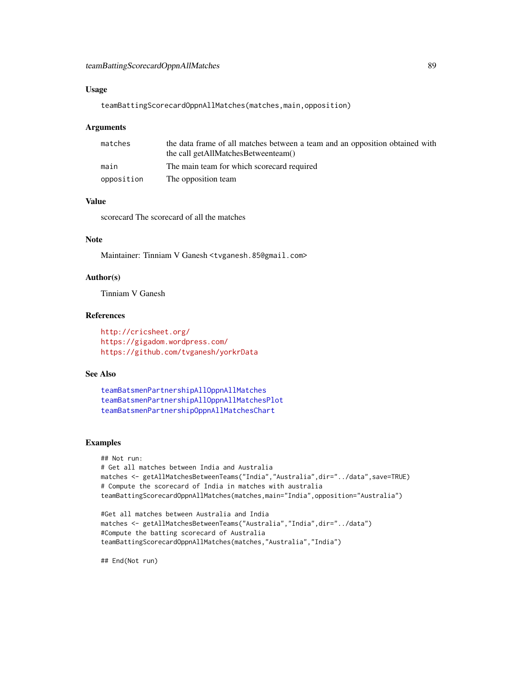### Usage

teamBattingScorecardOppnAllMatches(matches,main,opposition)

#### Arguments

| matches    | the data frame of all matches between a team and an opposition obtained with |
|------------|------------------------------------------------------------------------------|
|            | the call getAllMatchesBetweenteam()                                          |
| main       | The main team for which scorecard required                                   |
| opposition | The opposition team                                                          |

# Value

scorecard The scorecard of all the matches

# Note

Maintainer: Tinniam V Ganesh <tvganesh.85@gmail.com>

# Author(s)

Tinniam V Ganesh

# References

<http://cricsheet.org/> <https://gigadom.wordpress.com/> <https://github.com/tvganesh/yorkrData>

# See Also

```
teamBatsmenPartnershipAllOppnAllMatches
teamBatsmenPartnershipAllOppnAllMatchesPlot
teamBatsmenPartnershipOppnAllMatchesChart
```
### Examples

```
## Not run:
# Get all matches between India and Australia
matches <- getAllMatchesBetweenTeams("India","Australia",dir="../data",save=TRUE)
# Compute the scorecard of India in matches with australia
teamBattingScorecardOppnAllMatches(matches,main="India",opposition="Australia")
```

```
#Get all matches between Australia and India
matches <- getAllMatchesBetweenTeams("Australia","India",dir="../data")
#Compute the batting scorecard of Australia
teamBattingScorecardOppnAllMatches(matches,"Australia","India")
```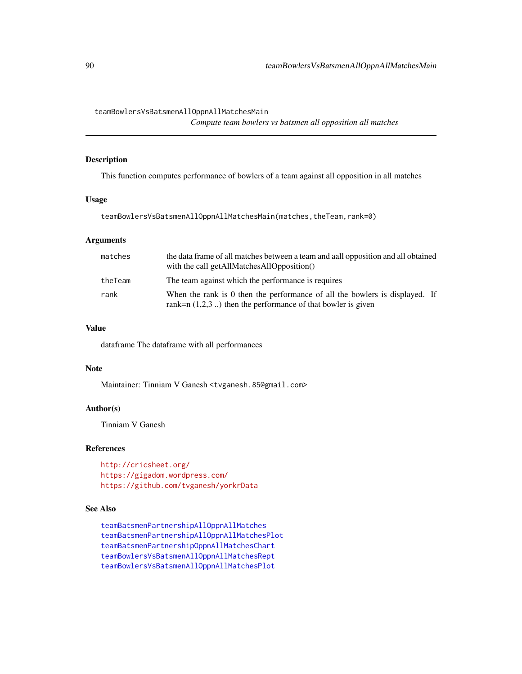<span id="page-89-0"></span>teamBowlersVsBatsmenAllOppnAllMatchesMain

*Compute team bowlers vs batsmen all opposition all matches*

# Description

This function computes performance of bowlers of a team against all opposition in all matches

## Usage

teamBowlersVsBatsmenAllOppnAllMatchesMain(matches,theTeam,rank=0)

### Arguments

| matches | the data frame of all matches between a team and all opposition and all obtained<br>with the call getAllMatchesAllOpposition()                 |
|---------|------------------------------------------------------------------------------------------------------------------------------------------------|
| theTeam | The team against which the performance is requires                                                                                             |
| rank    | When the rank is 0 then the performance of all the bowlers is displayed. If<br>rank= $n(1,2,3)$ ) then the performance of that bowler is given |

# Value

dataframe The dataframe with all performances

## Note

Maintainer: Tinniam V Ganesh <tvganesh.85@gmail.com>

### Author(s)

Tinniam V Ganesh

# References

<http://cricsheet.org/> <https://gigadom.wordpress.com/> <https://github.com/tvganesh/yorkrData>

### See Also

[teamBatsmenPartnershipAllOppnAllMatches](#page-74-0) [teamBatsmenPartnershipAllOppnAllMatchesPlot](#page-75-0) [teamBatsmenPartnershipOppnAllMatchesChart](#page-78-0) [teamBowlersVsBatsmenAllOppnAllMatchesRept](#page-91-0) [teamBowlersVsBatsmenAllOppnAllMatchesPlot](#page-90-0)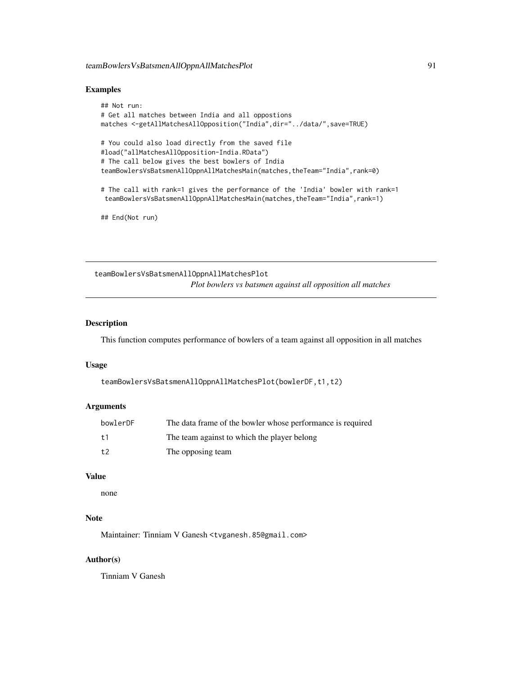### Examples

```
## Not run:
# Get all matches between India and all oppostions
matches <-getAllMatchesAllOpposition("India",dir="../data/",save=TRUE)
# You could also load directly from the saved file
#load("allMatchesAllOpposition-India.RData")
# The call below gives the best bowlers of India
teamBowlersVsBatsmenAllOppnAllMatchesMain(matches,theTeam="India",rank=0)
# The call with rank=1 gives the performance of the 'India' bowler with rank=1
 teamBowlersVsBatsmenAllOppnAllMatchesMain(matches,theTeam="India",rank=1)
```
## End(Not run)

<span id="page-90-0"></span>teamBowlersVsBatsmenAllOppnAllMatchesPlot *Plot bowlers vs batsmen against all opposition all matches*

# Description

This function computes performance of bowlers of a team against all opposition in all matches

### Usage

```
teamBowlersVsBatsmenAllOppnAllMatchesPlot(bowlerDF,t1,t2)
```
# Arguments

| bowlerDF | The data frame of the bowler whose performance is required |
|----------|------------------------------------------------------------|
| $+1$     | The team against to which the player belong                |
| t.2      | The opposing team                                          |

# Value

none

# Note

Maintainer: Tinniam V Ganesh <tvganesh.85@gmail.com>

# Author(s)

Tinniam V Ganesh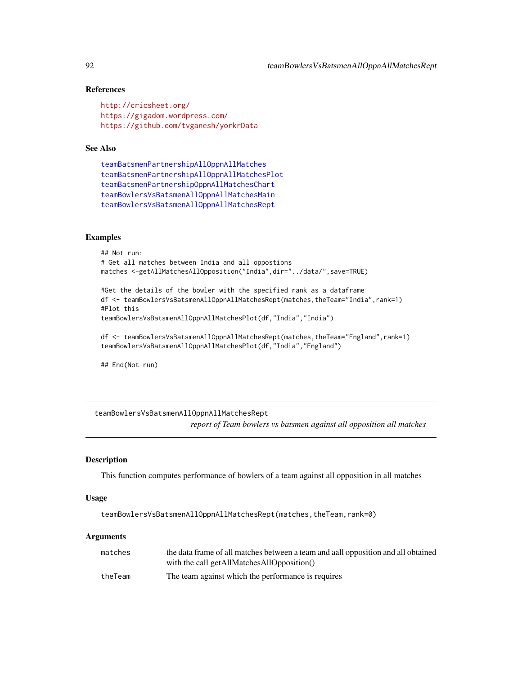# References

```
http://cricsheet.org/
https://gigadom.wordpress.com/
https://github.com/tvganesh/yorkrData
```
### See Also

```
teamBatsmenPartnershipAllOppnAllMatches
teamBatsmenPartnershipAllOppnAllMatchesPlot
teamBatsmenPartnershipOppnAllMatchesChart
teamBowlersVsBatsmenAllOppnAllMatchesMain
teamBowlersVsBatsmenAllOppnAllMatchesRept
```
### Examples

```
## Not run:
# Get all matches between India and all oppostions
matches <-getAllMatchesAllOpposition("India",dir="../data/",save=TRUE)
#Get the details of the bowler with the specified rank as a dataframe
df <- teamBowlersVsBatsmenAllOppnAllMatchesRept(matches,theTeam="India",rank=1)
```

```
#Plot this
teamBowlersVsBatsmenAllOppnAllMatchesPlot(df,"India","India")
```

```
df <- teamBowlersVsBatsmenAllOppnAllMatchesRept(matches,theTeam="England",rank=1)
teamBowlersVsBatsmenAllOppnAllMatchesPlot(df,"India","England")
```
## End(Not run)

# <span id="page-91-0"></span>teamBowlersVsBatsmenAllOppnAllMatchesRept *report of Team bowlers vs batsmen against all opposition all matches*

### Description

This function computes performance of bowlers of a team against all opposition in all matches

#### Usage

teamBowlersVsBatsmenAllOppnAllMatchesRept(matches,theTeam,rank=0)

#### Arguments

| matches | the data frame of all matches between a team and all opposition and all obtained |
|---------|----------------------------------------------------------------------------------|
|         | with the call getAllMatchesAllOpposition()                                       |
| theTeam | The team against which the performance is requires                               |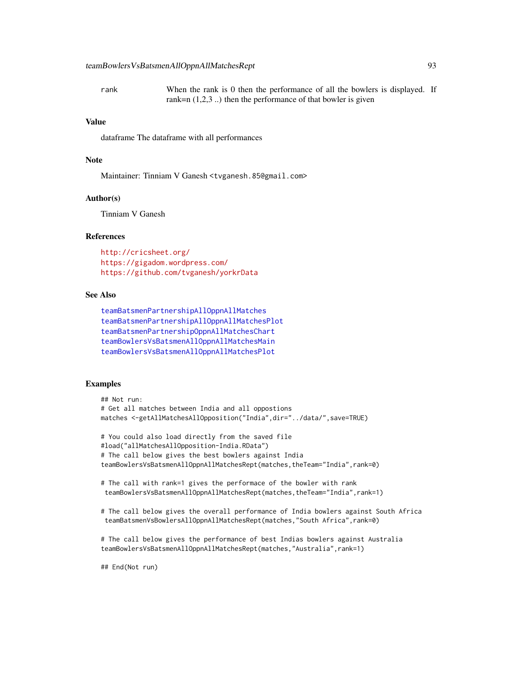rank When the rank is 0 then the performance of all the bowlers is displayed. If rank=n  $(1,2,3)$ ...) then the performance of that bowler is given

# Value

dataframe The dataframe with all performances

### Note

Maintainer: Tinniam V Ganesh <tvganesh.85@gmail.com>

### Author(s)

Tinniam V Ganesh

## **References**

<http://cricsheet.org/> <https://gigadom.wordpress.com/> <https://github.com/tvganesh/yorkrData>

# See Also

```
teamBatsmenPartnershipAllOppnAllMatches
teamBatsmenPartnershipAllOppnAllMatchesPlot
teamBatsmenPartnershipOppnAllMatchesChart
teamBowlersVsBatsmenAllOppnAllMatchesMain
teamBowlersVsBatsmenAllOppnAllMatchesPlot
```
### Examples

```
## Not run:
# Get all matches between India and all oppostions
matches <-getAllMatchesAllOpposition("India",dir="../data/",save=TRUE)
# You could also load directly from the saved file
#load("allMatchesAllOpposition-India.RData")
# The call below gives the best bowlers against India
teamBowlersVsBatsmenAllOppnAllMatchesRept(matches,theTeam="India",rank=0)
# The call with rank=1 gives the performace of the bowler with rank
 teamBowlersVsBatsmenAllOppnAllMatchesRept(matches,theTeam="India",rank=1)
# The call below gives the overall performance of India bowlers against South Africa
 teamBatsmenVsBowlersAllOppnAllMatchesRept(matches,"South Africa",rank=0)
# The call below gives the performance of best Indias bowlers against Australia
teamBowlersVsBatsmenAllOppnAllMatchesRept(matches,"Australia",rank=1)
```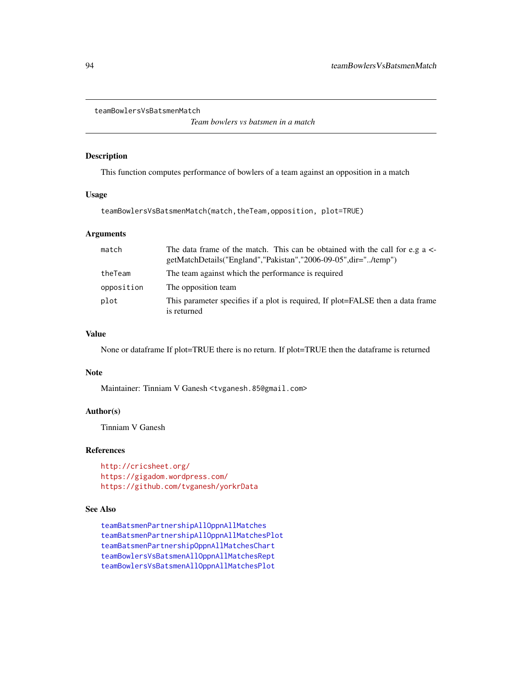<span id="page-93-0"></span>teamBowlersVsBatsmenMatch

*Team bowlers vs batsmen in a match*

# Description

This function computes performance of bowlers of a team against an opposition in a match

# Usage

teamBowlersVsBatsmenMatch(match,theTeam,opposition, plot=TRUE)

# Arguments

| match      | The data frame of the match. This can be obtained with the call for e.g a $\lt$ -<br>getMatchDetails("England","Pakistan","2006-09-05",dir="/temp") |
|------------|-----------------------------------------------------------------------------------------------------------------------------------------------------|
| theTeam    | The team against which the performance is required                                                                                                  |
| opposition | The opposition team                                                                                                                                 |
| plot       | This parameter specifies if a plot is required, If plot=FALSE then a data frame<br>is returned                                                      |

### Value

None or dataframe If plot=TRUE there is no return. If plot=TRUE then the dataframe is returned

#### Note

Maintainer: Tinniam V Ganesh <tvganesh.85@gmail.com>

# Author(s)

Tinniam V Ganesh

### References

<http://cricsheet.org/> <https://gigadom.wordpress.com/> <https://github.com/tvganesh/yorkrData>

# See Also

[teamBatsmenPartnershipAllOppnAllMatches](#page-74-0) [teamBatsmenPartnershipAllOppnAllMatchesPlot](#page-75-0) [teamBatsmenPartnershipOppnAllMatchesChart](#page-78-0) [teamBowlersVsBatsmenAllOppnAllMatchesRept](#page-91-0) [teamBowlersVsBatsmenAllOppnAllMatchesPlot](#page-90-0)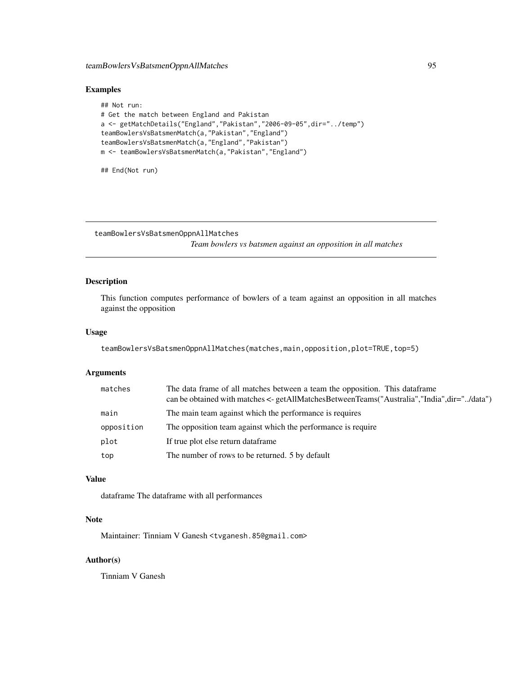# Examples

```
## Not run:
# Get the match between England and Pakistan
a <- getMatchDetails("England","Pakistan","2006-09-05",dir="../temp")
teamBowlersVsBatsmenMatch(a,"Pakistan","England")
teamBowlersVsBatsmenMatch(a,"England","Pakistan")
m <- teamBowlersVsBatsmenMatch(a,"Pakistan","England")
```
## End(Not run)

teamBowlersVsBatsmenOppnAllMatches

*Team bowlers vs batsmen against an opposition in all matches*

# Description

This function computes performance of bowlers of a team against an opposition in all matches against the opposition

# Usage

```
teamBowlersVsBatsmenOppnAllMatches(matches,main,opposition,plot=TRUE,top=5)
```
### Arguments

| matches    | The data frame of all matches between a team the opposition. This dataframe<br>can be obtained with matches <- getAllMatchesBetweenTeams("Australia","India",dir="/data") |
|------------|---------------------------------------------------------------------------------------------------------------------------------------------------------------------------|
| main       | The main team against which the performance is requires                                                                                                                   |
| opposition | The opposition team against which the performance is require                                                                                                              |
| plot       | If true plot else return dataframe                                                                                                                                        |
| top        | The number of rows to be returned. 5 by default                                                                                                                           |

# Value

dataframe The dataframe with all performances

# Note

Maintainer: Tinniam V Ganesh <tvganesh.85@gmail.com>

# Author(s)

Tinniam V Ganesh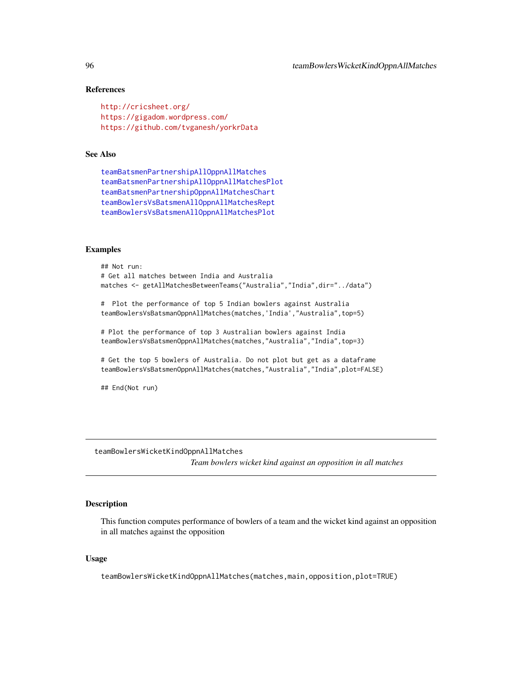### References

```
http://cricsheet.org/
https://gigadom.wordpress.com/
https://github.com/tvganesh/yorkrData
```
### See Also

```
teamBatsmenPartnershipAllOppnAllMatches
teamBatsmenPartnershipAllOppnAllMatchesPlot
teamBatsmenPartnershipOppnAllMatchesChart
teamBowlersVsBatsmenAllOppnAllMatchesRept
teamBowlersVsBatsmenAllOppnAllMatchesPlot
```
#### Examples

```
## Not run:
# Get all matches between India and Australia
matches <- getAllMatchesBetweenTeams("Australia","India",dir="../data")
# Plot the performance of top 5 Indian bowlers against Australia
teamBowlersVsBatsmanOppnAllMatches(matches,'India',"Australia",top=5)
# Plot the performance of top 3 Australian bowlers against India
teamBowlersVsBatsmenOppnAllMatches(matches,"Australia","India",top=3)
# Get the top 5 bowlers of Australia. Do not plot but get as a dataframe
teamBowlersVsBatsmenOppnAllMatches(matches,"Australia","India",plot=FALSE)
```
## End(Not run)

<span id="page-95-0"></span>teamBowlersWicketKindOppnAllMatches

*Team bowlers wicket kind against an opposition in all matches*

### Description

This function computes performance of bowlers of a team and the wicket kind against an opposition in all matches against the opposition

### Usage

teamBowlersWicketKindOppnAllMatches(matches,main,opposition,plot=TRUE)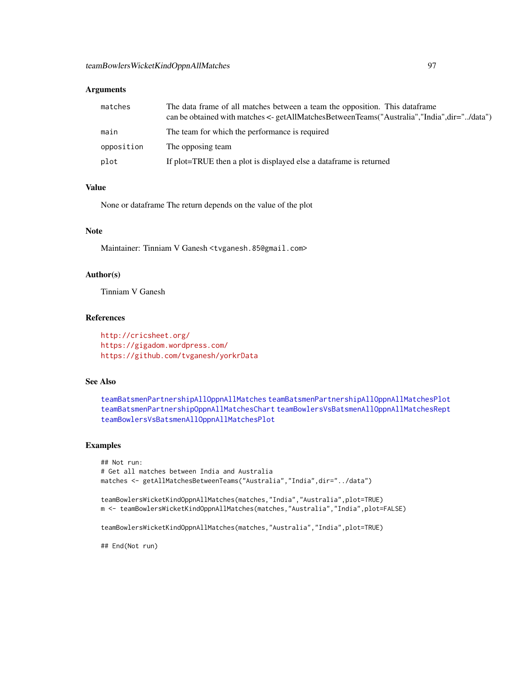# Arguments

| matches    | The data frame of all matches between a team the opposition. This data frame<br>can be obtained with matches $\leq$ - getAllMatchesBetweenTeams("Australia","India",dir="/data") |
|------------|----------------------------------------------------------------------------------------------------------------------------------------------------------------------------------|
| main       | The team for which the performance is required                                                                                                                                   |
| opposition | The opposing team                                                                                                                                                                |
| plot       | If plot=TRUE then a plot is displayed else a data frame is returned                                                                                                              |

# Value

None or dataframe The return depends on the value of the plot

#### Note

Maintainer: Tinniam V Ganesh <tvganesh.85@gmail.com>

### Author(s)

Tinniam V Ganesh

# References

<http://cricsheet.org/> <https://gigadom.wordpress.com/> <https://github.com/tvganesh/yorkrData>

### See Also

[teamBatsmenPartnershipAllOppnAllMatches](#page-74-0) [teamBatsmenPartnershipAllOppnAllMatchesPlot](#page-75-0) [teamBatsmenPartnershipOppnAllMatchesChart](#page-78-0) [teamBowlersVsBatsmenAllOppnAllMatchesRept](#page-91-0) [teamBowlersVsBatsmenAllOppnAllMatchesPlot](#page-90-0)

# Examples

```
## Not run:
# Get all matches between India and Australia
matches <- getAllMatchesBetweenTeams("Australia","India",dir="../data")
teamBowlersWicketKindOppnAllMatches(matches,"India","Australia",plot=TRUE)
m <- teamBowlersWicketKindOppnAllMatches(matches,"Australia","India",plot=FALSE)
teamBowlersWicketKindOppnAllMatches(matches,"Australia","India",plot=TRUE)
```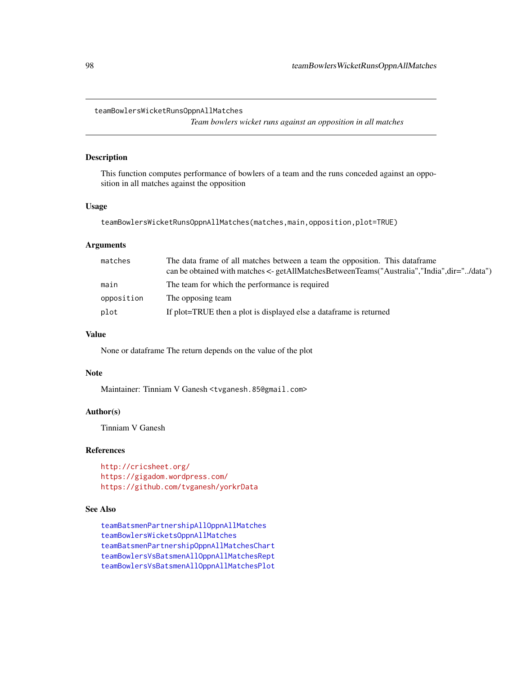<span id="page-97-0"></span>teamBowlersWicketRunsOppnAllMatches

*Team bowlers wicket runs against an opposition in all matches*

### Description

This function computes performance of bowlers of a team and the runs conceded against an opposition in all matches against the opposition

# Usage

teamBowlersWicketRunsOppnAllMatches(matches,main,opposition,plot=TRUE)

# Arguments

| matches    | The data frame of all matches between a team the opposition. This data frame<br>can be obtained with matches <- getAllMatchesBetweenTeams("Australia","India",dir="/data") |
|------------|----------------------------------------------------------------------------------------------------------------------------------------------------------------------------|
|            |                                                                                                                                                                            |
| main       | The team for which the performance is required                                                                                                                             |
| opposition | The opposing team                                                                                                                                                          |
| plot       | If plot=TRUE then a plot is displayed else a data frame is returned                                                                                                        |

#### Value

None or dataframe The return depends on the value of the plot

### Note

Maintainer: Tinniam V Ganesh <tvganesh.85@gmail.com>

# Author(s)

Tinniam V Ganesh

### References

<http://cricsheet.org/> <https://gigadom.wordpress.com/> <https://github.com/tvganesh/yorkrData>

# See Also

[teamBatsmenPartnershipAllOppnAllMatches](#page-74-0) [teamBowlersWicketsOppnAllMatches](#page-98-0) [teamBatsmenPartnershipOppnAllMatchesChart](#page-78-0) [teamBowlersVsBatsmenAllOppnAllMatchesRept](#page-91-0) [teamBowlersVsBatsmenAllOppnAllMatchesPlot](#page-90-0)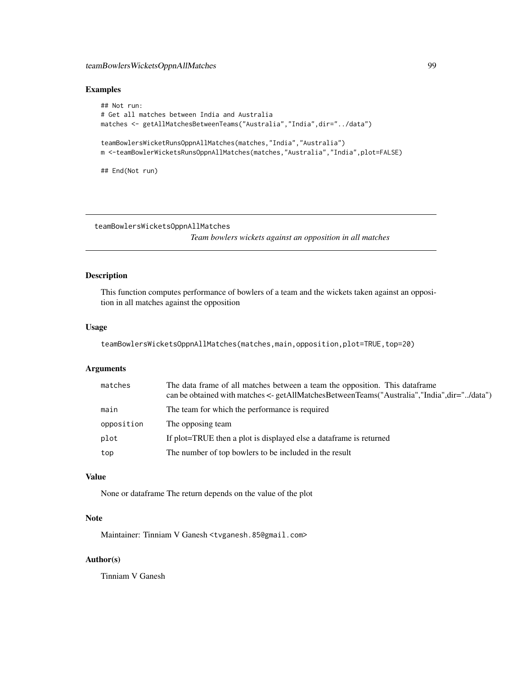# teamBowlersWicketsOppnAllMatches 99

# Examples

```
## Not run:
# Get all matches between India and Australia
matches <- getAllMatchesBetweenTeams("Australia","India",dir="../data")
teamBowlersWicketRunsOppnAllMatches(matches,"India","Australia")
m <-teamBowlerWicketsRunsOppnAllMatches(matches,"Australia","India",plot=FALSE)
```
## End(Not run)

<span id="page-98-0"></span>teamBowlersWicketsOppnAllMatches

*Team bowlers wickets against an opposition in all matches*

# Description

This function computes performance of bowlers of a team and the wickets taken against an opposition in all matches against the opposition

# Usage

```
teamBowlersWicketsOppnAllMatches(matches,main,opposition,plot=TRUE,top=20)
```
# Arguments

| matches    | The data frame of all matches between a team the opposition. This data frame<br>can be obtained with matches <- getAllMatchesBetweenTeams("Australia","India",dir="/data") |
|------------|----------------------------------------------------------------------------------------------------------------------------------------------------------------------------|
| main       | The team for which the performance is required                                                                                                                             |
| opposition | The opposing team                                                                                                                                                          |
| plot       | If plot=TRUE then a plot is displayed else a data frame is returned                                                                                                        |
| top        | The number of top bowlers to be included in the result                                                                                                                     |

# Value

None or dataframe The return depends on the value of the plot

# Note

Maintainer: Tinniam V Ganesh <tvganesh.85@gmail.com>

# Author(s)

Tinniam V Ganesh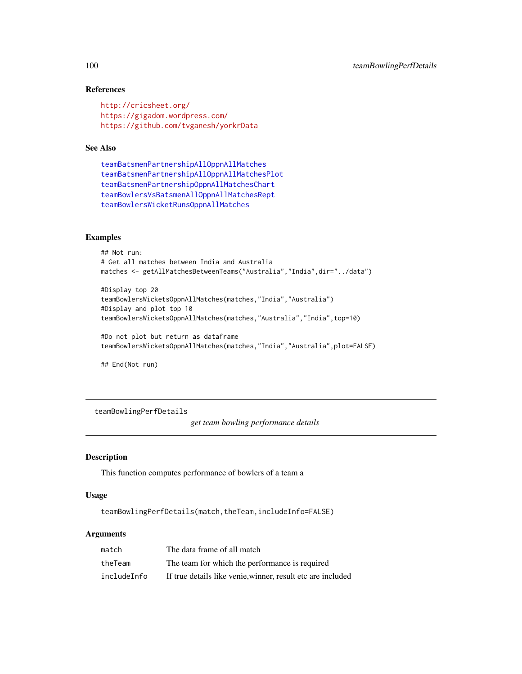# References

```
http://cricsheet.org/
https://gigadom.wordpress.com/
https://github.com/tvganesh/yorkrData
```
### See Also

```
teamBatsmenPartnershipAllOppnAllMatches
teamBatsmenPartnershipAllOppnAllMatchesPlot
teamBatsmenPartnershipOppnAllMatchesChart
teamBowlersVsBatsmenAllOppnAllMatchesRept
teamBowlersWicketRunsOppnAllMatches
```
### Examples

```
## Not run:
# Get all matches between India and Australia
matches <- getAllMatchesBetweenTeams("Australia","India",dir="../data")
```

```
#Display top 20
teamBowlersWicketsOppnAllMatches(matches,"India","Australia")
#Display and plot top 10
teamBowlersWicketsOppnAllMatches(matches,"Australia","India",top=10)
```

```
#Do not plot but return as dataframe
teamBowlersWicketsOppnAllMatches(matches,"India","Australia",plot=FALSE)
```
## End(Not run)

teamBowlingPerfDetails

*get team bowling performance details*

#### Description

This function computes performance of bowlers of a team a

### Usage

teamBowlingPerfDetails(match,theTeam,includeInfo=FALSE)

### Arguments

| match       | The data frame of all match                                 |
|-------------|-------------------------------------------------------------|
| theTeam     | The team for which the performance is required              |
| includeInfo | If true details like venie, winner, result etc are included |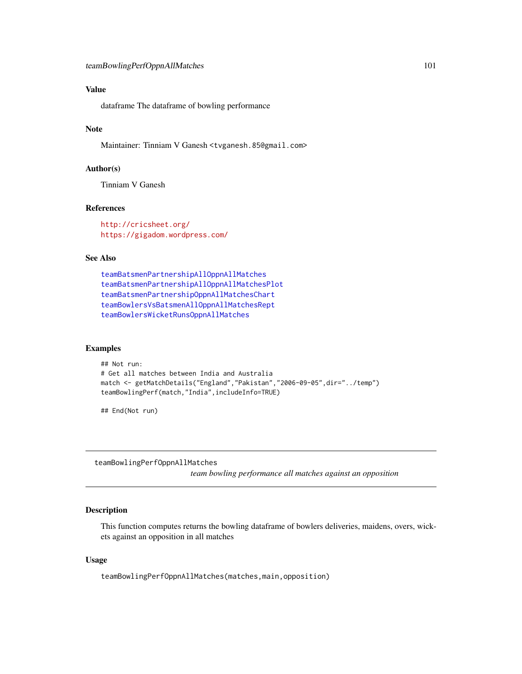# Value

dataframe The dataframe of bowling performance

### Note

Maintainer: Tinniam V Ganesh <tvganesh.85@gmail.com>

# Author(s)

Tinniam V Ganesh

### References

<http://cricsheet.org/> <https://gigadom.wordpress.com/>

# See Also

[teamBatsmenPartnershipAllOppnAllMatches](#page-74-0) [teamBatsmenPartnershipAllOppnAllMatchesPlot](#page-75-0) [teamBatsmenPartnershipOppnAllMatchesChart](#page-78-0) [teamBowlersVsBatsmenAllOppnAllMatchesRept](#page-91-0) [teamBowlersWicketRunsOppnAllMatches](#page-97-0)

### Examples

```
## Not run:
# Get all matches between India and Australia
match <- getMatchDetails("England","Pakistan","2006-09-05",dir="../temp")
teamBowlingPerf(match,"India",includeInfo=TRUE)
```
## End(Not run)

teamBowlingPerfOppnAllMatches

*team bowling performance all matches against an opposition*

# Description

This function computes returns the bowling dataframe of bowlers deliveries, maidens, overs, wickets against an opposition in all matches

# Usage

teamBowlingPerfOppnAllMatches(matches,main,opposition)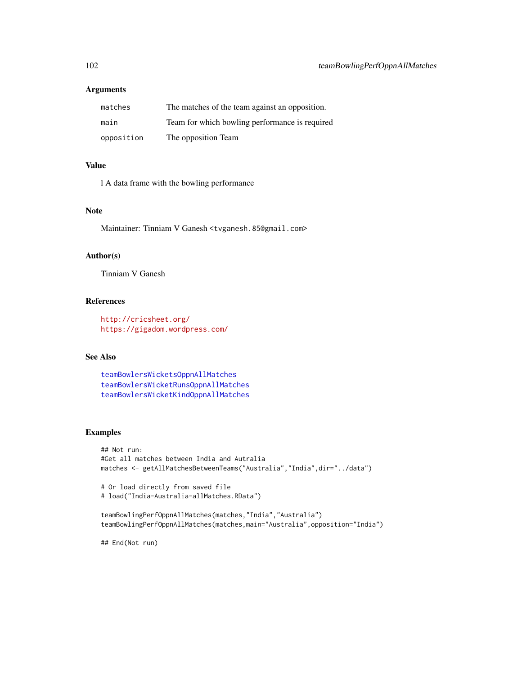# Arguments

| matches    | The matches of the team against an opposition. |
|------------|------------------------------------------------|
| main       | Team for which bowling performance is required |
| opposition | The opposition Team                            |

# Value

l A data frame with the bowling performance

# Note

Maintainer: Tinniam V Ganesh <tvganesh.85@gmail.com>

### Author(s)

Tinniam V Ganesh

# References

<http://cricsheet.org/> <https://gigadom.wordpress.com/>

# See Also

[teamBowlersWicketsOppnAllMatches](#page-98-0) [teamBowlersWicketRunsOppnAllMatches](#page-97-0) [teamBowlersWicketKindOppnAllMatches](#page-95-0)

# Examples

```
## Not run:
#Get all matches between India and Autralia
matches <- getAllMatchesBetweenTeams("Australia","India",dir="../data")
```

```
# Or load directly from saved file
# load("India-Australia-allMatches.RData")
```

```
teamBowlingPerfOppnAllMatches(matches,"India","Australia")
teamBowlingPerfOppnAllMatches(matches,main="Australia",opposition="India")
```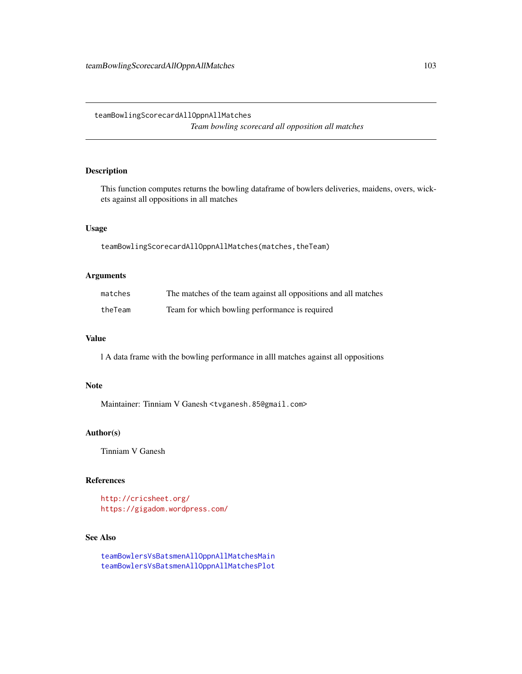# <span id="page-102-0"></span>Description

This function computes returns the bowling dataframe of bowlers deliveries, maidens, overs, wickets against all oppositions in all matches

# Usage

teamBowlingScorecardAllOppnAllMatches(matches,theTeam)

# Arguments

| matches | The matches of the team against all oppositions and all matches |
|---------|-----------------------------------------------------------------|
| theTeam | Team for which bowling performance is required                  |

### Value

l A data frame with the bowling performance in alll matches against all oppositions

# Note

Maintainer: Tinniam V Ganesh <tvganesh.85@gmail.com>

# Author(s)

Tinniam V Ganesh

### References

<http://cricsheet.org/> <https://gigadom.wordpress.com/>

# See Also

[teamBowlersVsBatsmenAllOppnAllMatchesMain](#page-89-0) [teamBowlersVsBatsmenAllOppnAllMatchesPlot](#page-90-0)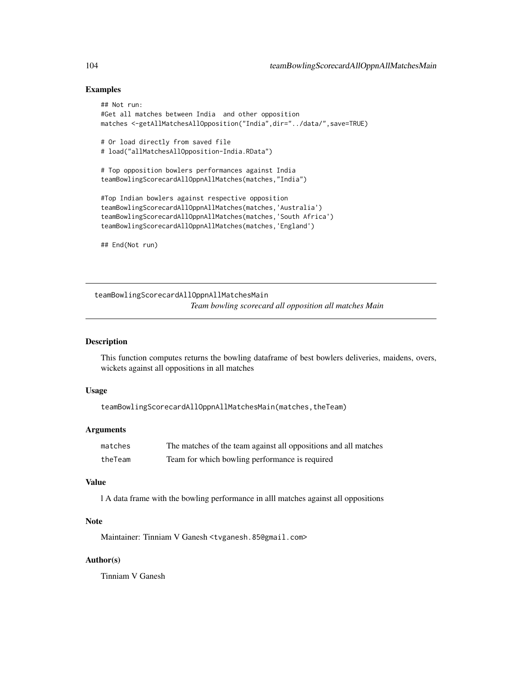## Examples

```
## Not run:
#Get all matches between India and other opposition
matches <-getAllMatchesAllOpposition("India",dir="../data/",save=TRUE)
# Or load directly from saved file
# load("allMatchesAllOpposition-India.RData")
# Top opposition bowlers performances against India
teamBowlingScorecardAllOppnAllMatches(matches,"India")
#Top Indian bowlers against respective opposition
teamBowlingScorecardAllOppnAllMatches(matches,'Australia')
teamBowlingScorecardAllOppnAllMatches(matches,'South Africa')
teamBowlingScorecardAllOppnAllMatches(matches,'England')
## End(Not run)
```
<span id="page-103-0"></span>teamBowlingScorecardAllOppnAllMatchesMain *Team bowling scorecard all opposition all matches Main*

# Description

This function computes returns the bowling dataframe of best bowlers deliveries, maidens, overs, wickets against all oppositions in all matches

#### Usage

teamBowlingScorecardAllOppnAllMatchesMain(matches,theTeam)

# Arguments

| matches | The matches of the team against all oppositions and all matches |
|---------|-----------------------------------------------------------------|
| theTeam | Team for which bowling performance is required                  |

### Value

l A data frame with the bowling performance in alll matches against all oppositions

# **Note**

Maintainer: Tinniam V Ganesh <tvganesh.85@gmail.com>

# Author(s)

Tinniam V Ganesh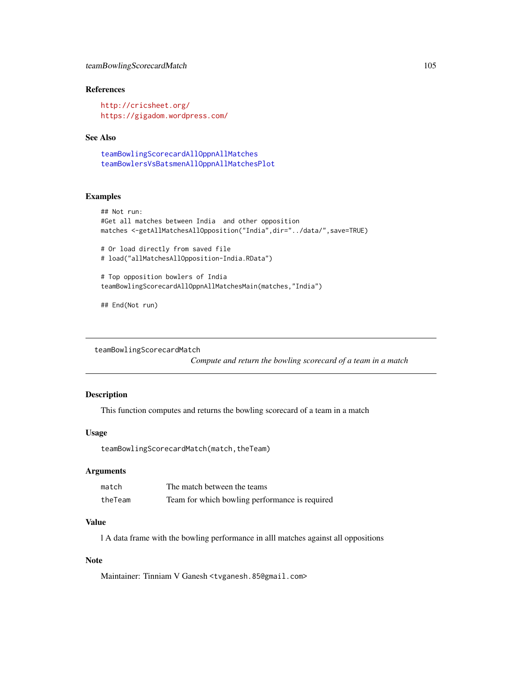# References

<http://cricsheet.org/> <https://gigadom.wordpress.com/>

# See Also

```
teamBowlingScorecardAllOppnAllMatches
teamBowlersVsBatsmenAllOppnAllMatchesPlot
```
# Examples

```
## Not run:
#Get all matches between India and other opposition
matches <-getAllMatchesAllOpposition("India",dir="../data/",save=TRUE)
```

```
# Or load directly from saved file
# load("allMatchesAllOpposition-India.RData")
```

```
# Top opposition bowlers of India
teamBowlingScorecardAllOppnAllMatchesMain(matches,"India")
```
## End(Not run)

teamBowlingScorecardMatch

*Compute and return the bowling scorecard of a team in a match*

### Description

This function computes and returns the bowling scorecard of a team in a match

### Usage

teamBowlingScorecardMatch(match,theTeam)

# Arguments

| match   | The match between the teams                    |
|---------|------------------------------------------------|
| theTeam | Team for which bowling performance is required |

# Value

l A data frame with the bowling performance in alll matches against all oppositions

### Note

Maintainer: Tinniam V Ganesh <tvganesh.85@gmail.com>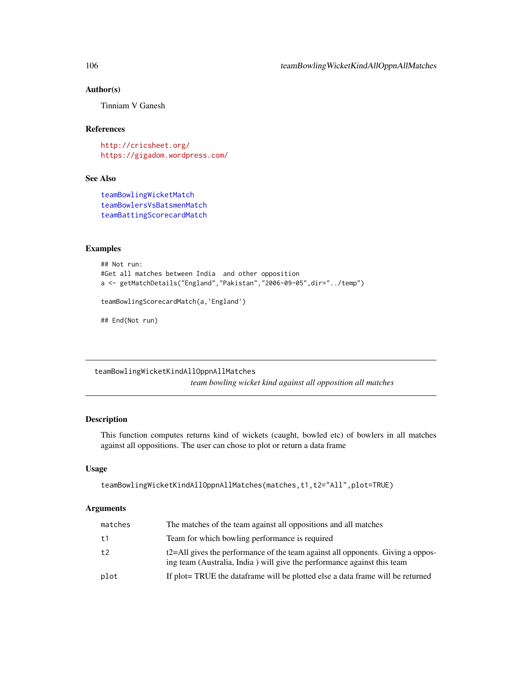### Author(s)

Tinniam V Ganesh

# References

<http://cricsheet.org/> <https://gigadom.wordpress.com/>

# See Also

[teamBowlingWicketMatch](#page-108-0) [teamBowlersVsBatsmenMatch](#page-93-0) [teamBattingScorecardMatch](#page-86-0)

# Examples

```
## Not run:
#Get all matches between India and other opposition
a <- getMatchDetails("England","Pakistan","2006-09-05",dir="../temp")
teamBowlingScorecardMatch(a,'England')
## End(Not run)
```
teamBowlingWicketKindAllOppnAllMatches

*team bowling wicket kind against all opposition all matches*

# Description

This function computes returns kind of wickets (caught, bowled etc) of bowlers in all matches against all oppositions. The user can chose to plot or return a data frame

### Usage

```
teamBowlingWicketKindAllOppnAllMatches(matches,t1,t2="All",plot=TRUE)
```
# Arguments

| matches | The matches of the team against all oppositions and all matches                                                                                            |
|---------|------------------------------------------------------------------------------------------------------------------------------------------------------------|
| t1      | Team for which bowling performance is required                                                                                                             |
| t2      | t2=All gives the performance of the team against all opponents. Giving a oppos-<br>ing team (Australia, India) will give the performance against this team |
| plot    | If plot = TRUE the data frame will be plotted else a data frame will be returned                                                                           |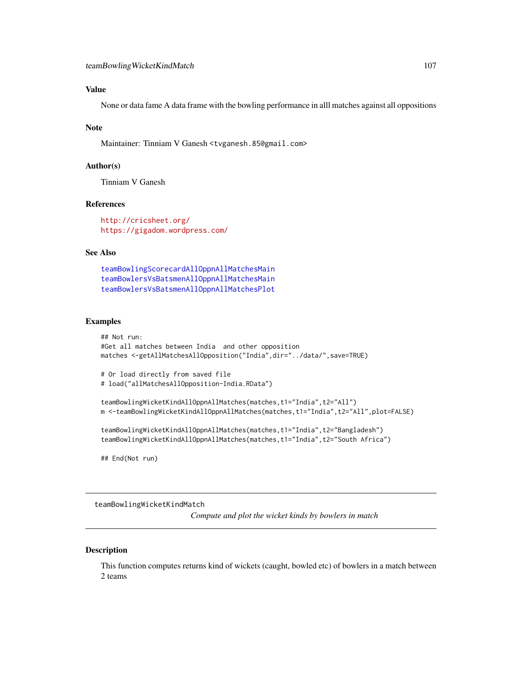# Value

None or data fame A data frame with the bowling performance in alll matches against all oppositions

### Note

Maintainer: Tinniam V Ganesh <tvganesh.85@gmail.com>

### Author(s)

Tinniam V Ganesh

### References

<http://cricsheet.org/> <https://gigadom.wordpress.com/>

# See Also

[teamBowlingScorecardAllOppnAllMatchesMain](#page-103-0) [teamBowlersVsBatsmenAllOppnAllMatchesMain](#page-89-0) [teamBowlersVsBatsmenAllOppnAllMatchesPlot](#page-90-0)

#### Examples

```
## Not run:
#Get all matches between India and other opposition
matches <-getAllMatchesAllOpposition("India",dir="../data/",save=TRUE)
# Or load directly from saved file
```

```
# load("allMatchesAllOpposition-India.RData")
```

```
teamBowlingWicketKindAllOppnAllMatches(matches,t1="India",t2="All")
m <-teamBowlingWicketKindAllOppnAllMatches(matches,t1="India",t2="All",plot=FALSE)
```

```
teamBowlingWicketKindAllOppnAllMatches(matches,t1="India",t2="Bangladesh")
teamBowlingWicketKindAllOppnAllMatches(matches,t1="India",t2="South Africa")
```
## End(Not run)

teamBowlingWicketKindMatch

*Compute and plot the wicket kinds by bowlers in match*

### Description

This function computes returns kind of wickets (caught, bowled etc) of bowlers in a match between 2 teams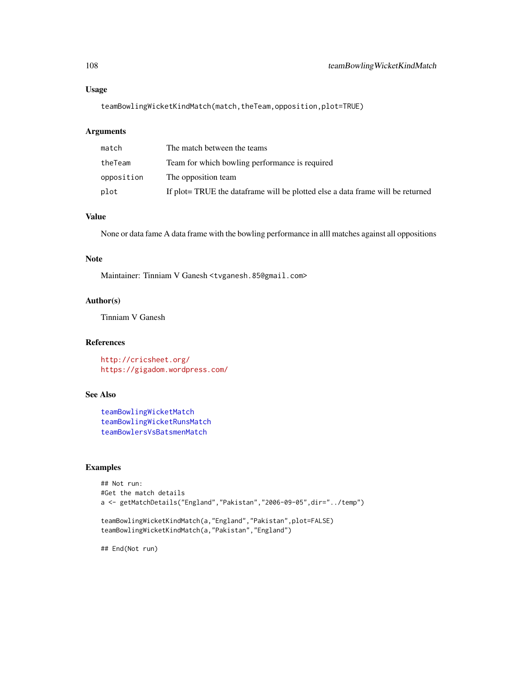# Usage

teamBowlingWicketKindMatch(match,theTeam,opposition,plot=TRUE)

# Arguments

| match      | The match between the teams                                                      |
|------------|----------------------------------------------------------------------------------|
| theTeam    | Team for which bowling performance is required                                   |
| opposition | The opposition team                                                              |
| plot       | If plot = TRUE the data frame will be plotted else a data frame will be returned |

# Value

None or data fame A data frame with the bowling performance in alll matches against all oppositions

# Note

Maintainer: Tinniam V Ganesh <tvganesh.85@gmail.com>

# Author(s)

Tinniam V Ganesh

# References

<http://cricsheet.org/> <https://gigadom.wordpress.com/>

### See Also

[teamBowlingWicketMatch](#page-108-0) [teamBowlingWicketRunsMatch](#page-110-0) [teamBowlersVsBatsmenMatch](#page-93-0)

### Examples

```
## Not run:
#Get the match details
a <- getMatchDetails("England","Pakistan","2006-09-05",dir="../temp")
teamBowlingWicketKindMatch(a,"England","Pakistan",plot=FALSE)
teamBowlingWicketKindMatch(a,"Pakistan","England")
```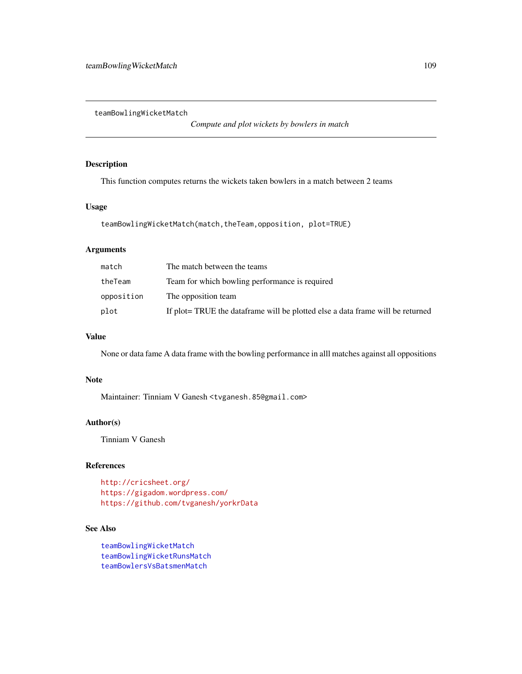<span id="page-108-1"></span><span id="page-108-0"></span>teamBowlingWicketMatch

*Compute and plot wickets by bowlers in match*

### Description

This function computes returns the wickets taken bowlers in a match between 2 teams

# Usage

teamBowlingWicketMatch(match,theTeam,opposition, plot=TRUE)

# Arguments

| match      | The match between the teams                                                      |
|------------|----------------------------------------------------------------------------------|
| theTeam    | Team for which bowling performance is required                                   |
| opposition | The opposition team                                                              |
| plot       | If plot = TRUE the data frame will be plotted else a data frame will be returned |

# Value

None or data fame A data frame with the bowling performance in alll matches against all oppositions

### Note

Maintainer: Tinniam V Ganesh <tvganesh.85@gmail.com>

## Author(s)

Tinniam V Ganesh

# References

```
http://cricsheet.org/
https://gigadom.wordpress.com/
https://github.com/tvganesh/yorkrData
```
# See Also

[teamBowlingWicketMatch](#page-108-0) [teamBowlingWicketRunsMatch](#page-110-0) [teamBowlersVsBatsmenMatch](#page-93-0)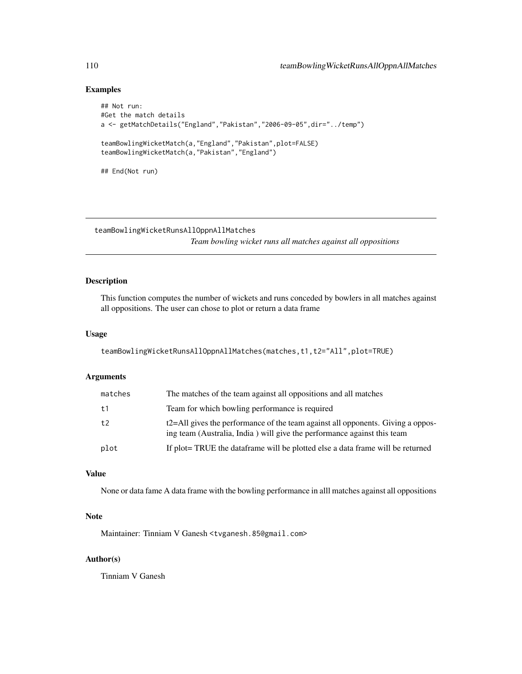#### <span id="page-109-0"></span>Examples

```
## Not run:
#Get the match details
a <- getMatchDetails("England","Pakistan","2006-09-05",dir="../temp")
teamBowlingWicketMatch(a,"England","Pakistan",plot=FALSE)
teamBowlingWicketMatch(a,"Pakistan","England")
## End(Not run)
```
teamBowlingWicketRunsAllOppnAllMatches *Team bowling wicket runs all matches against all oppositions*

# Description

This function computes the number of wickets and runs conceded by bowlers in all matches against all oppositions. The user can chose to plot or return a data frame

#### Usage

teamBowlingWicketRunsAllOppnAllMatches(matches,t1,t2="All",plot=TRUE)

#### Arguments

| matches | The matches of the team against all oppositions and all matches                                                                                            |
|---------|------------------------------------------------------------------------------------------------------------------------------------------------------------|
| t1      | Team for which bowling performance is required                                                                                                             |
| t2      | t2=All gives the performance of the team against all opponents. Giving a oppos-<br>ing team (Australia, India) will give the performance against this team |
| plot    | If plot = TRUE the data frame will be plotted else a data frame will be returned                                                                           |

### Value

None or data fame A data frame with the bowling performance in alll matches against all oppositions

#### Note

Maintainer: Tinniam V Ganesh <tvganesh.85@gmail.com>

#### Author(s)

Tinniam V Ganesh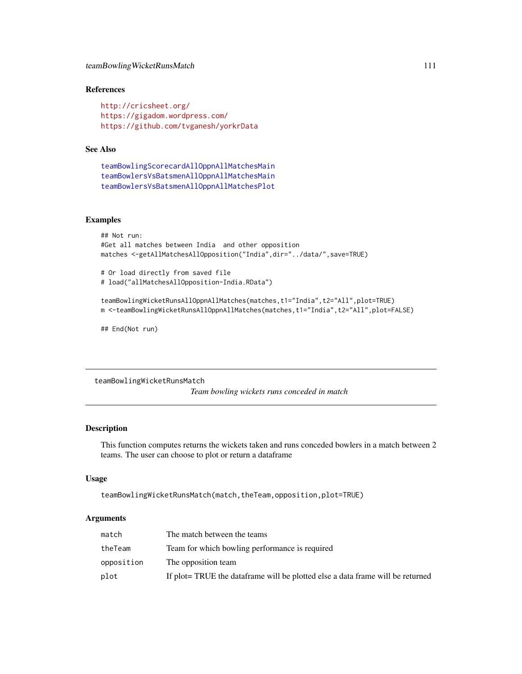# <span id="page-110-1"></span>teamBowlingWicketRunsMatch 111

# References

```
http://cricsheet.org/
https://gigadom.wordpress.com/
https://github.com/tvganesh/yorkrData
```
# See Also

```
teamBowlingScorecardAllOppnAllMatchesMain
teamBowlersVsBatsmenAllOppnAllMatchesMain
teamBowlersVsBatsmenAllOppnAllMatchesPlot
```
# Examples

```
## Not run:
#Get all matches between India and other opposition
matches <-getAllMatchesAllOpposition("India",dir="../data/",save=TRUE)
# Or load directly from saved file
# load("allMatchesAllOpposition-India.RData")
teamBowlingWicketRunsAllOppnAllMatches(matches,t1="India",t2="All",plot=TRUE)
```

```
m <-teamBowlingWicketRunsAllOppnAllMatches(matches,t1="India",t2="All",plot=FALSE)
```
## End(Not run)

<span id="page-110-0"></span>teamBowlingWicketRunsMatch *Team bowling wickets runs conceded in match*

#### Description

This function computes returns the wickets taken and runs conceded bowlers in a match between 2 teams. The user can choose to plot or return a dataframe

#### Usage

```
teamBowlingWicketRunsMatch(match,theTeam,opposition,plot=TRUE)
```
#### Arguments

| match      | The match between the teams                                                      |
|------------|----------------------------------------------------------------------------------|
| theTeam    | Team for which bowling performance is required                                   |
| opposition | The opposition team                                                              |
| plot       | If plot = TRUE the data frame will be plotted else a data frame will be returned |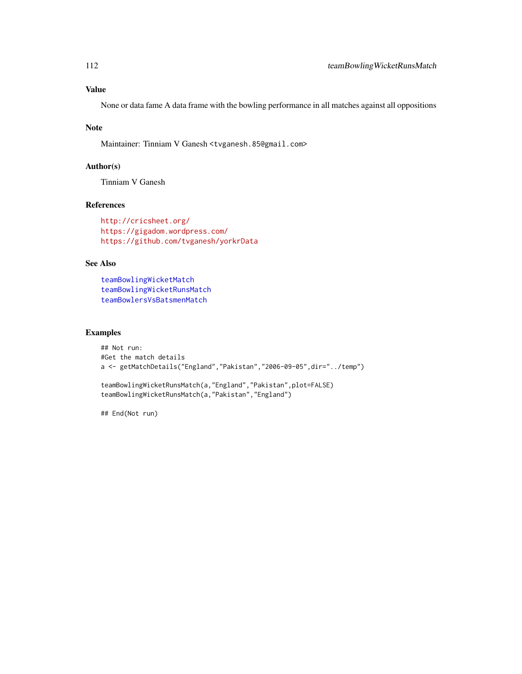#### <span id="page-111-0"></span>Value

None or data fame A data frame with the bowling performance in all matches against all oppositions

#### Note

Maintainer: Tinniam V Ganesh <tvganesh.85@gmail.com>

#### Author(s)

Tinniam V Ganesh

# References

<http://cricsheet.org/> <https://gigadom.wordpress.com/> <https://github.com/tvganesh/yorkrData>

# See Also

[teamBowlingWicketMatch](#page-108-0) [teamBowlingWicketRunsMatch](#page-110-0) [teamBowlersVsBatsmenMatch](#page-93-0)

#### Examples

```
## Not run:
#Get the match details
a <- getMatchDetails("England","Pakistan","2006-09-05",dir="../temp")
teamBowlingWicketRunsMatch(a,"England","Pakistan",plot=FALSE)
teamBowlingWicketRunsMatch(a,"Pakistan","England")
```
## End(Not run)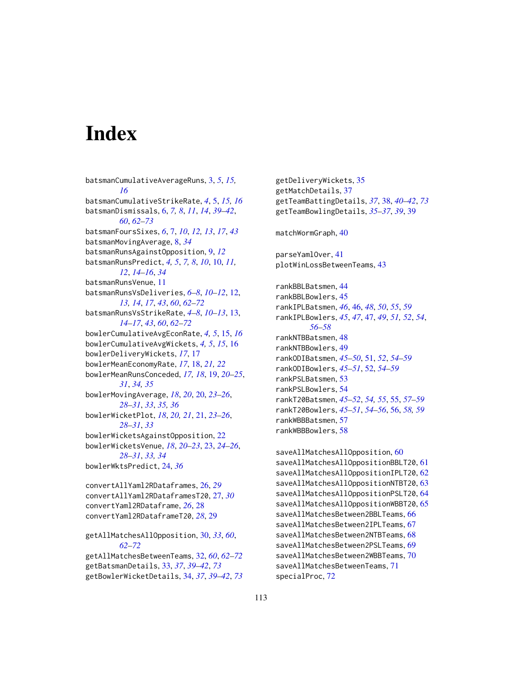# **Index**

batsmanCumulativeAverageRuns, [3,](#page-2-0) *[5](#page-4-0)*, *[15,](#page-14-0) [16](#page-15-0)* batsmanCumulativeStrikeRate, *[4](#page-3-0)*, [5,](#page-4-0) *[15,](#page-14-0) [16](#page-15-0)* batsmanDismissals, [6,](#page-5-0) *[7,](#page-6-0) [8](#page-7-0)*, *[11](#page-10-0)*, *[14](#page-13-0)*, *[39–](#page-38-0)[42](#page-41-0)*, *[60](#page-59-0)*, *[62](#page-61-0)[–73](#page-72-0)* batsmanFoursSixes, *[6](#page-5-0)*, [7,](#page-6-0) *[10](#page-9-0)*, *[12,](#page-11-0) [13](#page-12-0)*, *[17](#page-16-0)*, *[43](#page-42-0)* batsmanMovingAverage, [8,](#page-7-0) *[34](#page-33-0)* batsmanRunsAgainstOpposition, [9,](#page-8-0) *[12](#page-11-0)* batsmanRunsPredict, *[4,](#page-3-0) [5](#page-4-0)*, *[7,](#page-6-0) [8](#page-7-0)*, *[10](#page-9-0)*, [10,](#page-9-0) *[11,](#page-10-0) [12](#page-11-0)*, *[14](#page-13-0)[–16](#page-15-0)*, *[34](#page-33-0)* batsmanRunsVenue, [11](#page-10-0) batsmanRunsVsDeliveries, *[6–](#page-5-0)[8](#page-7-0)*, *[10–](#page-9-0)[12](#page-11-0)*, [12,](#page-11-0) *[13,](#page-12-0) [14](#page-13-0)*, *[17](#page-16-0)*, *[43](#page-42-0)*, *[60](#page-59-0)*, *[62–](#page-61-0)[72](#page-71-0)* batsmanRunsVsStrikeRate, *[4–](#page-3-0)[8](#page-7-0)*, *[10–](#page-9-0)[13](#page-12-0)*, [13,](#page-12-0) *[14](#page-13-0)[–17](#page-16-0)*, *[43](#page-42-0)*, *[60](#page-59-0)*, *[62–](#page-61-0)[72](#page-71-0)* bowlerCumulativeAvgEconRate, *[4,](#page-3-0) [5](#page-4-0)*, [15,](#page-14-0) *[16](#page-15-0)* bowlerCumulativeAvgWickets, *[4,](#page-3-0) [5](#page-4-0)*, *[15](#page-14-0)*, [16](#page-15-0) bowlerDeliveryWickets, *[17](#page-16-0)*, [17](#page-16-0) bowlerMeanEconomyRate, *[17](#page-16-0)*, [18,](#page-17-0) *[21,](#page-20-0) [22](#page-21-0)* bowlerMeanRunsConceded, *[17,](#page-16-0) [18](#page-17-0)*, [19,](#page-18-0) *[20–](#page-19-0)[25](#page-24-0)*, *[31](#page-30-0)*, *[34,](#page-33-0) [35](#page-34-0)* bowlerMovingAverage, *[18](#page-17-0)*, *[20](#page-19-0)*, [20,](#page-19-0) *[23–](#page-22-0)[26](#page-25-0)*, *[28](#page-27-0)[–31](#page-30-0)*, *[33](#page-32-0)*, *[35,](#page-34-0) [36](#page-35-0)* bowlerWicketPlot, *[18](#page-17-0)*, *[20,](#page-19-0) [21](#page-20-0)*, [21,](#page-20-0) *[23–](#page-22-0)[26](#page-25-0)*, *[28](#page-27-0)[–31](#page-30-0)*, *[33](#page-32-0)* bowlerWicketsAgainstOpposition, [22](#page-21-0) bowlerWicketsVenue, *[18](#page-17-0)*, *[20–](#page-19-0)[23](#page-22-0)*, [23,](#page-22-0) *[24–](#page-23-0)[26](#page-25-0)*, *[28](#page-27-0)[–31](#page-30-0)*, *[33,](#page-32-0) [34](#page-33-0)* bowlerWktsPredict, [24,](#page-23-0) *[36](#page-35-0)* convertAllYaml2RDataframes, [26,](#page-25-0) *[29](#page-28-0)* convertAllYaml2RDataframesT20, [27,](#page-26-0) *[30](#page-29-0)* convertYaml2RDataframe, *[26](#page-25-0)*, [28](#page-27-0) convertYaml2RDataframeT20, *[28](#page-27-0)*, [29](#page-28-0) getAllMatchesAllOpposition, [30,](#page-29-0) *[33](#page-32-0)*, *[60](#page-59-0)*, *[62](#page-61-0)[–72](#page-71-0)* getAllMatchesBetweenTeams, [32,](#page-31-0) *[60](#page-59-0)*, *[62–](#page-61-0)[72](#page-71-0)* getBatsmanDetails, [33,](#page-32-0) *[37](#page-36-0)*, *[39–](#page-38-0)[42](#page-41-0)*, *[73](#page-72-0)*

getBowlerWicketDetails, [34,](#page-33-0) *[37](#page-36-0)*, *[39–](#page-38-0)[42](#page-41-0)*, *[73](#page-72-0)*

getDeliveryWickets, [35](#page-34-0) getMatchDetails, [37](#page-36-0) getTeamBattingDetails, *[37](#page-36-0)*, [38,](#page-37-0) *[40](#page-39-0)[–42](#page-41-0)*, *[73](#page-72-0)* getTeamBowlingDetails, *[35](#page-34-0)[–37](#page-36-0)*, *[39](#page-38-0)*, [39](#page-38-0) matchWormGraph, [40](#page-39-0) parseYamlOver, [41](#page-40-0) plotWinLossBetweenTeams, [43](#page-42-0) rankBBLBatsmen, [44](#page-43-0) rankBBLBowlers, [45](#page-44-0) rankIPLBatsmen, *[46](#page-45-0)*, [46,](#page-45-0) *[48](#page-47-0)*, *[50](#page-49-0)*, *[55](#page-54-0)*, *[59](#page-58-0)* rankIPLBowlers, *[45](#page-44-0)*, *[47](#page-46-0)*, [47,](#page-46-0) *[49](#page-48-0)*, *[51,](#page-50-0) [52](#page-51-0)*, *[54](#page-53-0)*, *[56](#page-55-0)[–58](#page-57-0)* rankNTBBatsmen, [48](#page-47-0) rankNTBBowlers, [49](#page-48-0) rankODIBatsmen, *[45](#page-44-0)[–50](#page-49-0)*, [51,](#page-50-0) *[52](#page-51-0)*, *[54](#page-53-0)[–59](#page-58-0)* rankODIBowlers, *[45](#page-44-0)[–51](#page-50-0)*, [52,](#page-51-0) *[54](#page-53-0)[–59](#page-58-0)* rankPSLBatsmen, [53](#page-52-0) rankPSLBowlers, [54](#page-53-0) rankT20Batsmen, *[45](#page-44-0)[–52](#page-51-0)*, *[54,](#page-53-0) [55](#page-54-0)*, [55,](#page-54-0) *[57](#page-56-0)[–59](#page-58-0)* rankT20Bowlers, *[45](#page-44-0)[–51](#page-50-0)*, *[54](#page-53-0)[–56](#page-55-0)*, [56,](#page-55-0) *[58,](#page-57-0) [59](#page-58-0)* rankWBBBatsmen, [57](#page-56-0) rankWBBBowlers, [58](#page-57-0) saveAllMatchesAllOpposition, [60](#page-59-0) saveAllMatchesAllOppositionBBLT20, [61](#page-60-0) saveAllMatchesAllOppositionIPLT20, [62](#page-61-0) saveAllMatchesAllOppositionNTBT20, [63](#page-62-0) saveAllMatchesAllOppositionPSLT20, [64](#page-63-0) saveAllMatchesAllOppositionWBBT20, [65](#page-64-0) saveAllMatchesBetween2BBLTeams, [66](#page-65-0)

saveAllMatchesBetween2IPLTeams, [67](#page-66-0) saveAllMatchesBetween2NTBTeams, [68](#page-67-0) saveAllMatchesBetween2PSLTeams, [69](#page-68-0) saveAllMatchesBetween2WBBTeams, [70](#page-69-0) saveAllMatchesBetweenTeams, [71](#page-70-0) specialProc, [72](#page-71-0)